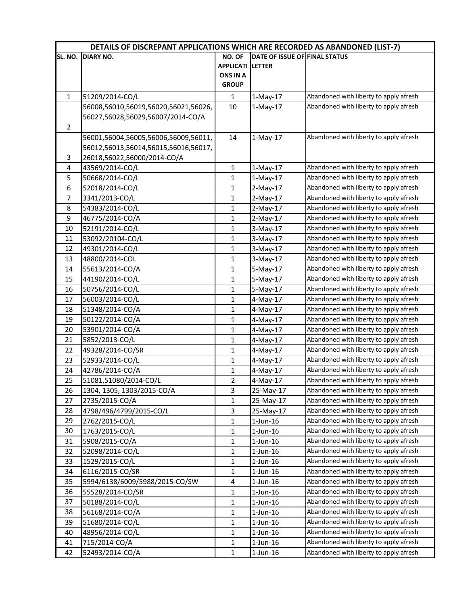|                | DETAILS OF DISCREPANT APPLICATIONS WHICH ARE RECORDED AS ABANDONED (LIST-7) |                         |                               |                                        |  |
|----------------|-----------------------------------------------------------------------------|-------------------------|-------------------------------|----------------------------------------|--|
| SL. NO.        | <b>DIARY NO.</b>                                                            | NO. OF                  | DATE OF ISSUE OF FINAL STATUS |                                        |  |
|                |                                                                             | <b>APPLICATI</b>        | <b>LETTER</b>                 |                                        |  |
|                |                                                                             | <b>ONS IN A</b>         |                               |                                        |  |
|                |                                                                             | <b>GROUP</b>            |                               |                                        |  |
| $\mathbf{1}$   | 51209/2014-CO/L                                                             | $\mathbf{1}$            | $1-May-17$                    | Abandoned with liberty to apply afresh |  |
|                | 56008,56010,56019,56020,56021,56026,                                        | 10                      | $1-May-17$                    | Abandoned with liberty to apply afresh |  |
|                | 56027,56028,56029,56007/2014-CO/A                                           |                         |                               |                                        |  |
| $\overline{2}$ |                                                                             |                         |                               |                                        |  |
|                | 56001,56004,56005,56006,56009,56011,                                        | 14                      | $1-May-17$                    | Abandoned with liberty to apply afresh |  |
|                | 56012,56013,56014,56015,56016,56017,                                        |                         |                               |                                        |  |
| 3              | 26018,56022,56000/2014-CO/A                                                 |                         |                               |                                        |  |
| 4              | 43569/2014-CO/L                                                             | 1                       | $1-May-17$                    | Abandoned with liberty to apply afresh |  |
| 5              | 50668/2014-CO/L                                                             | $\mathbf{1}$            | $1-May-17$                    | Abandoned with liberty to apply afresh |  |
| 6              | 52018/2014-CO/L                                                             | 1                       | $2-May-17$                    | Abandoned with liberty to apply afresh |  |
| $\overline{7}$ | 3341/2013-CO/L                                                              | $\mathbf{1}$            | $2-May-17$                    | Abandoned with liberty to apply afresh |  |
| 8              | 54383/2014-CO/L                                                             | 1                       | $2-May-17$                    | Abandoned with liberty to apply afresh |  |
| 9              | 46775/2014-CO/A                                                             | $\mathbf{1}$            | $2-May-17$                    | Abandoned with liberty to apply afresh |  |
| 10             | 52191/2014-CO/L                                                             | $\mathbf{1}$            | $3-May-17$                    | Abandoned with liberty to apply afresh |  |
| 11             | 53092/20104-CO/L                                                            | $\mathbf{1}$            | $3-May-17$                    | Abandoned with liberty to apply afresh |  |
| 12             | 49301/2014-CO/L                                                             | 1                       | 3-May-17                      | Abandoned with liberty to apply afresh |  |
| 13             | 48800/2014-COL                                                              | 1                       | 3-May-17                      | Abandoned with liberty to apply afresh |  |
| 14             | 55613/2014-CO/A                                                             | $\mathbf{1}$            | 5-May-17                      | Abandoned with liberty to apply afresh |  |
| 15             | 44190/2014-CO/L                                                             | $\mathbf{1}$            | $5-May-17$                    | Abandoned with liberty to apply afresh |  |
| 16             | 50756/2014-CO/L                                                             | $\mathbf{1}$            | $5-May-17$                    | Abandoned with liberty to apply afresh |  |
| 17             | 56003/2014-CO/L                                                             | $\mathbf{1}$            | 4-May-17                      | Abandoned with liberty to apply afresh |  |
| 18             | 51348/2014-CO/A                                                             | $\mathbf{1}$            | 4-May-17                      | Abandoned with liberty to apply afresh |  |
| 19             | 50122/2014-CO/A                                                             | $\mathbf{1}$            | $4$ -May-17                   | Abandoned with liberty to apply afresh |  |
| 20             | 53901/2014-CO/A                                                             | $\mathbf{1}$            | 4-May-17                      | Abandoned with liberty to apply afresh |  |
| 21             | 5852/2013-CO/L                                                              | $\mathbf{1}$            | $4$ -May-17                   | Abandoned with liberty to apply afresh |  |
| 22             | 49328/2014-CO/SR                                                            | 1                       | 4-May-17                      | Abandoned with liberty to apply afresh |  |
| 23             | 52933/2014-CO/L                                                             | 1                       | $4$ -May-17                   | Abandoned with liberty to apply afresh |  |
| 24             | 42786/2014-CO/A                                                             | $\mathbf{1}$            | $4$ -May-17                   | Abandoned with liberty to apply afresh |  |
| 25             | 51081,51080/2014-CO/L                                                       | 2                       | $4-May-17$                    | Abandoned with liberty to apply afresh |  |
| 26             | 1304, 1305, 1303/2015-CO/A                                                  | 3                       | 25-May-17                     | Abandoned with liberty to apply afresh |  |
| 27             | 2735/2015-CO/A                                                              | 1                       | 25-May-17                     | Abandoned with liberty to apply afresh |  |
| 28             | 4798/496/4799/2015-CO/L                                                     | 3                       | 25-May-17                     | Abandoned with liberty to apply afresh |  |
| 29             | 2762/2015-CO/L                                                              | 1                       | $1$ -Jun- $16$                | Abandoned with liberty to apply afresh |  |
| 30             | 1763/2015-CO/L                                                              | $\mathbf{1}$            | $1$ -Jun- $16$                | Abandoned with liberty to apply afresh |  |
| 31             | 5908/2015-CO/A                                                              | $\mathbf{1}$            | $1$ -Jun- $16$                | Abandoned with liberty to apply afresh |  |
| 32             | 52098/2014-CO/L                                                             | 1                       | $1$ -Jun- $16$                | Abandoned with liberty to apply afresh |  |
| 33             | 1529/2015-CO/L                                                              | $\mathbf{1}$            | $1$ -Jun- $16$                | Abandoned with liberty to apply afresh |  |
| 34             | 6116/2015-CO/SR                                                             | $\mathbf{1}$            | $1$ -Jun- $16$                | Abandoned with liberty to apply afresh |  |
| 35             | 5994/6138/6009/5988/2015-CO/SW                                              | $\overline{\mathbf{4}}$ | $1$ -Jun- $16$                | Abandoned with liberty to apply afresh |  |
| 36             | 55528/2014-CO/SR                                                            | 1                       | $1$ -Jun- $16$                | Abandoned with liberty to apply afresh |  |
| 37             | 50188/2014-CO/L                                                             | 1                       | $1$ -Jun- $16$                | Abandoned with liberty to apply afresh |  |
| 38             | 56168/2014-CO/A                                                             | $\mathbf{1}$            | $1$ -Jun- $16$                | Abandoned with liberty to apply afresh |  |
| 39             | 51680/2014-CO/L                                                             | 1                       | $1$ -Jun- $16$                | Abandoned with liberty to apply afresh |  |
| 40             | 48956/2014-CO/L                                                             | 1                       | $1$ -Jun- $16$                | Abandoned with liberty to apply afresh |  |
| 41             | 715/2014-CO/A                                                               | $\mathbf{1}$            | $1$ -Jun- $16$                | Abandoned with liberty to apply afresh |  |
| 42             | 52493/2014-CO/A                                                             | $\mathbf 1$             | $1$ -Jun- $16$                | Abandoned with liberty to apply afresh |  |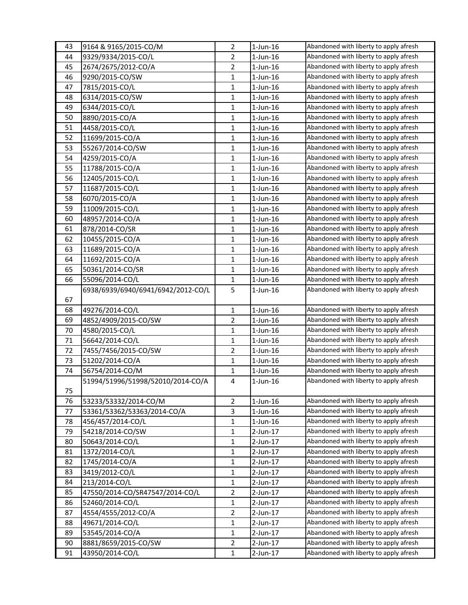| 43 | 9164 & 9165/2015-CO/M              | $\overline{2}$ | $1$ -Jun- $16$ | Abandoned with liberty to apply afresh |
|----|------------------------------------|----------------|----------------|----------------------------------------|
| 44 | 9329/9334/2015-CO/L                | 2              | $1$ -Jun- $16$ | Abandoned with liberty to apply afresh |
| 45 | 2674/2675/2012-CO/A                | $\overline{2}$ | $1$ -Jun- $16$ | Abandoned with liberty to apply afresh |
| 46 | 9290/2015-CO/SW                    | 1              | $1$ -Jun- $16$ | Abandoned with liberty to apply afresh |
| 47 | 7815/2015-CO/L                     | $\mathbf{1}$   | $1$ -Jun- $16$ | Abandoned with liberty to apply afresh |
| 48 | 6314/2015-CO/SW                    | 1              | $1$ -Jun- $16$ | Abandoned with liberty to apply afresh |
| 49 | 6344/2015-CO/L                     | 1              | $1$ -Jun- $16$ | Abandoned with liberty to apply afresh |
| 50 | 8890/2015-CO/A                     | $\mathbf{1}$   | $1$ -Jun- $16$ | Abandoned with liberty to apply afresh |
| 51 | 4458/2015-CO/L                     | $\mathbf{1}$   | $1$ -Jun- $16$ | Abandoned with liberty to apply afresh |
| 52 | 11699/2015-CO/A                    | $\mathbf{1}$   | $1$ -Jun- $16$ | Abandoned with liberty to apply afresh |
| 53 | 55267/2014-CO/SW                   | 1              | $1$ -Jun- $16$ | Abandoned with liberty to apply afresh |
| 54 | 4259/2015-CO/A                     | 1              | $1$ -Jun- $16$ | Abandoned with liberty to apply afresh |
| 55 | 11788/2015-CO/A                    | 1              | $1$ -Jun- $16$ | Abandoned with liberty to apply afresh |
| 56 | 12405/2015-CO/L                    | 1              | $1$ -Jun- $16$ | Abandoned with liberty to apply afresh |
| 57 | 11687/2015-CO/L                    | $\mathbf{1}$   | $1$ -Jun- $16$ | Abandoned with liberty to apply afresh |
| 58 | 6070/2015-CO/A                     | 1              | $1$ -Jun- $16$ | Abandoned with liberty to apply afresh |
| 59 | 11009/2015-CO/L                    | 1              | $1$ -Jun- $16$ | Abandoned with liberty to apply afresh |
| 60 | 48957/2014-CO/A                    | $\mathbf{1}$   | $1$ -Jun-16    | Abandoned with liberty to apply afresh |
| 61 | 878/2014-CO/SR                     | $\mathbf{1}$   | $1$ -Jun- $16$ | Abandoned with liberty to apply afresh |
| 62 | 10455/2015-CO/A                    | 1              | $1$ -Jun- $16$ | Abandoned with liberty to apply afresh |
| 63 | 11689/2015-CO/A                    | 1              | $1$ -Jun- $16$ | Abandoned with liberty to apply afresh |
| 64 | 11692/2015-CO/A                    | 1              | $1$ -Jun- $16$ | Abandoned with liberty to apply afresh |
| 65 | 50361/2014-CO/SR                   | 1              | $1$ -Jun- $16$ | Abandoned with liberty to apply afresh |
| 66 | 55096/2014-CO/L                    | 1              | $1$ -Jun- $16$ | Abandoned with liberty to apply afresh |
|    | 6938/6939/6940/6941/6942/2012-CO/L | 5              | $1$ -Jun- $16$ | Abandoned with liberty to apply afresh |
| 67 |                                    |                |                |                                        |
| 68 | 49276/2014-CO/L                    | 1              | $1$ -Jun- $16$ | Abandoned with liberty to apply afresh |
| 69 | 4852/4909/2015-CO/SW               | 2              | $1$ -Jun-16    | Abandoned with liberty to apply afresh |
| 70 | 4580/2015-CO/L                     | 1              | $1$ -Jun-16    | Abandoned with liberty to apply afresh |
| 71 | 56642/2014-CO/L                    | 1              | $1$ -Jun- $16$ | Abandoned with liberty to apply afresh |
| 72 | 7455/7456/2015-CO/SW               | 2              | $1$ -Jun- $16$ | Abandoned with liberty to apply afresh |
| 73 | 51202/2014-CO/A                    | 1              | $1$ -Jun- $16$ | Abandoned with liberty to apply afresh |
| 74 | 56754/2014-CO/M                    | 1              | $1$ -Jun- $16$ | Abandoned with liberty to apply afresh |
|    | 51994/51996/51998/52010/2014-CO/A  | 4              | $1$ -Jun-16    | Abandoned with liberty to apply afresh |
| 75 |                                    |                |                |                                        |
| 76 | 53233/53332/2014-CO/M              | $\overline{2}$ | $1$ -Jun- $16$ | Abandoned with liberty to apply afresh |
| 77 | 53361/53362/53363/2014-CO/A        | 3              | $1$ -Jun- $16$ | Abandoned with liberty to apply afresh |
| 78 | 456/457/2014-CO/L                  | 1              | $1$ -Jun- $16$ | Abandoned with liberty to apply afresh |
| 79 | 54218/2014-CO/SW                   | $\mathbf{1}$   | 2-Jun-17       | Abandoned with liberty to apply afresh |
| 80 | 50643/2014-CO/L                    | 1              | $2$ -Jun-17    | Abandoned with liberty to apply afresh |
| 81 | 1372/2014-CO/L                     | $\mathbf{1}$   | $2$ -Jun-17    | Abandoned with liberty to apply afresh |
| 82 | 1745/2014-CO/A                     | $\mathbf{1}$   | 2-Jun-17       | Abandoned with liberty to apply afresh |
| 83 | 3419/2012-CO/L                     | 1              | $2$ -Jun-17    | Abandoned with liberty to apply afresh |
| 84 | 213/2014-CO/L                      | $\mathbf{1}$   | $2$ -Jun-17    | Abandoned with liberty to apply afresh |
| 85 | 47550/2014-CO/SR47547/2014-CO/L    | $\overline{2}$ | 2-Jun-17       | Abandoned with liberty to apply afresh |
| 86 | 52460/2014-CO/L                    | $\mathbf 1$    | $2$ -Jun-17    | Abandoned with liberty to apply afresh |
| 87 | 4554/4555/2012-CO/A                | 2              | $2$ -Jun-17    | Abandoned with liberty to apply afresh |
| 88 | 49671/2014-CO/L                    | $\mathbf{1}$   | 2-Jun-17       | Abandoned with liberty to apply afresh |
| 89 | 53545/2014-CO/A                    | $\mathbf{1}$   | 2-Jun-17       | Abandoned with liberty to apply afresh |
| 90 | 8881/8659/2015-CO/SW               | $\overline{2}$ | 2-Jun-17       | Abandoned with liberty to apply afresh |
| 91 | 43950/2014-CO/L                    | $\mathbf{1}$   | 2-Jun-17       | Abandoned with liberty to apply afresh |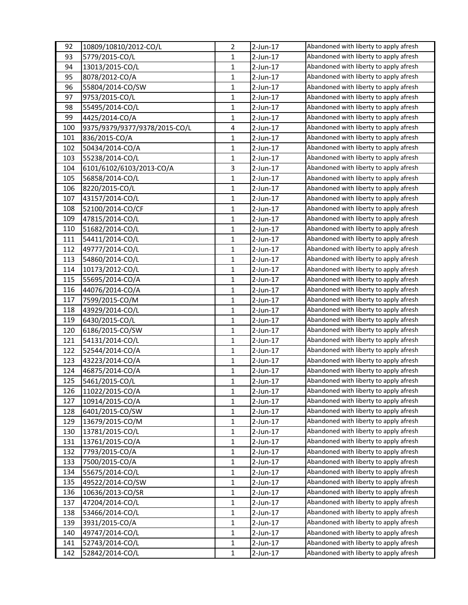| 92  | 10809/10810/2012-CO/L         | $\overline{2}$ | $2$ -Jun-17 | Abandoned with liberty to apply afresh |
|-----|-------------------------------|----------------|-------------|----------------------------------------|
| 93  | 5779/2015-CO/L                | 1              | 2-Jun-17    | Abandoned with liberty to apply afresh |
| 94  | 13013/2015-CO/L               | 1              | 2-Jun-17    | Abandoned with liberty to apply afresh |
| 95  | 8078/2012-CO/A                | $\mathbf{1}$   | 2-Jun-17    | Abandoned with liberty to apply afresh |
| 96  | 55804/2014-CO/SW              | $\mathbf{1}$   | 2-Jun-17    | Abandoned with liberty to apply afresh |
| 97  | 9753/2015-CO/L                | 1              | 2-Jun-17    | Abandoned with liberty to apply afresh |
| 98  | 55495/2014-CO/L               | 1              | 2-Jun-17    | Abandoned with liberty to apply afresh |
| 99  | 4425/2014-CO/A                | 1              | 2-Jun-17    | Abandoned with liberty to apply afresh |
| 100 | 9375/9379/9377/9378/2015-CO/L | 4              | 2-Jun-17    | Abandoned with liberty to apply afresh |
| 101 | 836/2015-CO/A                 | 1              | $2$ -Jun-17 | Abandoned with liberty to apply afresh |
| 102 | 50434/2014-CO/A               | 1              | 2-Jun-17    | Abandoned with liberty to apply afresh |
| 103 | 55238/2014-CO/L               | 1              | 2-Jun-17    | Abandoned with liberty to apply afresh |
| 104 | 6101/6102/6103/2013-CO/A      | 3              | 2-Jun-17    | Abandoned with liberty to apply afresh |
| 105 | 56858/2014-CO/L               | $\mathbf{1}$   | $2$ -Jun-17 | Abandoned with liberty to apply afresh |
| 106 | 8220/2015-CO/L                | 1              | $2$ -Jun-17 | Abandoned with liberty to apply afresh |
| 107 | 43157/2014-CO/L               | $\mathbf{1}$   | 2-Jun-17    | Abandoned with liberty to apply afresh |
| 108 | 52100/2014-CO/CF              | 1              | 2-Jun-17    | Abandoned with liberty to apply afresh |
| 109 | 47815/2014-CO/L               | 1              | 2-Jun-17    | Abandoned with liberty to apply afresh |
| 110 | 51682/2014-CO/L               | 1              | $2$ -Jun-17 | Abandoned with liberty to apply afresh |
| 111 | 54411/2014-CO/L               | $\mathbf{1}$   | $2$ -Jun-17 | Abandoned with liberty to apply afresh |
| 112 | 49777/2014-CO/L               | 1              | 2-Jun-17    | Abandoned with liberty to apply afresh |
| 113 | 54860/2014-CO/L               | 1              | 2-Jun-17    | Abandoned with liberty to apply afresh |
| 114 | 10173/2012-CO/L               | $\mathbf{1}$   | 2-Jun-17    | Abandoned with liberty to apply afresh |
| 115 | 55695/2014-CO/A               | 1              | 2-Jun-17    | Abandoned with liberty to apply afresh |
| 116 | 44076/2014-CO/A               | $\mathbf{1}$   | 2-Jun-17    | Abandoned with liberty to apply afresh |
| 117 | 7599/2015-CO/M                | 1              | $2$ -Jun-17 | Abandoned with liberty to apply afresh |
| 118 | 43929/2014-CO/L               | $\mathbf{1}$   | 2-Jun-17    | Abandoned with liberty to apply afresh |
| 119 | 6430/2015-CO/L                | $\mathbf{1}$   | 2-Jun-17    | Abandoned with liberty to apply afresh |
| 120 | 6186/2015-CO/SW               | 1              | 2-Jun-17    | Abandoned with liberty to apply afresh |
| 121 | 54131/2014-CO/L               | $\mathbf{1}$   | 2-Jun-17    | Abandoned with liberty to apply afresh |
| 122 | 52544/2014-CO/A               | 1              | $2$ -Jun-17 | Abandoned with liberty to apply afresh |
| 123 | 43223/2014-CO/A               | $\mathbf{1}$   | $2$ -Jun-17 | Abandoned with liberty to apply afresh |
| 124 | 46875/2014-CO/A               | 1              | $2$ -Jun-17 | Abandoned with liberty to apply afresh |
| 125 | 5461/2015-CO/L                | $\mathbf{1}$   | $2$ -Jun-17 | Abandoned with liberty to apply afresh |
| 126 | 11022/2015-CO/A               | $\mathbf{1}$   | 2-Jun-17    | Abandoned with liberty to apply afresh |
| 127 | 10914/2015-CO/A               | 1              | 2-Jun-17    | Abandoned with liberty to apply afresh |
| 128 | 6401/2015-CO/SW               | $\mathbf{1}$   | $2$ -Jun-17 | Abandoned with liberty to apply afresh |
| 129 | 13679/2015-CO/M               | 1              | $2$ -Jun-17 | Abandoned with liberty to apply afresh |
| 130 | 13781/2015-CO/L               | $\mathbf{1}$   | $2$ -Jun-17 | Abandoned with liberty to apply afresh |
| 131 | 13761/2015-CO/A               | 1              | 2-Jun-17    | Abandoned with liberty to apply afresh |
| 132 | 7793/2015-CO/A                | 1              | 2-Jun-17    | Abandoned with liberty to apply afresh |
| 133 | 7500/2015-CO/A                | $\mathbf{1}$   | $2$ -Jun-17 | Abandoned with liberty to apply afresh |
| 134 | 55675/2014-CO/L               | 1              | 2-Jun-17    | Abandoned with liberty to apply afresh |
| 135 | 49522/2014-CO/SW              | $\mathbf{1}$   | $2$ -Jun-17 | Abandoned with liberty to apply afresh |
| 136 | 10636/2013-CO/SR              | 1              | 2-Jun-17    | Abandoned with liberty to apply afresh |
| 137 | 47204/2014-CO/L               | $\mathbf{1}$   | 2-Jun-17    | Abandoned with liberty to apply afresh |
| 138 | 53466/2014-CO/L               | 1              | 2-Jun-17    | Abandoned with liberty to apply afresh |
| 139 | 3931/2015-CO/A                | 1              | $2$ -Jun-17 | Abandoned with liberty to apply afresh |
| 140 | 49747/2014-CO/L               | 1              | 2-Jun-17    | Abandoned with liberty to apply afresh |
| 141 | 52743/2014-CO/L               | 1              | 2-Jun-17    | Abandoned with liberty to apply afresh |
| 142 | 52842/2014-CO/L               | $\mathbf{1}$   | $2$ -Jun-17 | Abandoned with liberty to apply afresh |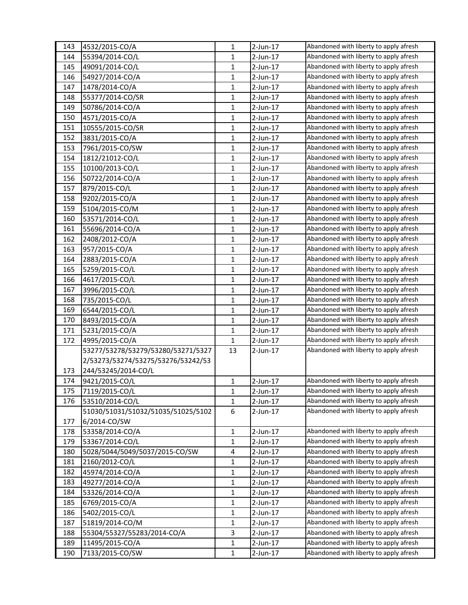| 143 | 4532/2015-CO/A                     | $\mathbf{1}$ | 2-Jun-17    | Abandoned with liberty to apply afresh |
|-----|------------------------------------|--------------|-------------|----------------------------------------|
| 144 | 55394/2014-CO/L                    | 1            | 2-Jun-17    | Abandoned with liberty to apply afresh |
| 145 | 49091/2014-CO/L                    | $\mathbf{1}$ | $2$ -Jun-17 | Abandoned with liberty to apply afresh |
| 146 | 54927/2014-CO/A                    | $\mathbf{1}$ | 2-Jun-17    | Abandoned with liberty to apply afresh |
| 147 | 1478/2014-CO/A                     | $\mathbf{1}$ | $2$ -Jun-17 | Abandoned with liberty to apply afresh |
| 148 | 55377/2014-CO/SR                   | $\mathbf{1}$ | 2-Jun-17    | Abandoned with liberty to apply afresh |
| 149 | 50786/2014-CO/A                    | 1            | 2-Jun-17    | Abandoned with liberty to apply afresh |
| 150 | 4571/2015-CO/A                     | $\mathbf{1}$ | 2-Jun-17    | Abandoned with liberty to apply afresh |
| 151 | 10555/2015-CO/SR                   | $\mathbf{1}$ | $2$ -Jun-17 | Abandoned with liberty to apply afresh |
| 152 | 3831/2015-CO/A                     | $\mathbf{1}$ | $2$ -Jun-17 | Abandoned with liberty to apply afresh |
| 153 | 7961/2015-CO/SW                    | 1            | 2-Jun-17    | Abandoned with liberty to apply afresh |
| 154 | 1812/21012-CO/L                    | 1            | 2-Jun-17    | Abandoned with liberty to apply afresh |
| 155 | 10100/2013-CO/L                    | $\mathbf{1}$ | 2-Jun-17    | Abandoned with liberty to apply afresh |
| 156 | 50722/2014-CO/A                    | 1            | $2$ -Jun-17 | Abandoned with liberty to apply afresh |
| 157 | 879/2015-CO/L                      | $\mathbf{1}$ | 2-Jun-17    | Abandoned with liberty to apply afresh |
| 158 | 9202/2015-CO/A                     | 1            | 2-Jun-17    | Abandoned with liberty to apply afresh |
| 159 | 5104/2015-CO/M                     | $\mathbf{1}$ | 2-Jun-17    | Abandoned with liberty to apply afresh |
| 160 | 53571/2014-CO/L                    | $\mathbf{1}$ | $2$ -Jun-17 | Abandoned with liberty to apply afresh |
| 161 | 55696/2014-CO/A                    | $\mathbf{1}$ | 2-Jun-17    | Abandoned with liberty to apply afresh |
| 162 | 2408/2012-CO/A                     | $\mathbf{1}$ | 2-Jun-17    | Abandoned with liberty to apply afresh |
| 163 | 957/2015-CO/A                      | 1            | 2-Jun-17    | Abandoned with liberty to apply afresh |
| 164 | 2883/2015-CO/A                     | 1            | $2$ -Jun-17 | Abandoned with liberty to apply afresh |
| 165 | 5259/2015-CO/L                     | $\mathbf{1}$ | $2$ -Jun-17 | Abandoned with liberty to apply afresh |
| 166 | 4617/2015-CO/L                     | $\mathbf{1}$ | $2$ -Jun-17 | Abandoned with liberty to apply afresh |
| 167 | 3996/2015-CO/L                     | $\mathbf{1}$ | 2-Jun-17    | Abandoned with liberty to apply afresh |
| 168 | 735/2015-CO/L                      | 1            | $2$ -Jun-17 | Abandoned with liberty to apply afresh |
| 169 | 6544/2015-CO/L                     | $\mathbf{1}$ | 2-Jun-17    | Abandoned with liberty to apply afresh |
| 170 | 8493/2015-CO/A                     | $\mathbf{1}$ | $2$ -Jun-17 | Abandoned with liberty to apply afresh |
| 171 | 5231/2015-CO/A                     | $\mathbf{1}$ | $2$ -Jun-17 | Abandoned with liberty to apply afresh |
| 172 | 4995/2015-CO/A                     | 1            | $2$ -Jun-17 | Abandoned with liberty to apply afresh |
|     | 53277/53278/53279/53280/53271/5327 | 13           | $2$ -Jun-17 | Abandoned with liberty to apply afresh |
|     | 2/53273/53274/53275/53276/53242/53 |              |             |                                        |
| 173 | 244/53245/2014-CO/L                |              |             |                                        |
| 174 | 9421/2015-CO/L                     | 1            | $2$ -Jun-17 | Abandoned with liberty to apply afresh |
| 175 | 7119/2015-CO/L                     | 1            | 2-Jun-17    | Abandoned with liberty to apply afresh |
| 176 | 53510/2014-CO/L                    | 1            | 2-Jun-17    | Abandoned with liberty to apply afresh |
|     | 51030/51031/51032/51035/51025/5102 | 6            | 2-Jun-17    | Abandoned with liberty to apply afresh |
| 177 | 6/2014-CO/SW                       |              |             |                                        |
| 178 | 53358/2014-CO/A                    | $\mathbf{1}$ | 2-Jun-17    | Abandoned with liberty to apply afresh |
| 179 | 53367/2014-CO/L                    | $\mathbf{1}$ | 2-Jun-17    | Abandoned with liberty to apply afresh |
| 180 | 5028/5044/5049/5037/2015-CO/SW     | 4            | 2-Jun-17    | Abandoned with liberty to apply afresh |
| 181 | 2160/2012-CO/L                     | $\mathbf{1}$ | 2-Jun-17    | Abandoned with liberty to apply afresh |
| 182 | 45974/2014-CO/A                    | $\mathbf{1}$ | $2$ -Jun-17 | Abandoned with liberty to apply afresh |
| 183 | 49277/2014-CO/A                    | 1            | 2-Jun-17    | Abandoned with liberty to apply afresh |
| 184 | 53326/2014-CO/A                    | 1            | 2-Jun-17    | Abandoned with liberty to apply afresh |
| 185 | 6769/2015-CO/A                     | $\mathbf{1}$ | 2-Jun-17    | Abandoned with liberty to apply afresh |
| 186 | 5402/2015-CO/L                     | 1            | 2-Jun-17    | Abandoned with liberty to apply afresh |
| 187 | 51819/2014-CO/M                    | $\mathbf{1}$ | $2$ -Jun-17 | Abandoned with liberty to apply afresh |
| 188 | 55304/55327/55283/2014-CO/A        | 3            | 2-Jun-17    | Abandoned with liberty to apply afresh |
| 189 | 11495/2015-CO/A                    | 1            | $2$ -Jun-17 | Abandoned with liberty to apply afresh |
| 190 | 7133/2015-CO/SW                    | $\mathbf{1}$ | 2-Jun-17    | Abandoned with liberty to apply afresh |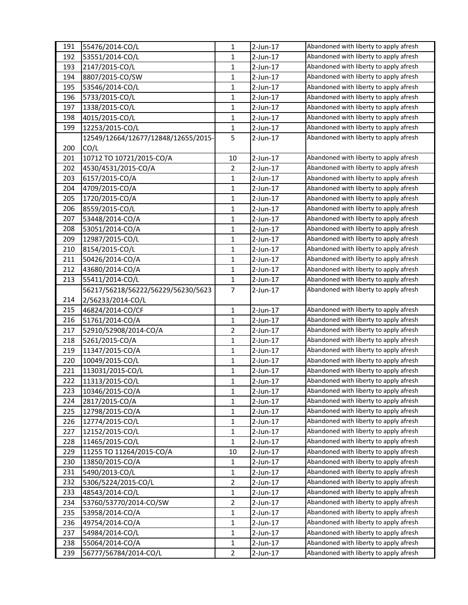| 191 | 55476/2014-CO/L                     | $\mathbf{1}$   | $2$ -Jun-17 | Abandoned with liberty to apply afresh |
|-----|-------------------------------------|----------------|-------------|----------------------------------------|
| 192 | 53551/2014-CO/L                     | 1              | $2$ -Jun-17 | Abandoned with liberty to apply afresh |
| 193 | 2147/2015-CO/L                      | $\mathbf{1}$   | 2-Jun-17    | Abandoned with liberty to apply afresh |
| 194 | 8807/2015-CO/SW                     | 1              | $2$ -Jun-17 | Abandoned with liberty to apply afresh |
| 195 | 53546/2014-CO/L                     | $\mathbf{1}$   | $2$ -Jun-17 | Abandoned with liberty to apply afresh |
| 196 | 5733/2015-CO/L                      | 1              | 2-Jun-17    | Abandoned with liberty to apply afresh |
| 197 | 1338/2015-CO/L                      | 1              | 2-Jun-17    | Abandoned with liberty to apply afresh |
| 198 | 4015/2015-CO/L                      | $\mathbf{1}$   | 2-Jun-17    | Abandoned with liberty to apply afresh |
| 199 | 12253/2015-CO/L                     | $\mathbf{1}$   | 2-Jun-17    | Abandoned with liberty to apply afresh |
|     | 12549/12664/12677/12848/12655/2015- | 5              | 2-Jun-17    | Abandoned with liberty to apply afresh |
| 200 | CO/L                                |                |             |                                        |
| 201 | 10712 TO 10721/2015-CO/A            | 10             | 2-Jun-17    | Abandoned with liberty to apply afresh |
| 202 | 4530/4531/2015-CO/A                 | $\overline{2}$ | 2-Jun-17    | Abandoned with liberty to apply afresh |
| 203 | 6157/2015-CO/A                      | 1              | $2$ -Jun-17 | Abandoned with liberty to apply afresh |
| 204 | 4709/2015-CO/A                      | $\mathbf{1}$   | $2$ -Jun-17 | Abandoned with liberty to apply afresh |
| 205 | 1720/2015-CO/A                      | 1              | 2-Jun-17    | Abandoned with liberty to apply afresh |
| 206 | 8559/2015-CO/L                      | $\mathbf{1}$   | 2-Jun-17    | Abandoned with liberty to apply afresh |
| 207 | 53448/2014-CO/A                     | $\mathbf{1}$   | $2$ -Jun-17 | Abandoned with liberty to apply afresh |
| 208 | 53051/2014-CO/A                     | $\mathbf{1}$   | $2$ -Jun-17 | Abandoned with liberty to apply afresh |
| 209 | 12987/2015-CO/L                     | $\mathbf{1}$   | 2-Jun-17    | Abandoned with liberty to apply afresh |
| 210 | 8154/2015-CO/L                      | 1              | 2-Jun-17    | Abandoned with liberty to apply afresh |
| 211 | 50426/2014-CO/A                     | $\mathbf{1}$   | $2$ -Jun-17 | Abandoned with liberty to apply afresh |
| 212 | 43680/2014-CO/A                     | 1              | 2-Jun-17    | Abandoned with liberty to apply afresh |
| 213 | 55411/2014-CO/L                     | 1              | $2$ -Jun-17 | Abandoned with liberty to apply afresh |
|     | 56217/56218/56222/56229/56230/5623  | 7              | 2-Jun-17    | Abandoned with liberty to apply afresh |
| 214 | 2/56233/2014-CO/L                   |                |             |                                        |
| 215 | 46824/2014-CO/CF                    | $\mathbf{1}$   | 2-Jun-17    | Abandoned with liberty to apply afresh |
| 216 | 51761/2014-CO/A                     | $\mathbf{1}$   | 2-Jun-17    | Abandoned with liberty to apply afresh |
| 217 | 52910/52908/2014-CO/A               | $\overline{2}$ | $2$ -Jun-17 | Abandoned with liberty to apply afresh |
| 218 | 5261/2015-CO/A                      | $\mathbf{1}$   | 2-Jun-17    | Abandoned with liberty to apply afresh |
| 219 | 11347/2015-CO/A                     | 1              | 2-Jun-17    | Abandoned with liberty to apply afresh |
| 220 | 10049/2015-CO/L                     | $\mathbf{1}$   | $2$ -Jun-17 | Abandoned with liberty to apply afresh |
| 221 | 113031/2015-CO/L                    | 1              | $2$ -Jun-17 | Abandoned with liberty to apply afresh |
| 222 | 11313/2015-CO/L                     | $\mathbf{1}$   | $2$ -Jun-17 | Abandoned with liberty to apply afresh |
| 223 | 10346/2015-CO/A                     | 1              | 2-Jun-17    | Abandoned with liberty to apply afresh |
| 224 | 2817/2015-CO/A                      | 1              | 2-Jun-17    | Abandoned with liberty to apply afresh |
| 225 | 12798/2015-CO/A                     | $\mathbf{1}$   | $2$ -Jun-17 | Abandoned with liberty to apply afresh |
| 226 | 12774/2015-CO/L                     | $\mathbf{1}$   | 2-Jun-17    | Abandoned with liberty to apply afresh |
| 227 | 12152/2015-CO/L                     | $\mathbf{1}$   | 2-Jun-17    | Abandoned with liberty to apply afresh |
| 228 | 11465/2015-CO/L                     | 1              | 2-Jun-17    | Abandoned with liberty to apply afresh |
| 229 | 11255 TO 11264/2015-CO/A            | 10             | $2$ -Jun-17 | Abandoned with liberty to apply afresh |
| 230 | 13850/2015-CO/A                     | $\mathbf{1}$   | 2-Jun-17    | Abandoned with liberty to apply afresh |
| 231 | 5490/2013-CO/L                      | 1              | 2-Jun-17    | Abandoned with liberty to apply afresh |
| 232 | 5306/5224/2015-CO/L                 | 2              | 2-Jun-17    | Abandoned with liberty to apply afresh |
| 233 | 48543/2014-CO/L                     | $\mathbf{1}$   | 2-Jun-17    | Abandoned with liberty to apply afresh |
| 234 | 53760/53770/2014-CO/SW              | $\overline{2}$ | 2-Jun-17    | Abandoned with liberty to apply afresh |
| 235 | 53958/2014-CO/A                     | 1              | $2$ -Jun-17 | Abandoned with liberty to apply afresh |
| 236 | 49754/2014-CO/A                     | 1              | 2-Jun-17    | Abandoned with liberty to apply afresh |
| 237 | 54984/2014-CO/L                     | $\mathbf{1}$   | 2-Jun-17    | Abandoned with liberty to apply afresh |
| 238 | 55064/2014-CO/A                     | 1              | 2-Jun-17    | Abandoned with liberty to apply afresh |
| 239 | 56777/56784/2014-CO/L               | $\overline{2}$ | 2-Jun-17    | Abandoned with liberty to apply afresh |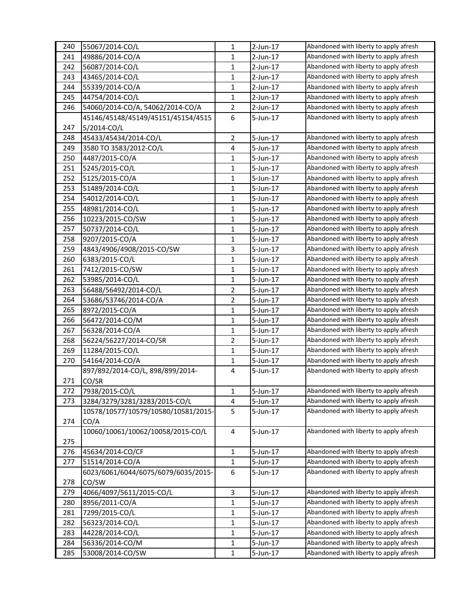| 240 | 55067/2014-CO/L                     | $\mathbf{1}$     | $2$ -Jun-17 | Abandoned with liberty to apply afresh |
|-----|-------------------------------------|------------------|-------------|----------------------------------------|
| 241 | 49886/2014-CO/A                     | 1                | $2$ -Jun-17 | Abandoned with liberty to apply afresh |
| 242 | 56087/2014-CO/L                     | $\mathbf 1$      | $2$ -Jun-17 | Abandoned with liberty to apply afresh |
| 243 | 43465/2014-CO/L                     | $\mathbf 1$      | $2$ -Jun-17 | Abandoned with liberty to apply afresh |
| 244 | 55339/2014-CO/A                     | 1                | $2$ -Jun-17 | Abandoned with liberty to apply afresh |
| 245 | 44754/2014-CO/L                     | 1                | 2-Jun-17    | Abandoned with liberty to apply afresh |
| 246 | 54060/2014-CO/A, 54062/2014-CO/A    | $\overline{2}$   | $2$ -Jun-17 | Abandoned with liberty to apply afresh |
|     | 45146/45148/45149/45151/45154/4515  | 6                | 5-Jun-17    | Abandoned with liberty to apply afresh |
| 247 | 5/2014-CO/L                         |                  |             |                                        |
| 248 | 45433/45434/2014-CO/L               | $\overline{2}$   | 5-Jun-17    | Abandoned with liberty to apply afresh |
| 249 | 3580 TO 3583/2012-CO/L              | 4                | 5-Jun-17    | Abandoned with liberty to apply afresh |
| 250 | 4487/2015-CO/A                      | $\mathbf 1$      | 5-Jun-17    | Abandoned with liberty to apply afresh |
| 251 | 5245/2015-CO/L                      | 1                | 5-Jun-17    | Abandoned with liberty to apply afresh |
| 252 | 5125/2015-CO/A                      | 1                | 5-Jun-17    | Abandoned with liberty to apply afresh |
| 253 | 51489/2014-CO/L                     | $\mathbf{1}$     | 5-Jun-17    | Abandoned with liberty to apply afresh |
| 254 | 54012/2014-CO/L                     | 1                | 5-Jun-17    | Abandoned with liberty to apply afresh |
| 255 | 48981/2014-CO/L                     | $\mathbf 1$      | 5-Jun-17    | Abandoned with liberty to apply afresh |
| 256 | 10223/2015-CO/SW                    | 1                | 5-Jun-17    | Abandoned with liberty to apply afresh |
| 257 | 50737/2014-CO/L                     | 1                | 5-Jun-17    | Abandoned with liberty to apply afresh |
| 258 | 9207/2015-CO/A                      | 1                | 5-Jun-17    | Abandoned with liberty to apply afresh |
| 259 | 4843/4906/4908/2015-CO/SW           | 3                | 5-Jun-17    | Abandoned with liberty to apply afresh |
| 260 | 6383/2015-CO/L                      | $\mathbf{1}$     | 5-Jun-17    | Abandoned with liberty to apply afresh |
| 261 | 7412/2015-CO/SW                     | $\mathbf 1$      | 5-Jun-17    | Abandoned with liberty to apply afresh |
| 262 | 53985/2014-CO/L                     | 1                | 5-Jun-17    | Abandoned with liberty to apply afresh |
|     |                                     |                  |             | Abandoned with liberty to apply afresh |
| 263 | 56488/56492/2014-CO/L               | $\overline{2}$   | 5-Jun-17    |                                        |
| 264 | 53686/53746/2014-CO/A               | $\overline{2}$   | 5-Jun-17    | Abandoned with liberty to apply afresh |
| 265 | 8972/2015-CO/A                      | $\mathbf{1}$     | 5-Jun-17    | Abandoned with liberty to apply afresh |
| 266 | 56472/2014-CO/M                     | $\mathbf 1$      | 5-Jun-17    | Abandoned with liberty to apply afresh |
| 267 | 56328/2014-CO/A                     | $\mathbf 1$      | 5-Jun-17    | Abandoned with liberty to apply afresh |
| 268 | 56224/56227/2014-CO/SR              | $\overline{2}$   | $5$ -Jun-17 | Abandoned with liberty to apply afresh |
| 269 | 11284/2015-CO/L                     | $\mathbf 1$      | 5-Jun-17    | Abandoned with liberty to apply afresh |
| 270 | 54164/2014-CO/A                     | 1                | 5-Jun-17    | Abandoned with liberty to apply afresh |
|     | 897/892/2014-CO/L, 898/899/2014-    | 4                | 5-Jun-17    | Abandoned with liberty to apply afresh |
| 271 | CO/SR                               |                  |             |                                        |
| 272 | 7938/2015-CO/L                      | 1                | 5-Jun-17    | Abandoned with liberty to apply afresh |
| 273 | 3284/3279/3281/3283/2015-CO/L       | 4                | 5-Jun-17    | Abandoned with liberty to apply afresh |
|     | 10578/10577/10579/10580/10581/2015- | 5                | 5-Jun-17    | Abandoned with liberty to apply afresh |
| 274 | CO/A                                |                  |             |                                        |
|     | 10060/10061/10062/10058/2015-CO/L   | 4                | 5-Jun-17    | Abandoned with liberty to apply afresh |
| 275 |                                     |                  |             |                                        |
| 276 | 45634/2014-CO/CF                    | $\mathbf{1}$     | 5-Jun-17    | Abandoned with liberty to apply afresh |
| 277 | 51514/2014-CO/A                     | $\mathbf 1$      | 5-Jun-17    | Abandoned with liberty to apply afresh |
|     | 6023/6061/6044/6075/6079/6035/2015- | $\boldsymbol{6}$ | 5-Jun-17    | Abandoned with liberty to apply afresh |
| 278 | CO/SW                               |                  |             |                                        |
| 279 | 4066/4097/5611/2015-CO/L            | 3                | 5-Jun-17    | Abandoned with liberty to apply afresh |
| 280 | 8956/2011-CO/A                      | $\mathbf{1}$     | 5-Jun-17    | Abandoned with liberty to apply afresh |
| 281 | 7299/2015-CO/L                      | 1                | 5-Jun-17    | Abandoned with liberty to apply afresh |
| 282 | 56323/2014-CO/L                     | $\mathbf 1$      | 5-Jun-17    | Abandoned with liberty to apply afresh |
| 283 | 44228/2014-CO/L                     | 1                | 5-Jun-17    | Abandoned with liberty to apply afresh |
| 284 | 56336/2014-CO/M                     | 1                | 5-Jun-17    | Abandoned with liberty to apply afresh |
| 285 | 53008/2014-CO/SW                    | $\mathbf{1}$     | 5-Jun-17    | Abandoned with liberty to apply afresh |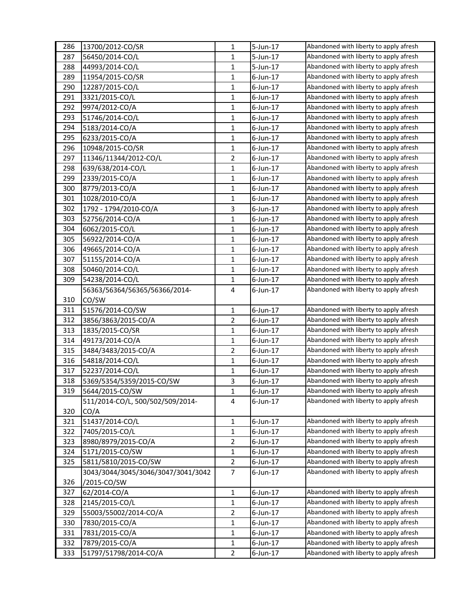| 286 | 13700/2012-CO/SR                   | $\mathbf{1}$   | 5-Jun-17    | Abandoned with liberty to apply afresh |
|-----|------------------------------------|----------------|-------------|----------------------------------------|
| 287 | 56450/2014-CO/L                    | 1              | 5-Jun-17    | Abandoned with liberty to apply afresh |
| 288 | 44993/2014-CO/L                    | $\mathbf{1}$   | 5-Jun-17    | Abandoned with liberty to apply afresh |
| 289 | 11954/2015-CO/SR                   | 1              | $6$ -Jun-17 | Abandoned with liberty to apply afresh |
| 290 | 12287/2015-CO/L                    | $\mathbf{1}$   | $6$ -Jun-17 | Abandoned with liberty to apply afresh |
| 291 | 3321/2015-CO/L                     | 1              | 6-Jun-17    | Abandoned with liberty to apply afresh |
| 292 | 9974/2012-CO/A                     | $\mathbf{1}$   | $6$ -Jun-17 | Abandoned with liberty to apply afresh |
| 293 | 51746/2014-CO/L                    | 1              | $6$ -Jun-17 | Abandoned with liberty to apply afresh |
| 294 | 5183/2014-CO/A                     | $\mathbf{1}$   | $6$ -Jun-17 | Abandoned with liberty to apply afresh |
| 295 | 6233/2015-CO/A                     | $\mathbf{1}$   | $6$ -Jun-17 | Abandoned with liberty to apply afresh |
| 296 | 10948/2015-CO/SR                   | $\mathbf{1}$   | $6$ -Jun-17 | Abandoned with liberty to apply afresh |
| 297 | 11346/11344/2012-CO/L              | $\overline{2}$ | $6$ -Jun-17 | Abandoned with liberty to apply afresh |
| 298 | 639/638/2014-CO/L                  | $\mathbf{1}$   | $6$ -Jun-17 | Abandoned with liberty to apply afresh |
| 299 | 2339/2015-CO/A                     | $\mathbf{1}$   | $6$ -Jun-17 | Abandoned with liberty to apply afresh |
| 300 | 8779/2013-CO/A                     | $\mathbf{1}$   | 6-Jun-17    | Abandoned with liberty to apply afresh |
| 301 | 1028/2010-CO/A                     | $\mathbf{1}$   | $6$ -Jun-17 | Abandoned with liberty to apply afresh |
| 302 | 1792 - 1794/2010-CO/A              | 3              | 6-Jun-17    | Abandoned with liberty to apply afresh |
| 303 | 52756/2014-CO/A                    | $\mathbf{1}$   | $6$ -Jun-17 | Abandoned with liberty to apply afresh |
| 304 | 6062/2015-CO/L                     | $\mathbf{1}$   | $6$ -Jun-17 | Abandoned with liberty to apply afresh |
| 305 | 56922/2014-CO/A                    | $\mathbf{1}$   | $6$ -Jun-17 | Abandoned with liberty to apply afresh |
| 306 | 49665/2014-CO/A                    | $\mathbf{1}$   | $6$ -Jun-17 | Abandoned with liberty to apply afresh |
| 307 | 51155/2014-CO/A                    | $\mathbf{1}$   | $6$ -Jun-17 | Abandoned with liberty to apply afresh |
| 308 | 50460/2014-CO/L                    | $\mathbf{1}$   | $6$ -Jun-17 | Abandoned with liberty to apply afresh |
| 309 | 54238/2014-CO/L                    | 1              | $6$ -Jun-17 | Abandoned with liberty to apply afresh |
|     | 56363/56364/56365/56366/2014-      | 4              | 6-Jun-17    | Abandoned with liberty to apply afresh |
| 310 | CO/SW                              |                |             |                                        |
| 311 | 51576/2014-CO/SW                   | 1              | $6$ -Jun-17 | Abandoned with liberty to apply afresh |
| 312 | 3856/3863/2015-CO/A                | $\overline{2}$ | $6$ -Jun-17 | Abandoned with liberty to apply afresh |
| 313 | 1835/2015-CO/SR                    | $\mathbf{1}$   | $6$ -Jun-17 | Abandoned with liberty to apply afresh |
| 314 | 49173/2014-CO/A                    | $\mathbf{1}$   | $6$ -Jun-17 | Abandoned with liberty to apply afresh |
| 315 | 3484/3483/2015-CO/A                | $\overline{2}$ | 6-Jun-17    | Abandoned with liberty to apply afresh |
| 316 | 54818/2014-CO/L                    | $\mathbf{1}$   | $6$ -Jun-17 | Abandoned with liberty to apply afresh |
| 317 | 52237/2014-CO/L                    | $\mathbf{1}$   | $6$ -Jun-17 | Abandoned with liberty to apply afresh |
| 318 | 5369/5354/5359/2015-CO/SW          | 3              | 6-Jun-17    | Abandoned with liberty to apply afresh |
| 319 | 5644/2015-CO/SW                    | 1              | $6$ -Jun-17 | Abandoned with liberty to apply afresh |
|     | 511/2014-CO/L, 500/502/509/2014-   | 4              | 6-Jun-17    | Abandoned with liberty to apply afresh |
| 320 | CO/A                               |                |             |                                        |
| 321 | 51437/2014-CO/L                    | 1              | $6$ -Jun-17 | Abandoned with liberty to apply afresh |
| 322 | 7405/2015-CO/L                     | $\mathbf{1}$   | $6$ -Jun-17 | Abandoned with liberty to apply afresh |
| 323 | 8980/8979/2015-CO/A                | 2              | 6-Jun-17    | Abandoned with liberty to apply afresh |
| 324 | 5171/2015-CO/SW                    | $\mathbf{1}$   | $6$ -Jun-17 | Abandoned with liberty to apply afresh |
| 325 | 5811/5810/2015-CO/SW               | $\overline{2}$ | $6$ -Jun-17 | Abandoned with liberty to apply afresh |
|     | 3043/3044/3045/3046/3047/3041/3042 | $\overline{7}$ | $6$ -Jun-17 | Abandoned with liberty to apply afresh |
| 326 | /2015-CO/SW                        |                |             |                                        |
| 327 | 62/2014-CO/A                       | 1              | 6-Jun-17    | Abandoned with liberty to apply afresh |
| 328 | 2145/2015-CO/L                     | $\mathbf 1$    | 6-Jun-17    | Abandoned with liberty to apply afresh |
| 329 | 55003/55002/2014-CO/A              | 2              | $6$ -Jun-17 | Abandoned with liberty to apply afresh |
| 330 | 7830/2015-CO/A                     | $\mathbf{1}$   | $6$ -Jun-17 | Abandoned with liberty to apply afresh |
| 331 | 7831/2015-CO/A                     | $\mathbf{1}$   | 6-Jun-17    | Abandoned with liberty to apply afresh |
| 332 | 7879/2015-CO/A                     | 1              | 6-Jun-17    | Abandoned with liberty to apply afresh |
| 333 | 51797/51798/2014-CO/A              | $\overline{2}$ | $6$ -Jun-17 | Abandoned with liberty to apply afresh |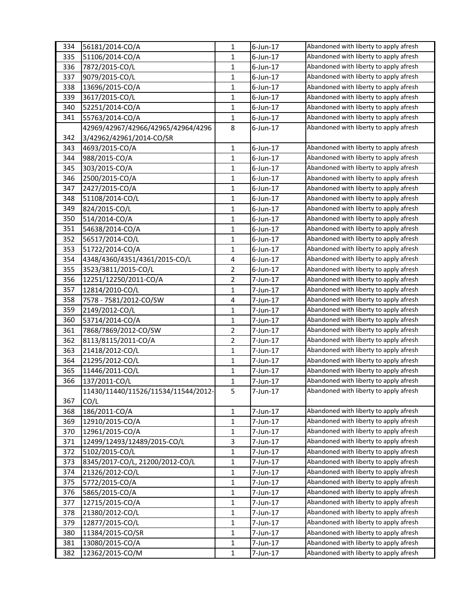| 334 | 56181/2014-CO/A                     | $\mathbf{1}$            | $6$ -Jun-17 | Abandoned with liberty to apply afresh |
|-----|-------------------------------------|-------------------------|-------------|----------------------------------------|
| 335 | 51106/2014-CO/A                     | 1                       | 6-Jun-17    | Abandoned with liberty to apply afresh |
| 336 | 7872/2015-CO/L                      | $\mathbf{1}$            | $6$ -Jun-17 | Abandoned with liberty to apply afresh |
| 337 | 9079/2015-CO/L                      | $\mathbf{1}$            | $6$ -Jun-17 | Abandoned with liberty to apply afresh |
| 338 | 13696/2015-CO/A                     | $\mathbf{1}$            | $6$ -Jun-17 | Abandoned with liberty to apply afresh |
| 339 | 3617/2015-CO/L                      | $\mathbf{1}$            | $6$ -Jun-17 | Abandoned with liberty to apply afresh |
| 340 | 52251/2014-CO/A                     | 1                       | $6$ -Jun-17 | Abandoned with liberty to apply afresh |
| 341 | 55763/2014-CO/A                     | $\mathbf{1}$            | $6$ -Jun-17 | Abandoned with liberty to apply afresh |
|     | 42969/42967/42966/42965/42964/4296  | 8                       | $6$ -Jun-17 | Abandoned with liberty to apply afresh |
| 342 | 3/42962/42961/2014-CO/SR            |                         |             |                                        |
| 343 | 4693/2015-CO/A                      | 1                       | 6-Jun-17    | Abandoned with liberty to apply afresh |
| 344 | 988/2015-CO/A                       | 1                       | $6$ -Jun-17 | Abandoned with liberty to apply afresh |
| 345 | 303/2015-CO/A                       | $\mathbf{1}$            | $6$ -Jun-17 | Abandoned with liberty to apply afresh |
| 346 | 2500/2015-CO/A                      | 1                       | $6$ -Jun-17 | Abandoned with liberty to apply afresh |
| 347 | 2427/2015-CO/A                      | $\mathbf{1}$            | $6$ -Jun-17 | Abandoned with liberty to apply afresh |
| 348 | 51108/2014-CO/L                     | 1                       | $6$ -Jun-17 | Abandoned with liberty to apply afresh |
| 349 | 824/2015-CO/L                       | $\mathbf{1}$            | $6$ -Jun-17 | Abandoned with liberty to apply afresh |
| 350 | 514/2014-CO/A                       | $\mathbf{1}$            | $6$ -Jun-17 | Abandoned with liberty to apply afresh |
| 351 | 54638/2014-CO/A                     | $\mathbf{1}$            | 6-Jun-17    | Abandoned with liberty to apply afresh |
| 352 | 56517/2014-CO/L                     | $\mathbf{1}$            | 6-Jun-17    | Abandoned with liberty to apply afresh |
| 353 | 51722/2014-CO/A                     | 1                       | 6-Jun-17    | Abandoned with liberty to apply afresh |
| 354 | 4348/4360/4351/4361/2015-CO/L       | 4                       | $6$ -Jun-17 | Abandoned with liberty to apply afresh |
| 355 | 3523/3811/2015-CO/L                 | $\overline{2}$          | $6$ -Jun-17 | Abandoned with liberty to apply afresh |
| 356 | 12251/12250/2011-CO/A               | $\overline{2}$          | 7-Jun-17    | Abandoned with liberty to apply afresh |
| 357 | 12814/2010-CO/L                     | $\mathbf{1}$            | 7-Jun-17    | Abandoned with liberty to apply afresh |
| 358 | 7578 - 7581/2012-CO/SW              | $\overline{\mathbf{4}}$ | 7-Jun-17    | Abandoned with liberty to apply afresh |
| 359 | 2149/2012-CO/L                      | $\mathbf{1}$            | 7-Jun-17    | Abandoned with liberty to apply afresh |
| 360 | 53714/2014-CO/A                     | $\mathbf{1}$            | 7-Jun-17    | Abandoned with liberty to apply afresh |
| 361 | 7868/7869/2012-CO/SW                | 2                       | 7-Jun-17    | Abandoned with liberty to apply afresh |
| 362 | 8113/8115/2011-CO/A                 | 2                       | 7-Jun-17    | Abandoned with liberty to apply afresh |
| 363 | 21418/2012-CO/L                     | 1                       | 7-Jun-17    | Abandoned with liberty to apply afresh |
| 364 | 21295/2012-CO/L                     | $\mathbf{1}$            | 7-Jun-17    | Abandoned with liberty to apply afresh |
| 365 | 11446/2011-CO/L                     | $\mathbf{1}$            | 7-Jun-17    | Abandoned with liberty to apply afresh |
| 366 | 137/2011-CO/L                       | 1                       | 7-Jun-17    | Abandoned with liberty to apply afresh |
|     | 11430/11440/11526/11534/11544/2012- | 5                       | 7-Jun-17    | Abandoned with liberty to apply afresh |
| 367 | CO/L                                |                         |             |                                        |
| 368 | 186/2011-CO/A                       | $\mathbf{1}$            | 7-Jun-17    | Abandoned with liberty to apply afresh |
| 369 | 12910/2015-CO/A                     | $\mathbf{1}$            | 7-Jun-17    | Abandoned with liberty to apply afresh |
| 370 | 12961/2015-CO/A                     | 1                       | 7-Jun-17    | Abandoned with liberty to apply afresh |
| 371 | 12499/12493/12489/2015-CO/L         | 3                       | 7-Jun-17    | Abandoned with liberty to apply afresh |
| 372 | 5102/2015-CO/L                      | $\mathbf{1}$            | 7-Jun-17    | Abandoned with liberty to apply afresh |
| 373 | 8345/2017-CO/L, 21200/2012-CO/L     | $\mathbf{1}$            | 7-Jun-17    | Abandoned with liberty to apply afresh |
| 374 | 21326/2012-CO/L                     | $\mathbf{1}$            | 7-Jun-17    | Abandoned with liberty to apply afresh |
| 375 | 5772/2015-CO/A                      | 1                       | 7-Jun-17    | Abandoned with liberty to apply afresh |
| 376 | 5865/2015-CO/A                      | 1                       | 7-Jun-17    | Abandoned with liberty to apply afresh |
| 377 | 12715/2015-CO/A                     | $\mathbf{1}$            | 7-Jun-17    | Abandoned with liberty to apply afresh |
| 378 | 21380/2012-CO/L                     | 1                       | 7-Jun-17    | Abandoned with liberty to apply afresh |
| 379 | 12877/2015-CO/L                     | $\mathbf{1}$            | 7-Jun-17    | Abandoned with liberty to apply afresh |
| 380 | 11384/2015-CO/SR                    | 1                       | 7-Jun-17    | Abandoned with liberty to apply afresh |
| 381 | 13080/2015-CO/A                     | 1                       | 7-Jun-17    | Abandoned with liberty to apply afresh |
| 382 | 12362/2015-CO/M                     | $\mathbf{1}$            | 7-Jun-17    | Abandoned with liberty to apply afresh |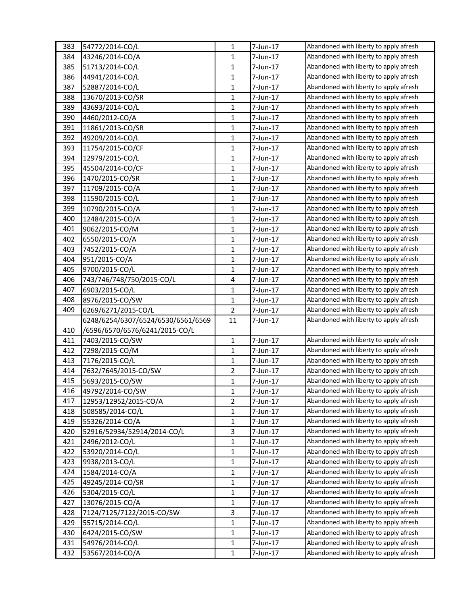| 383 | 54772/2014-CO/L                    | $\mathbf{1}$            | 7-Jun-17 | Abandoned with liberty to apply afresh |
|-----|------------------------------------|-------------------------|----------|----------------------------------------|
| 384 | 43246/2014-CO/A                    | 1                       | 7-Jun-17 | Abandoned with liberty to apply afresh |
| 385 | 51713/2014-CO/L                    | $\mathbf{1}$            | 7-Jun-17 | Abandoned with liberty to apply afresh |
| 386 | 44941/2014-CO/L                    | 1                       | 7-Jun-17 | Abandoned with liberty to apply afresh |
| 387 | 52887/2014-CO/L                    | $\mathbf{1}$            | 7-Jun-17 | Abandoned with liberty to apply afresh |
| 388 | 13670/2013-CO/SR                   | $\mathbf{1}$            | 7-Jun-17 | Abandoned with liberty to apply afresh |
| 389 | 43693/2014-CO/L                    | $\mathbf{1}$            | 7-Jun-17 | Abandoned with liberty to apply afresh |
| 390 | 4460/2012-CO/A                     | $\mathbf{1}$            | 7-Jun-17 | Abandoned with liberty to apply afresh |
| 391 | 11861/2013-CO/SR                   | $\mathbf{1}$            | 7-Jun-17 | Abandoned with liberty to apply afresh |
| 392 | 49209/2014-CO/L                    | $\mathbf{1}$            | 7-Jun-17 | Abandoned with liberty to apply afresh |
| 393 | 11754/2015-CO/CF                   | $\mathbf{1}$            | 7-Jun-17 | Abandoned with liberty to apply afresh |
| 394 | 12979/2015-CO/L                    | $\mathbf{1}$            | 7-Jun-17 | Abandoned with liberty to apply afresh |
| 395 | 45504/2014-CO/CF                   | $\mathbf{1}$            | 7-Jun-17 | Abandoned with liberty to apply afresh |
| 396 | 1470/2015-CO/SR                    | $\mathbf{1}$            | 7-Jun-17 | Abandoned with liberty to apply afresh |
| 397 | 11709/2015-CO/A                    | $\mathbf{1}$            | 7-Jun-17 | Abandoned with liberty to apply afresh |
| 398 | 11590/2015-CO/L                    | 1                       | 7-Jun-17 | Abandoned with liberty to apply afresh |
| 399 | 10790/2015-CO/A                    | $\mathbf{1}$            | 7-Jun-17 | Abandoned with liberty to apply afresh |
| 400 | 12484/2015-CO/A                    | $\mathbf{1}$            | 7-Jun-17 | Abandoned with liberty to apply afresh |
| 401 | 9062/2015-CO/M                     | $\mathbf{1}$            | 7-Jun-17 | Abandoned with liberty to apply afresh |
| 402 | 6550/2015-CO/A                     | $\mathbf{1}$            | 7-Jun-17 | Abandoned with liberty to apply afresh |
| 403 | 7452/2015-CO/A                     | 1                       | 7-Jun-17 | Abandoned with liberty to apply afresh |
| 404 | 951/2015-CO/A                      | $\mathbf{1}$            | 7-Jun-17 | Abandoned with liberty to apply afresh |
| 405 | 9700/2015-CO/L                     | $\mathbf{1}$            | 7-Jun-17 | Abandoned with liberty to apply afresh |
| 406 | 743/746/748/750/2015-CO/L          | $\overline{\mathbf{4}}$ | 7-Jun-17 | Abandoned with liberty to apply afresh |
| 407 | 6903/2015-CO/L                     | $\mathbf{1}$            | 7-Jun-17 | Abandoned with liberty to apply afresh |
| 408 | 8976/2015-CO/SW                    | 1                       | 7-Jun-17 | Abandoned with liberty to apply afresh |
| 409 | 6269/6271/2015-CO/L                | $\overline{2}$          | 7-Jun-17 | Abandoned with liberty to apply afresh |
|     | 6248/6254/6307/6524/6530/6561/6569 | 11                      | 7-Jun-17 | Abandoned with liberty to apply afresh |
| 410 | /6596/6570/6576/6241/2015-CO/L     |                         |          |                                        |
| 411 | 7403/2015-CO/SW                    | $\mathbf{1}$            | 7-Jun-17 | Abandoned with liberty to apply afresh |
| 412 | 7298/2015-CO/M                     | $\mathbf{1}$            | 7-Jun-17 | Abandoned with liberty to apply afresh |
| 413 | 7176/2015-CO/L                     | $\mathbf{1}$            | 7-Jun-17 | Abandoned with liberty to apply afresh |
| 414 | 7632/7645/2015-CO/SW               | $\overline{2}$          | 7-Jun-17 | Abandoned with liberty to apply afresh |
| 415 | 5693/2015-CO/SW                    | $\mathbf{1}$            | 7-Jun-17 | Abandoned with liberty to apply afresh |
| 416 | 49792/2014-CO/SW                   | $\mathbf{1}$            | 7-Jun-17 | Abandoned with liberty to apply afresh |
| 417 | 12953/12952/2015-CO/A              | $\overline{2}$          | 7-Jun-17 | Abandoned with liberty to apply afresh |
| 418 | 508585/2014-CO/L                   | $\mathbf{1}$            | 7-Jun-17 | Abandoned with liberty to apply afresh |
| 419 | 55326/2014-CO/A                    | $\mathbf{1}$            | 7-Jun-17 | Abandoned with liberty to apply afresh |
| 420 | 52916/52934/52914/2014-CO/L        | $\overline{\mathbf{3}}$ | 7-Jun-17 | Abandoned with liberty to apply afresh |
| 421 | 2496/2012-CO/L                     | $\mathbf{1}$            | 7-Jun-17 | Abandoned with liberty to apply afresh |
| 422 | 53920/2014-CO/L                    | $\mathbf{1}$            | 7-Jun-17 | Abandoned with liberty to apply afresh |
| 423 | 9938/2013-CO/L                     | $\mathbf{1}$            | 7-Jun-17 | Abandoned with liberty to apply afresh |
|     | 1584/2014-CO/A                     | $\mathbf{1}$            |          | Abandoned with liberty to apply afresh |
| 424 |                                    |                         | 7-Jun-17 | Abandoned with liberty to apply afresh |
| 425 | 49245/2014-CO/SR                   | $\mathbf{1}$            | 7-Jun-17 | Abandoned with liberty to apply afresh |
| 426 | 5304/2015-CO/L                     | $\mathbf{1}$            | 7-Jun-17 | Abandoned with liberty to apply afresh |
| 427 | 13076/2015-CO/A                    | $\mathbf{1}$            | 7-Jun-17 |                                        |
| 428 | 7124/7125/7122/2015-CO/SW          | $\overline{3}$          | 7-Jun-17 | Abandoned with liberty to apply afresh |
| 429 | 55715/2014-CO/L                    | $\mathbf{1}$            | 7-Jun-17 | Abandoned with liberty to apply afresh |
| 430 | 6424/2015-CO/SW                    | $\mathbf{1}$            | 7-Jun-17 | Abandoned with liberty to apply afresh |
| 431 | 54976/2014-CO/L                    | $\mathbf{1}$            | 7-Jun-17 | Abandoned with liberty to apply afresh |
| 432 | 53567/2014-CO/A                    | $\mathbf{1}$            | 7-Jun-17 | Abandoned with liberty to apply afresh |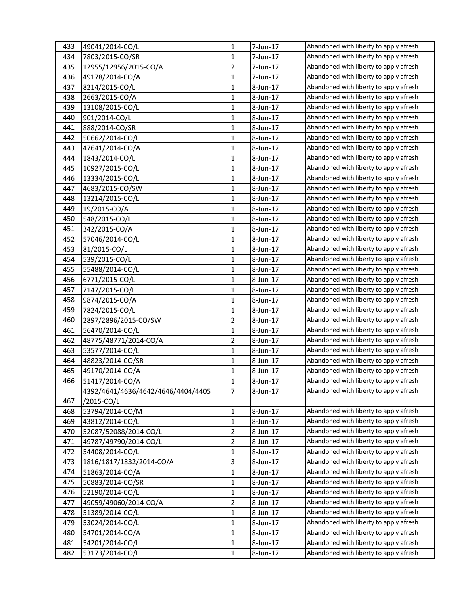| 433 | 49041/2014-CO/L                    | $\mathbf{1}$   | 7-Jun-17 | Abandoned with liberty to apply afresh |
|-----|------------------------------------|----------------|----------|----------------------------------------|
| 434 | 7803/2015-CO/SR                    | 1              | 7-Jun-17 | Abandoned with liberty to apply afresh |
| 435 | 12955/12956/2015-CO/A              | $\overline{2}$ | 7-Jun-17 | Abandoned with liberty to apply afresh |
| 436 | 49178/2014-CO/A                    | $\mathbf{1}$   | 7-Jun-17 | Abandoned with liberty to apply afresh |
| 437 | 8214/2015-CO/L                     | $\mathbf{1}$   | 8-Jun-17 | Abandoned with liberty to apply afresh |
| 438 | 2663/2015-CO/A                     | $\mathbf{1}$   | 8-Jun-17 | Abandoned with liberty to apply afresh |
| 439 | 13108/2015-CO/L                    | 1              | 8-Jun-17 | Abandoned with liberty to apply afresh |
| 440 | 901/2014-CO/L                      | $\mathbf{1}$   | 8-Jun-17 | Abandoned with liberty to apply afresh |
| 441 | 888/2014-CO/SR                     | $\mathbf{1}$   | 8-Jun-17 | Abandoned with liberty to apply afresh |
| 442 | 50662/2014-CO/L                    | $\mathbf{1}$   | 8-Jun-17 | Abandoned with liberty to apply afresh |
| 443 | 47641/2014-CO/A                    | 1              | 8-Jun-17 | Abandoned with liberty to apply afresh |
| 444 | 1843/2014-CO/L                     | 1              | 8-Jun-17 | Abandoned with liberty to apply afresh |
| 445 | 10927/2015-CO/L                    | $\mathbf{1}$   | 8-Jun-17 | Abandoned with liberty to apply afresh |
| 446 | 13334/2015-CO/L                    | 1              | 8-Jun-17 | Abandoned with liberty to apply afresh |
| 447 | 4683/2015-CO/SW                    | $\mathbf{1}$   | 8-Jun-17 | Abandoned with liberty to apply afresh |
| 448 | 13214/2015-CO/L                    | 1              | 8-Jun-17 | Abandoned with liberty to apply afresh |
| 449 | 19/2015-CO/A                       | $\mathbf{1}$   | 8-Jun-17 | Abandoned with liberty to apply afresh |
| 450 | 548/2015-CO/L                      | $\mathbf{1}$   | 8-Jun-17 | Abandoned with liberty to apply afresh |
| 451 | 342/2015-CO/A                      | $\mathbf{1}$   | 8-Jun-17 | Abandoned with liberty to apply afresh |
| 452 | 57046/2014-CO/L                    | $\mathbf{1}$   | 8-Jun-17 | Abandoned with liberty to apply afresh |
| 453 | 81/2015-CO/L                       | 1              | 8-Jun-17 | Abandoned with liberty to apply afresh |
| 454 | 539/2015-CO/L                      | 1              | 8-Jun-17 | Abandoned with liberty to apply afresh |
| 455 | 55488/2014-CO/L                    | $\mathbf{1}$   | 8-Jun-17 | Abandoned with liberty to apply afresh |
| 456 | 6771/2015-CO/L                     | 1              | 8-Jun-17 | Abandoned with liberty to apply afresh |
| 457 | 7147/2015-CO/L                     | $\mathbf{1}$   | 8-Jun-17 | Abandoned with liberty to apply afresh |
| 458 | 9874/2015-CO/A                     | 1              | 8-Jun-17 | Abandoned with liberty to apply afresh |
| 459 | 7824/2015-CO/L                     | $\mathbf{1}$   | 8-Jun-17 | Abandoned with liberty to apply afresh |
| 460 | 2897/2896/2015-CO/SW               | $\overline{2}$ | 8-Jun-17 | Abandoned with liberty to apply afresh |
| 461 | 56470/2014-CO/L                    | $\mathbf{1}$   | 8-Jun-17 | Abandoned with liberty to apply afresh |
| 462 | 48775/48771/2014-CO/A              | 2              | 8-Jun-17 | Abandoned with liberty to apply afresh |
| 463 | 53577/2014-CO/L                    | 1              | 8-Jun-17 | Abandoned with liberty to apply afresh |
| 464 | 48823/2014-CO/SR                   | $\mathbf{1}$   | 8-Jun-17 | Abandoned with liberty to apply afresh |
| 465 | 49170/2014-CO/A                    | $\mathbf{1}$   | 8-Jun-17 | Abandoned with liberty to apply afresh |
| 466 | 51417/2014-CO/A                    | 1              | 8-Jun-17 | Abandoned with liberty to apply afresh |
|     | 4392/4641/4636/4642/4646/4404/4405 | $\overline{7}$ | 8-Jun-17 | Abandoned with liberty to apply afresh |
| 467 | /2015-CO/L                         |                |          |                                        |
| 468 | 53794/2014-CO/M                    | $\mathbf{1}$   | 8-Jun-17 | Abandoned with liberty to apply afresh |
| 469 | 43812/2014-CO/L                    | $\mathbf{1}$   | 8-Jun-17 | Abandoned with liberty to apply afresh |
| 470 | 52087/52088/2014-CO/L              | 2              | 8-Jun-17 | Abandoned with liberty to apply afresh |
| 471 | 49787/49790/2014-CO/L              | $\overline{2}$ | 8-Jun-17 | Abandoned with liberty to apply afresh |
| 472 | 54408/2014-CO/L                    | $\mathbf{1}$   | 8-Jun-17 | Abandoned with liberty to apply afresh |
| 473 | 1816/1817/1832/2014-CO/A           | 3              | 8-Jun-17 | Abandoned with liberty to apply afresh |
| 474 | 51863/2014-CO/A                    | $\mathbf{1}$   | 8-Jun-17 | Abandoned with liberty to apply afresh |
| 475 | 50883/2014-CO/SR                   | 1              | 8-Jun-17 | Abandoned with liberty to apply afresh |
| 476 | 52190/2014-CO/L                    | 1              | 8-Jun-17 | Abandoned with liberty to apply afresh |
| 477 | 49059/49060/2014-CO/A              | $\overline{2}$ | 8-Jun-17 | Abandoned with liberty to apply afresh |
| 478 | 51389/2014-CO/L                    | 1              | 8-Jun-17 | Abandoned with liberty to apply afresh |
| 479 | 53024/2014-CO/L                    | $\mathbf{1}$   | 8-Jun-17 | Abandoned with liberty to apply afresh |
| 480 | 54701/2014-CO/A                    | 1              | 8-Jun-17 | Abandoned with liberty to apply afresh |
| 481 | 54201/2014-CO/L                    | 1              | 8-Jun-17 | Abandoned with liberty to apply afresh |
| 482 | 53173/2014-CO/L                    | $\mathbf{1}$   | 8-Jun-17 | Abandoned with liberty to apply afresh |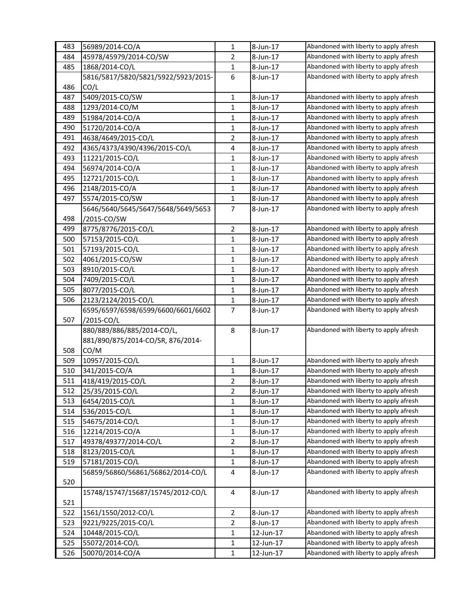| 483 | 56989/2014-CO/A                          | $\mathbf{1}$   | 8-Jun-17  | Abandoned with liberty to apply afresh |
|-----|------------------------------------------|----------------|-----------|----------------------------------------|
| 484 | 45978/45979/2014-CO/SW                   | 2              | 8-Jun-17  | Abandoned with liberty to apply afresh |
| 485 | 1868/2014-CO/L                           | $\mathbf{1}$   | 8-Jun-17  | Abandoned with liberty to apply afresh |
|     | 5816/5817/5820/5821/5922/5923/2015-      | 6              | 8-Jun-17  | Abandoned with liberty to apply afresh |
| 486 | CO/L                                     |                |           |                                        |
| 487 | 5409/2015-CO/SW                          | 1              | 8-Jun-17  | Abandoned with liberty to apply afresh |
| 488 | 1293/2014-CO/M                           | 1              | 8-Jun-17  | Abandoned with liberty to apply afresh |
| 489 | 51984/2014-CO/A                          | $\mathbf{1}$   | 8-Jun-17  | Abandoned with liberty to apply afresh |
| 490 | 51720/2014-CO/A                          | 1              | 8-Jun-17  | Abandoned with liberty to apply afresh |
| 491 | 4638/4649/2015-CO/L                      | $\overline{2}$ | 8-Jun-17  | Abandoned with liberty to apply afresh |
| 492 | 4365/4373/4390/4396/2015-CO/L            | 4              | 8-Jun-17  | Abandoned with liberty to apply afresh |
| 493 | 11221/2015-CO/L                          | 1              | 8-Jun-17  | Abandoned with liberty to apply afresh |
| 494 | 56974/2014-CO/A                          | $\mathbf{1}$   | 8-Jun-17  | Abandoned with liberty to apply afresh |
| 495 | 12721/2015-CO/L                          | $\mathbf{1}$   | 8-Jun-17  | Abandoned with liberty to apply afresh |
| 496 | 2148/2015-CO/A                           | $\mathbf{1}$   | 8-Jun-17  | Abandoned with liberty to apply afresh |
| 497 | 5574/2015-CO/SW                          | 1              | 8-Jun-17  | Abandoned with liberty to apply afresh |
|     | 5646/5640/5645/5647/5648/5649/5653       | 7              | 8-Jun-17  | Abandoned with liberty to apply afresh |
| 498 | /2015-CO/SW                              |                |           |                                        |
| 499 | 8775/8776/2015-CO/L                      | $\overline{2}$ | 8-Jun-17  | Abandoned with liberty to apply afresh |
| 500 | 57153/2015-CO/L                          | 1              | 8-Jun-17  | Abandoned with liberty to apply afresh |
| 501 | 57193/2015-CO/L                          | 1              | 8-Jun-17  | Abandoned with liberty to apply afresh |
| 502 | 4061/2015-CO/SW                          | 1              | 8-Jun-17  | Abandoned with liberty to apply afresh |
| 503 | 8910/2015-CO/L                           | $\mathbf{1}$   | 8-Jun-17  | Abandoned with liberty to apply afresh |
| 504 | 7409/2015-CO/L                           | $\mathbf{1}$   | 8-Jun-17  | Abandoned with liberty to apply afresh |
| 505 | 8077/2015-CO/L                           | 1              | 8-Jun-17  | Abandoned with liberty to apply afresh |
| 506 | 2123/2124/2015-CO/L                      | $\mathbf{1}$   | 8-Jun-17  | Abandoned with liberty to apply afresh |
|     |                                          | $\overline{7}$ |           | Abandoned with liberty to apply afresh |
| 507 | 6595/6597/6598/6599/6600/6601/6602       |                | 8-Jun-17  |                                        |
|     | /2015-CO/L<br>880/889/886/885/2014-CO/L, | 8              | 8-Jun-17  | Abandoned with liberty to apply afresh |
|     |                                          |                |           |                                        |
| 508 | 881/890/875/2014-CO/SR, 876/2014-        |                |           |                                        |
|     | CO/M<br>10957/2015-CO/L                  |                | 8-Jun-17  | Abandoned with liberty to apply afresh |
| 509 |                                          | $\mathbf{1}$   |           | Abandoned with liberty to apply afresh |
| 510 | 341/2015-CO/A                            | $\mathbf{1}$   | 8-Jun-17  |                                        |
| 511 | 418/419/2015-CO/L                        | 2              | 8-Jun-17  | Abandoned with liberty to apply afresh |
| 512 | 25/35/2015-CO/L                          | 2              | 8-Jun-17  | Abandoned with liberty to apply afresh |
| 513 | 6454/2015-CO/L                           | 1              | 8-Jun-17  | Abandoned with liberty to apply afresh |
| 514 | 536/2015-CO/L                            | 1              | 8-Jun-17  | Abandoned with liberty to apply afresh |
| 515 | 54675/2014-CO/L                          | 1              | 8-Jun-17  | Abandoned with liberty to apply afresh |
| 516 | 12214/2015-CO/A                          | 1              | 8-Jun-17  | Abandoned with liberty to apply afresh |
| 517 | 49378/49377/2014-CO/L                    | $\overline{2}$ | 8-Jun-17  | Abandoned with liberty to apply afresh |
| 518 | 8123/2015-CO/L                           | 1              | 8-Jun-17  | Abandoned with liberty to apply afresh |
| 519 | 57181/2015-CO/L                          | $\mathbf{1}$   | 8-Jun-17  | Abandoned with liberty to apply afresh |
|     | 56859/56860/56861/56862/2014-CO/L        | 4              | 8-Jun-17  | Abandoned with liberty to apply afresh |
| 520 |                                          |                |           |                                        |
|     | 15748/15747/15687/15745/2012-CO/L        | 4              | 8-Jun-17  | Abandoned with liberty to apply afresh |
| 521 |                                          |                |           |                                        |
| 522 | 1561/1550/2012-CO/L                      | $\overline{2}$ | 8-Jun-17  | Abandoned with liberty to apply afresh |
| 523 | 9221/9225/2015-CO/L                      | 2              | 8-Jun-17  | Abandoned with liberty to apply afresh |
| 524 | 10448/2015-CO/L                          | 1              | 12-Jun-17 | Abandoned with liberty to apply afresh |
| 525 | 55072/2014-CO/L                          | 1              | 12-Jun-17 | Abandoned with liberty to apply afresh |
| 526 | 50070/2014-CO/A                          | $\mathbf{1}$   | 12-Jun-17 | Abandoned with liberty to apply afresh |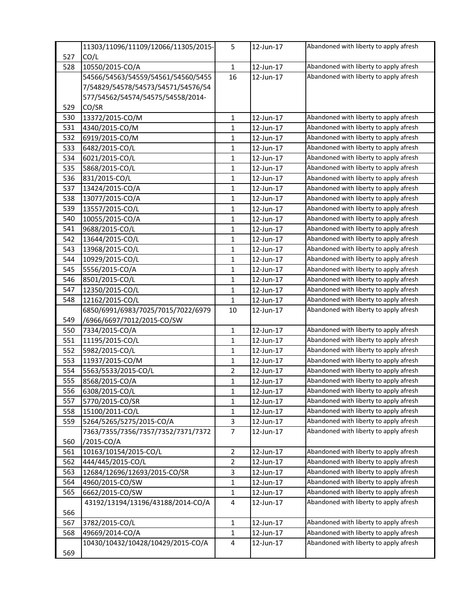|     | 11303/11096/11109/12066/11305/2015- | 5              | 12-Jun-17 | Abandoned with liberty to apply afresh |
|-----|-------------------------------------|----------------|-----------|----------------------------------------|
| 527 | CO/L                                |                |           |                                        |
| 528 | 10550/2015-CO/A                     | $\mathbf{1}$   | 12-Jun-17 | Abandoned with liberty to apply afresh |
|     | 54566/54563/54559/54561/54560/5455  | 16             | 12-Jun-17 | Abandoned with liberty to apply afresh |
|     | 7/54829/54578/54573/54571/54576/54  |                |           |                                        |
|     | 577/54562/54574/54575/54558/2014-   |                |           |                                        |
| 529 | CO/SR                               |                |           |                                        |
| 530 | 13372/2015-CO/M                     | $\mathbf{1}$   | 12-Jun-17 | Abandoned with liberty to apply afresh |
| 531 | 4340/2015-CO/M                      | $\mathbf{1}$   | 12-Jun-17 | Abandoned with liberty to apply afresh |
| 532 | 6919/2015-CO/M                      | $\mathbf{1}$   | 12-Jun-17 | Abandoned with liberty to apply afresh |
| 533 | 6482/2015-CO/L                      | 1              | 12-Jun-17 | Abandoned with liberty to apply afresh |
| 534 | 6021/2015-CO/L                      | $\mathbf{1}$   | 12-Jun-17 | Abandoned with liberty to apply afresh |
| 535 | 5868/2015-CO/L                      | 1              | 12-Jun-17 | Abandoned with liberty to apply afresh |
| 536 | 831/2015-CO/L                       | $\mathbf{1}$   | 12-Jun-17 | Abandoned with liberty to apply afresh |
| 537 | 13424/2015-CO/A                     | $\mathbf{1}$   | 12-Jun-17 | Abandoned with liberty to apply afresh |
| 538 | 13077/2015-CO/A                     | 1              | 12-Jun-17 | Abandoned with liberty to apply afresh |
| 539 | 13557/2015-CO/L                     | $\mathbf{1}$   | 12-Jun-17 | Abandoned with liberty to apply afresh |
| 540 | 10055/2015-CO/A                     | $\mathbf{1}$   | 12-Jun-17 | Abandoned with liberty to apply afresh |
| 541 | 9688/2015-CO/L                      | $\mathbf{1}$   | 12-Jun-17 | Abandoned with liberty to apply afresh |
| 542 | 13644/2015-CO/L                     | 1              | 12-Jun-17 | Abandoned with liberty to apply afresh |
| 543 | 13968/2015-CO/L                     | 1              | 12-Jun-17 | Abandoned with liberty to apply afresh |
| 544 | 10929/2015-CO/L                     | $\mathbf{1}$   | 12-Jun-17 | Abandoned with liberty to apply afresh |
| 545 | 5556/2015-CO/A                      | 1              | 12-Jun-17 | Abandoned with liberty to apply afresh |
| 546 | 8501/2015-CO/L                      | $\mathbf{1}$   | 12-Jun-17 | Abandoned with liberty to apply afresh |
| 547 | 12350/2015-CO/L                     | 1              | 12-Jun-17 | Abandoned with liberty to apply afresh |
| 548 | 12162/2015-CO/L                     | 1              | 12-Jun-17 | Abandoned with liberty to apply afresh |
|     | 6850/6991/6983/7025/7015/7022/6979  | 10             | 12-Jun-17 | Abandoned with liberty to apply afresh |
| 549 | /6966/6697/7012/2015-CO/SW          |                |           |                                        |
| 550 | 7334/2015-CO/A                      | $\mathbf{1}$   | 12-Jun-17 | Abandoned with liberty to apply afresh |
| 551 | 11195/2015-CO/L                     | 1              | 12-Jun-17 | Abandoned with liberty to apply afresh |
| 552 | 5982/2015-CO/L                      | $\mathbf{1}$   | 12-Jun-17 | Abandoned with liberty to apply afresh |
| 553 | 11937/2015-CO/M                     | 1              | 12-Jun-17 | Abandoned with liberty to apply afresh |
| 554 | 5563/5533/2015-CO/L                 | $\overline{2}$ | 12-Jun-17 | Abandoned with liberty to apply afresh |
| 555 | 8568/2015-CO/A                      | $\mathbf{1}$   | 12-Jun-17 | Abandoned with liberty to apply afresh |
| 556 | 6308/2015-CO/L                      | 1              | 12-Jun-17 | Abandoned with liberty to apply afresh |
| 557 | 5770/2015-CO/SR                     | 1              | 12-Jun-17 | Abandoned with liberty to apply afresh |
| 558 | 15100/2011-CO/L                     | 1              | 12-Jun-17 | Abandoned with liberty to apply afresh |
| 559 | 5264/5265/5275/2015-CO/A            | 3              | 12-Jun-17 | Abandoned with liberty to apply afresh |
|     | 7363/7355/7356/7357/7352/7371/7372  | $\overline{7}$ | 12-Jun-17 | Abandoned with liberty to apply afresh |
| 560 | /2015-CO/A                          |                |           |                                        |
| 561 | 10163/10154/2015-CO/L               | $\mathbf{2}$   | 12-Jun-17 | Abandoned with liberty to apply afresh |
| 562 | 444/445/2015-CO/L                   | $\overline{2}$ | 12-Jun-17 | Abandoned with liberty to apply afresh |
| 563 | 12684/12696/12693/2015-CO/SR        | 3              | 12-Jun-17 | Abandoned with liberty to apply afresh |
| 564 | 4960/2015-CO/SW                     | 1              | 12-Jun-17 | Abandoned with liberty to apply afresh |
| 565 | 6662/2015-CO/SW                     | 1              | 12-Jun-17 | Abandoned with liberty to apply afresh |
|     | 43192/13194/13196/43188/2014-CO/A   | 4              | 12-Jun-17 | Abandoned with liberty to apply afresh |
| 566 |                                     |                |           |                                        |
| 567 | 3782/2015-CO/L                      | 1              | 12-Jun-17 | Abandoned with liberty to apply afresh |
| 568 | 49669/2014-CO/A                     | 1              | 12-Jun-17 | Abandoned with liberty to apply afresh |
|     | 10430/10432/10428/10429/2015-CO/A   | 4              | 12-Jun-17 | Abandoned with liberty to apply afresh |
| 569 |                                     |                |           |                                        |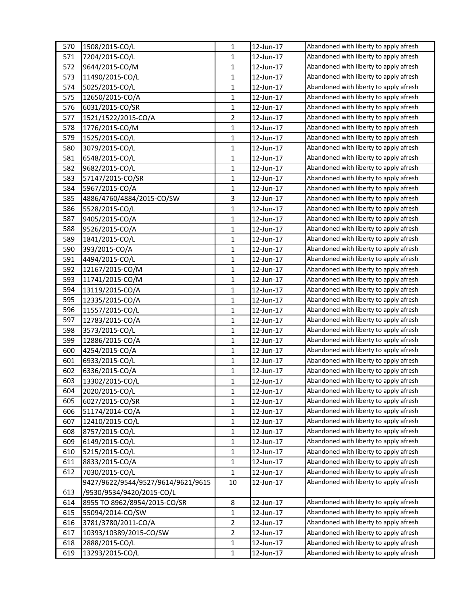| 570 | 1508/2015-CO/L                     | 1              | 12-Jun-17 | Abandoned with liberty to apply afresh |
|-----|------------------------------------|----------------|-----------|----------------------------------------|
| 571 | 7204/2015-CO/L                     | 1              | 12-Jun-17 | Abandoned with liberty to apply afresh |
| 572 | 9644/2015-CO/M                     | $\mathbf{1}$   | 12-Jun-17 | Abandoned with liberty to apply afresh |
| 573 | 11490/2015-CO/L                    | 1              | 12-Jun-17 | Abandoned with liberty to apply afresh |
| 574 | 5025/2015-CO/L                     | 1              | 12-Jun-17 | Abandoned with liberty to apply afresh |
| 575 | 12650/2015-CO/A                    | 1              | 12-Jun-17 | Abandoned with liberty to apply afresh |
| 576 | 6031/2015-CO/SR                    | 1              | 12-Jun-17 | Abandoned with liberty to apply afresh |
| 577 | 1521/1522/2015-CO/A                | $\overline{2}$ | 12-Jun-17 | Abandoned with liberty to apply afresh |
| 578 | 1776/2015-CO/M                     | $\mathbf{1}$   | 12-Jun-17 | Abandoned with liberty to apply afresh |
| 579 | 1525/2015-CO/L                     | $\mathbf{1}$   | 12-Jun-17 | Abandoned with liberty to apply afresh |
| 580 | 3079/2015-CO/L                     | 1              | 12-Jun-17 | Abandoned with liberty to apply afresh |
| 581 | 6548/2015-CO/L                     | 1              | 12-Jun-17 | Abandoned with liberty to apply afresh |
| 582 | 9682/2015-CO/L                     | 1              | 12-Jun-17 | Abandoned with liberty to apply afresh |
| 583 | 57147/2015-CO/SR                   | 1              | 12-Jun-17 | Abandoned with liberty to apply afresh |
| 584 | 5967/2015-CO/A                     | $\mathbf{1}$   | 12-Jun-17 | Abandoned with liberty to apply afresh |
| 585 | 4886/4760/4884/2015-CO/SW          | 3              | 12-Jun-17 | Abandoned with liberty to apply afresh |
| 586 | 5528/2015-CO/L                     | 1              | 12-Jun-17 | Abandoned with liberty to apply afresh |
| 587 | 9405/2015-CO/A                     | $\mathbf{1}$   | 12-Jun-17 | Abandoned with liberty to apply afresh |
| 588 | 9526/2015-CO/A                     | $\mathbf{1}$   | 12-Jun-17 | Abandoned with liberty to apply afresh |
| 589 | 1841/2015-CO/L                     | 1              | 12-Jun-17 | Abandoned with liberty to apply afresh |
| 590 | 393/2015-CO/A                      | 1              | 12-Jun-17 | Abandoned with liberty to apply afresh |
| 591 | 4494/2015-CO/L                     | 1              | 12-Jun-17 | Abandoned with liberty to apply afresh |
| 592 | 12167/2015-CO/M                    | 1              | 12-Jun-17 | Abandoned with liberty to apply afresh |
| 593 | 11741/2015-CO/M                    | 1              | 12-Jun-17 | Abandoned with liberty to apply afresh |
| 594 | 13119/2015-CO/A                    | 1              | 12-Jun-17 | Abandoned with liberty to apply afresh |
| 595 | 12335/2015-CO/A                    | 1              | 12-Jun-17 | Abandoned with liberty to apply afresh |
| 596 | 11557/2015-CO/L                    | 1              | 12-Jun-17 | Abandoned with liberty to apply afresh |
| 597 | 12783/2015-CO/A                    | $\mathbf{1}$   | 12-Jun-17 | Abandoned with liberty to apply afresh |
| 598 | 3573/2015-CO/L                     | $\mathbf{1}$   | 12-Jun-17 | Abandoned with liberty to apply afresh |
| 599 | 12886/2015-CO/A                    | $\mathbf{1}$   | 12-Jun-17 | Abandoned with liberty to apply afresh |
| 600 | 4254/2015-CO/A                     | 1              | 12-Jun-17 | Abandoned with liberty to apply afresh |
| 601 | 6933/2015-CO/L                     | 1              | 12-Jun-17 | Abandoned with liberty to apply afresh |
| 602 | 6336/2015-CO/A                     | 1              | 12-Jun-17 | Abandoned with liberty to apply afresh |
| 603 | 13302/2015-CO/L                    | 1              | 12-Jun-17 | Abandoned with liberty to apply afresh |
| 604 | 2020/2015-CO/L                     | 1              | 12-Jun-17 | Abandoned with liberty to apply afresh |
| 605 | 6027/2015-CO/SR                    | 1              | 12-Jun-17 | Abandoned with liberty to apply afresh |
| 606 | 51174/2014-CO/A                    | $\mathbf{1}$   | 12-Jun-17 | Abandoned with liberty to apply afresh |
| 607 | 12410/2015-CO/L                    | 1              | 12-Jun-17 | Abandoned with liberty to apply afresh |
| 608 | 8757/2015-CO/L                     | $\mathbf{1}$   | 12-Jun-17 | Abandoned with liberty to apply afresh |
| 609 | 6149/2015-CO/L                     | 1              | 12-Jun-17 | Abandoned with liberty to apply afresh |
| 610 | 5215/2015-CO/L                     | 1              | 12-Jun-17 | Abandoned with liberty to apply afresh |
| 611 | 8833/2015-CO/A                     | $\mathbf{1}$   | 12-Jun-17 | Abandoned with liberty to apply afresh |
| 612 | 7030/2015-CO/L                     | 1              | 12-Jun-17 | Abandoned with liberty to apply afresh |
|     | 9427/9622/9544/9527/9614/9621/9615 | $10\,$         | 12-Jun-17 | Abandoned with liberty to apply afresh |
| 613 | /9530/9534/9420/2015-CO/L          |                |           |                                        |
| 614 | 8955 TO 8962/8954/2015-CO/SR       | 8              | 12-Jun-17 | Abandoned with liberty to apply afresh |
| 615 | 55094/2014-CO/SW                   | 1              | 12-Jun-17 | Abandoned with liberty to apply afresh |
| 616 | 3781/3780/2011-CO/A                | 2              | 12-Jun-17 | Abandoned with liberty to apply afresh |
| 617 | 10393/10389/2015-CO/SW             | $\overline{2}$ | 12-Jun-17 | Abandoned with liberty to apply afresh |
| 618 | 2888/2015-CO/L                     | 1              | 12-Jun-17 | Abandoned with liberty to apply afresh |
| 619 | 13293/2015-CO/L                    | $\mathbf{1}$   | 12-Jun-17 | Abandoned with liberty to apply afresh |
|     |                                    |                |           |                                        |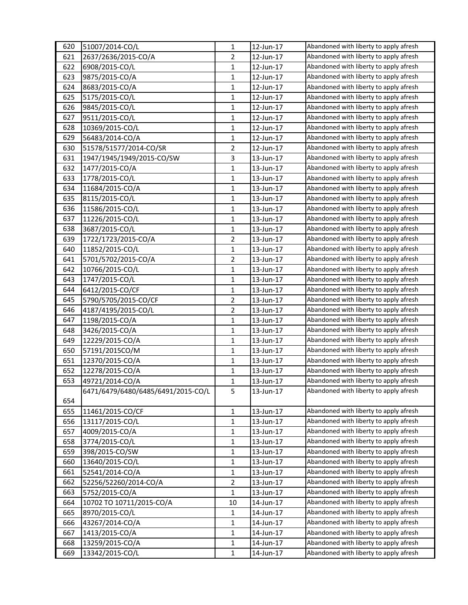| 620 | 51007/2014-CO/L                    | $\mathbf{1}$   | 12-Jun-17 | Abandoned with liberty to apply afresh |
|-----|------------------------------------|----------------|-----------|----------------------------------------|
| 621 | 2637/2636/2015-CO/A                | $\overline{2}$ | 12-Jun-17 | Abandoned with liberty to apply afresh |
| 622 | 6908/2015-CO/L                     | $\mathbf{1}$   | 12-Jun-17 | Abandoned with liberty to apply afresh |
| 623 | 9875/2015-CO/A                     | 1              | 12-Jun-17 | Abandoned with liberty to apply afresh |
| 624 | 8683/2015-CO/A                     | $\mathbf{1}$   | 12-Jun-17 | Abandoned with liberty to apply afresh |
| 625 | 5175/2015-CO/L                     | $\mathbf{1}$   | 12-Jun-17 | Abandoned with liberty to apply afresh |
| 626 | 9845/2015-CO/L                     | 1              | 12-Jun-17 | Abandoned with liberty to apply afresh |
| 627 | 9511/2015-CO/L                     | $\mathbf{1}$   | 12-Jun-17 | Abandoned with liberty to apply afresh |
| 628 | 10369/2015-CO/L                    | $\mathbf{1}$   | 12-Jun-17 | Abandoned with liberty to apply afresh |
| 629 | 56483/2014-CO/A                    | $\mathbf{1}$   | 12-Jun-17 | Abandoned with liberty to apply afresh |
| 630 | 51578/51577/2014-CO/SR             | $\overline{2}$ | 12-Jun-17 | Abandoned with liberty to apply afresh |
| 631 | 1947/1945/1949/2015-CO/SW          | 3              | 13-Jun-17 | Abandoned with liberty to apply afresh |
| 632 | 1477/2015-CO/A                     | $\mathbf{1}$   | 13-Jun-17 | Abandoned with liberty to apply afresh |
| 633 | 1778/2015-CO/L                     | $\mathbf{1}$   | 13-Jun-17 | Abandoned with liberty to apply afresh |
| 634 | 11684/2015-CO/A                    | $\mathbf{1}$   | 13-Jun-17 | Abandoned with liberty to apply afresh |
| 635 | 8115/2015-CO/L                     | 1              | 13-Jun-17 | Abandoned with liberty to apply afresh |
| 636 | 11586/2015-CO/L                    | $\mathbf{1}$   | 13-Jun-17 | Abandoned with liberty to apply afresh |
| 637 | 11226/2015-CO/L                    | $\mathbf{1}$   | 13-Jun-17 | Abandoned with liberty to apply afresh |
| 638 | 3687/2015-CO/L                     | $\mathbf{1}$   | 13-Jun-17 | Abandoned with liberty to apply afresh |
| 639 | 1722/1723/2015-CO/A                | $\overline{2}$ | 13-Jun-17 | Abandoned with liberty to apply afresh |
| 640 | 11852/2015-CO/L                    | 1              | 13-Jun-17 | Abandoned with liberty to apply afresh |
| 641 | 5701/5702/2015-CO/A                | $\overline{2}$ | 13-Jun-17 | Abandoned with liberty to apply afresh |
| 642 | 10766/2015-CO/L                    | $\mathbf{1}$   | 13-Jun-17 | Abandoned with liberty to apply afresh |
| 643 | 1747/2015-CO/L                     | $\mathbf{1}$   | 13-Jun-17 | Abandoned with liberty to apply afresh |
| 644 | 6412/2015-CO/CF                    | $\mathbf{1}$   | 13-Jun-17 | Abandoned with liberty to apply afresh |
| 645 | 5790/5705/2015-CO/CF               | $\overline{2}$ | 13-Jun-17 | Abandoned with liberty to apply afresh |
| 646 | 4187/4195/2015-CO/L                | $\overline{2}$ | 13-Jun-17 | Abandoned with liberty to apply afresh |
|     |                                    | $\mathbf{1}$   |           | Abandoned with liberty to apply afresh |
| 647 | 1198/2015-CO/A                     | $\mathbf{1}$   | 13-Jun-17 | Abandoned with liberty to apply afresh |
| 648 | 3426/2015-CO/A                     |                | 13-Jun-17 | Abandoned with liberty to apply afresh |
| 649 | 12229/2015-CO/A                    | $\mathbf{1}$   | 13-Jun-17 | Abandoned with liberty to apply afresh |
| 650 | 57191/2015CO/M                     | $\mathbf{1}$   | 13-Jun-17 | Abandoned with liberty to apply afresh |
| 651 | 12370/2015-CO/A                    | $\mathbf{1}$   | 13-Jun-17 | Abandoned with liberty to apply afresh |
| 652 | 12278/2015-CO/A                    | $\mathbf{1}$   | 13-Jun-17 |                                        |
| 653 | 49721/2014-CO/A                    | $\mathbf{1}$   | 13-Jun-17 | Abandoned with liberty to apply afresh |
|     | 6471/6479/6480/6485/6491/2015-CO/L | 5              | 13-Jun-17 | Abandoned with liberty to apply afresh |
| 654 |                                    |                |           |                                        |
| 655 | 11461/2015-CO/CF                   | $\mathbf{1}$   | 13-Jun-17 | Abandoned with liberty to apply afresh |
| 656 | 13117/2015-CO/L                    | $\mathbf{1}$   | 13-Jun-17 | Abandoned with liberty to apply afresh |
| 657 | 4009/2015-CO/A                     | $\mathbf{1}$   | 13-Jun-17 | Abandoned with liberty to apply afresh |
| 658 | 3774/2015-CO/L                     | $\mathbf{1}$   | 13-Jun-17 | Abandoned with liberty to apply afresh |
| 659 | 398/2015-CO/SW                     | $\mathbf{1}$   | 13-Jun-17 | Abandoned with liberty to apply afresh |
| 660 | 13640/2015-CO/L                    | $\mathbf{1}$   | 13-Jun-17 | Abandoned with liberty to apply afresh |
| 661 | 52541/2014-CO/A                    | $\mathbf{1}$   | 13-Jun-17 | Abandoned with liberty to apply afresh |
| 662 | 52256/52260/2014-CO/A              | $\overline{2}$ | 13-Jun-17 | Abandoned with liberty to apply afresh |
| 663 | 5752/2015-CO/A                     | $\mathbf{1}$   | 13-Jun-17 | Abandoned with liberty to apply afresh |
| 664 | 10702 TO 10711/2015-CO/A           | 10             | 14-Jun-17 | Abandoned with liberty to apply afresh |
| 665 | 8970/2015-CO/L                     | $\mathbf{1}$   | 14-Jun-17 | Abandoned with liberty to apply afresh |
| 666 | 43267/2014-CO/A                    | $\mathbf{1}$   | 14-Jun-17 | Abandoned with liberty to apply afresh |
| 667 | 1413/2015-CO/A                     | $\mathbf{1}$   | 14-Jun-17 | Abandoned with liberty to apply afresh |
| 668 | 13259/2015-CO/A                    | $\mathbf{1}$   | 14-Jun-17 | Abandoned with liberty to apply afresh |
| 669 | 13342/2015-CO/L                    | $\mathbf{1}$   | 14-Jun-17 | Abandoned with liberty to apply afresh |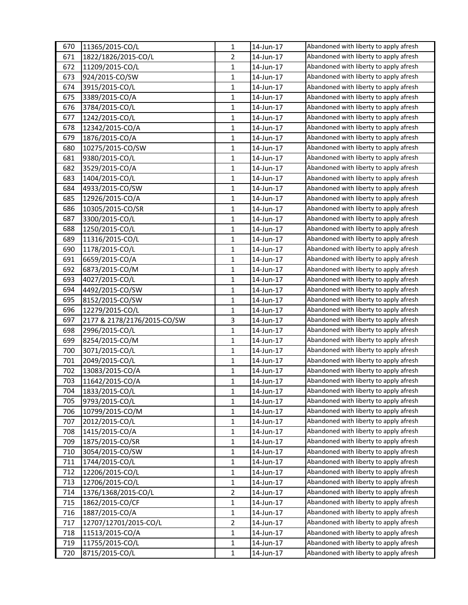| 670        | 11365/2015-CO/L             | $\mathbf{1}$                 | 14-Jun-17              | Abandoned with liberty to apply afresh |
|------------|-----------------------------|------------------------------|------------------------|----------------------------------------|
| 671        | 1822/1826/2015-CO/L         | $\overline{2}$               | 14-Jun-17              | Abandoned with liberty to apply afresh |
| 672        | 11209/2015-CO/L             | $\mathbf{1}$                 | 14-Jun-17              | Abandoned with liberty to apply afresh |
| 673        | 924/2015-CO/SW              | 1                            | 14-Jun-17              | Abandoned with liberty to apply afresh |
| 674        | 3915/2015-CO/L              | $\mathbf{1}$                 | 14-Jun-17              | Abandoned with liberty to apply afresh |
| 675        | 3389/2015-CO/A              | $\mathbf{1}$                 | 14-Jun-17              | Abandoned with liberty to apply afresh |
| 676        | 3784/2015-CO/L              | $\mathbf{1}$                 | 14-Jun-17              | Abandoned with liberty to apply afresh |
| 677        | 1242/2015-CO/L              | $\mathbf{1}$                 | 14-Jun-17              | Abandoned with liberty to apply afresh |
| 678        | 12342/2015-CO/A             | $\mathbf{1}$                 | 14-Jun-17              | Abandoned with liberty to apply afresh |
| 679        | 1876/2015-CO/A              | $\mathbf{1}$                 | 14-Jun-17              | Abandoned with liberty to apply afresh |
| 680        | 10275/2015-CO/SW            | $\mathbf{1}$                 | 14-Jun-17              | Abandoned with liberty to apply afresh |
| 681        | 9380/2015-CO/L              | $\mathbf{1}$                 | 14-Jun-17              | Abandoned with liberty to apply afresh |
| 682        | 3529/2015-CO/A              | $\mathbf{1}$                 | 14-Jun-17              | Abandoned with liberty to apply afresh |
| 683        | 1404/2015-CO/L              | $\mathbf{1}$                 | 14-Jun-17              | Abandoned with liberty to apply afresh |
| 684        | 4933/2015-CO/SW             | $\mathbf{1}$                 | 14-Jun-17              | Abandoned with liberty to apply afresh |
| 685        | 12926/2015-CO/A             | 1                            | 14-Jun-17              | Abandoned with liberty to apply afresh |
| 686        | 10305/2015-CO/SR            | $\mathbf{1}$                 | 14-Jun-17              | Abandoned with liberty to apply afresh |
| 687        | 3300/2015-CO/L              | $\mathbf{1}$                 | 14-Jun-17              | Abandoned with liberty to apply afresh |
| 688        | 1250/2015-CO/L              | $\mathbf{1}$                 | 14-Jun-17              | Abandoned with liberty to apply afresh |
| 689        | 11316/2015-CO/L             | $\mathbf{1}$                 | 14-Jun-17              | Abandoned with liberty to apply afresh |
| 690        | 1178/2015-CO/L              | 1                            | 14-Jun-17              | Abandoned with liberty to apply afresh |
| 691        | 6659/2015-CO/A              | $\mathbf{1}$                 | 14-Jun-17              | Abandoned with liberty to apply afresh |
| 692        | 6873/2015-CO/M              | $\mathbf{1}$                 | 14-Jun-17              | Abandoned with liberty to apply afresh |
| 693        | 4027/2015-CO/L              | $\mathbf{1}$                 | 14-Jun-17              | Abandoned with liberty to apply afresh |
| 694        | 4492/2015-CO/SW             | $\mathbf{1}$                 | 14-Jun-17              | Abandoned with liberty to apply afresh |
| 695        | 8152/2015-CO/SW             | 1                            | 14-Jun-17              | Abandoned with liberty to apply afresh |
| 696        | 12279/2015-CO/L             | $\mathbf{1}$                 | 14-Jun-17              | Abandoned with liberty to apply afresh |
| 697        | 2177 & 2178/2176/2015-CO/SW | $\overline{3}$               | 14-Jun-17              | Abandoned with liberty to apply afresh |
| 698        | 2996/2015-CO/L              | $\mathbf{1}$                 | 14-Jun-17              | Abandoned with liberty to apply afresh |
| 699        | 8254/2015-CO/M              | $\mathbf{1}$                 | 14-Jun-17              | Abandoned with liberty to apply afresh |
| 700        | 3071/2015-CO/L              | $\mathbf{1}$                 | 14-Jun-17              | Abandoned with liberty to apply afresh |
| 701        | 2049/2015-CO/L              | $\mathbf{1}$                 | 14-Jun-17              | Abandoned with liberty to apply afresh |
| 702        | 13083/2015-CO/A             | $\mathbf{1}$                 | 14-Jun-17              | Abandoned with liberty to apply afresh |
| 703        | 11642/2015-CO/A             | $\mathbf{1}$                 | 14-Jun-17              | Abandoned with liberty to apply afresh |
| 704        | 1833/2015-CO/L              | 1                            | 14-Jun-17              | Abandoned with liberty to apply afresh |
| 705        | 9793/2015-CO/L              | $\mathbf{1}$                 | 14-Jun-17              | Abandoned with liberty to apply afresh |
| 706        | 10799/2015-CO/M             | $\mathbf{1}$                 | 14-Jun-17              | Abandoned with liberty to apply afresh |
| 707        | 2012/2015-CO/L              | $\mathbf{1}$                 | 14-Jun-17              | Abandoned with liberty to apply afresh |
| 708        | 1415/2015-CO/A              | $\mathbf{1}$                 | 14-Jun-17              | Abandoned with liberty to apply afresh |
|            | 1875/2015-CO/SR             | $\mathbf{1}$                 | 14-Jun-17              | Abandoned with liberty to apply afresh |
| 709        |                             |                              |                        | Abandoned with liberty to apply afresh |
| 710<br>711 | 3054/2015-CO/SW             | $\mathbf{1}$<br>$\mathbf{1}$ | 14-Jun-17              | Abandoned with liberty to apply afresh |
|            | 1744/2015-CO/L              |                              | 14-Jun-17              | Abandoned with liberty to apply afresh |
| 712        | 12206/2015-CO/L             | $\mathbf{1}$                 | 14-Jun-17<br>14-Jun-17 | Abandoned with liberty to apply afresh |
| 713        | 12706/2015-CO/L             | $\mathbf{1}$                 |                        | Abandoned with liberty to apply afresh |
| 714        | 1376/1368/2015-CO/L         | $\overline{2}$               | 14-Jun-17              | Abandoned with liberty to apply afresh |
| 715        | 1862/2015-CO/CF             | $\mathbf{1}$                 | 14-Jun-17              |                                        |
| 716        | 1887/2015-CO/A              | $\mathbf{1}$                 | 14-Jun-17              | Abandoned with liberty to apply afresh |
| 717        | 12707/12701/2015-CO/L       | $\overline{2}$               | 14-Jun-17              | Abandoned with liberty to apply afresh |
| 718        | 11513/2015-CO/A             | $\mathbf{1}$                 | 14-Jun-17              | Abandoned with liberty to apply afresh |
| 719        | 11755/2015-CO/L             | $\mathbf{1}$                 | 14-Jun-17              | Abandoned with liberty to apply afresh |
| 720        | 8715/2015-CO/L              | $\mathbf{1}$                 | 14-Jun-17              | Abandoned with liberty to apply afresh |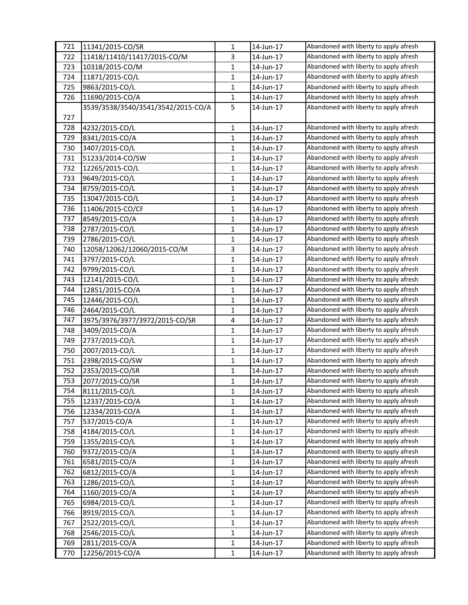| 721 | 11341/2015-CO/SR                   | 1            | 14-Jun-17 | Abandoned with liberty to apply afresh |
|-----|------------------------------------|--------------|-----------|----------------------------------------|
| 722 | 11418/11410/11417/2015-CO/M        | 3            | 14-Jun-17 | Abandoned with liberty to apply afresh |
| 723 | 10318/2015-CO/M                    | $\mathbf{1}$ | 14-Jun-17 | Abandoned with liberty to apply afresh |
| 724 | 11871/2015-CO/L                    | $\mathbf{1}$ | 14-Jun-17 | Abandoned with liberty to apply afresh |
| 725 | 9863/2015-CO/L                     | $\mathbf{1}$ | 14-Jun-17 | Abandoned with liberty to apply afresh |
| 726 | 11690/2015-CO/A                    | $\mathbf{1}$ | 14-Jun-17 | Abandoned with liberty to apply afresh |
|     | 3539/3538/3540/3541/3542/2015-CO/A | 5            | 14-Jun-17 | Abandoned with liberty to apply afresh |
| 727 |                                    |              |           |                                        |
| 728 | 4232/2015-CO/L                     | $\mathbf{1}$ | 14-Jun-17 | Abandoned with liberty to apply afresh |
| 729 | 8341/2015-CO/A                     | $\mathbf{1}$ | 14-Jun-17 | Abandoned with liberty to apply afresh |
| 730 | 3407/2015-CO/L                     | $\mathbf{1}$ | 14-Jun-17 | Abandoned with liberty to apply afresh |
| 731 | 51233/2014-CO/SW                   | $\mathbf{1}$ | 14-Jun-17 | Abandoned with liberty to apply afresh |
| 732 | 12265/2015-CO/L                    | $\mathbf{1}$ | 14-Jun-17 | Abandoned with liberty to apply afresh |
| 733 | 9649/2015-CO/L                     | $\mathbf{1}$ | 14-Jun-17 | Abandoned with liberty to apply afresh |
| 734 | 8759/2015-CO/L                     | $\mathbf{1}$ | 14-Jun-17 | Abandoned with liberty to apply afresh |
| 735 | 13047/2015-CO/L                    | $\mathbf{1}$ | 14-Jun-17 | Abandoned with liberty to apply afresh |
| 736 | 11406/2015-CO/CF                   | $\mathbf{1}$ | 14-Jun-17 | Abandoned with liberty to apply afresh |
| 737 | 8549/2015-CO/A                     | $\mathbf{1}$ | 14-Jun-17 | Abandoned with liberty to apply afresh |
| 738 | 2787/2015-CO/L                     | $\mathbf{1}$ | 14-Jun-17 | Abandoned with liberty to apply afresh |
| 739 | 2786/2015-CO/L                     | $\mathbf{1}$ | 14-Jun-17 | Abandoned with liberty to apply afresh |
| 740 | 12058/12062/12060/2015-CO/M        | 3            | 14-Jun-17 | Abandoned with liberty to apply afresh |
| 741 | 3797/2015-CO/L                     | $\mathbf{1}$ | 14-Jun-17 | Abandoned with liberty to apply afresh |
| 742 | 9799/2015-CO/L                     | $\mathbf{1}$ | 14-Jun-17 | Abandoned with liberty to apply afresh |
| 743 | 12141/2015-CO/L                    | $\mathbf{1}$ | 14-Jun-17 | Abandoned with liberty to apply afresh |
| 744 | 12851/2015-CO/A                    | $\mathbf{1}$ | 14-Jun-17 | Abandoned with liberty to apply afresh |
| 745 | 12446/2015-CO/L                    | $\mathbf{1}$ | 14-Jun-17 | Abandoned with liberty to apply afresh |
| 746 | 2464/2015-CO/L                     | $\mathbf{1}$ | 14-Jun-17 | Abandoned with liberty to apply afresh |
| 747 | 3975/3976/3977/3972/2015-CO/SR     | 4            | 14-Jun-17 | Abandoned with liberty to apply afresh |
| 748 | 3409/2015-CO/A                     | $\mathbf{1}$ | 14-Jun-17 | Abandoned with liberty to apply afresh |
| 749 | 2737/2015-CO/L                     | 1            | 14-Jun-17 | Abandoned with liberty to apply afresh |
| 750 | 2007/2015-CO/L                     | $\mathbf{1}$ | 14-Jun-17 | Abandoned with liberty to apply afresh |
| 751 | 2398/2015-CO/SW                    | $\mathbf{1}$ | 14-Jun-17 | Abandoned with liberty to apply afresh |
| 752 | 2353/2015-CO/SR                    | $\mathbf{1}$ | 14-Jun-17 | Abandoned with liberty to apply afresh |
| 753 | 2077/2015-CO/SR                    | $\mathbf{1}$ | 14-Jun-17 | Abandoned with liberty to apply afresh |
| 754 | 8111/2015-CO/L                     | $\mathbf{1}$ | 14-Jun-17 | Abandoned with liberty to apply afresh |
| 755 | 12337/2015-CO/A                    | $\mathbf{1}$ | 14-Jun-17 | Abandoned with liberty to apply afresh |
| 756 | 12334/2015-CO/A                    | $\mathbf{1}$ | 14-Jun-17 | Abandoned with liberty to apply afresh |
| 757 | 537/2015-CO/A                      | $\mathbf{1}$ | 14-Jun-17 | Abandoned with liberty to apply afresh |
| 758 | 4184/2015-CO/L                     | $\mathbf{1}$ | 14-Jun-17 | Abandoned with liberty to apply afresh |
| 759 | 1355/2015-CO/L                     | $\mathbf{1}$ | 14-Jun-17 | Abandoned with liberty to apply afresh |
| 760 | 9372/2015-CO/A                     | $\mathbf{1}$ | 14-Jun-17 | Abandoned with liberty to apply afresh |
| 761 | 6581/2015-CO/A                     | $\mathbf{1}$ | 14-Jun-17 | Abandoned with liberty to apply afresh |
| 762 | 6812/2015-CO/A                     | $\mathbf{1}$ | 14-Jun-17 | Abandoned with liberty to apply afresh |
| 763 | 1286/2015-CO/L                     | $\mathbf{1}$ | 14-Jun-17 | Abandoned with liberty to apply afresh |
| 764 | 1160/2015-CO/A                     | $\mathbf{1}$ | 14-Jun-17 | Abandoned with liberty to apply afresh |
| 765 | 6984/2015-CO/L                     | $\mathbf{1}$ | 14-Jun-17 | Abandoned with liberty to apply afresh |
| 766 | 8919/2015-CO/L                     | $\mathbf{1}$ | 14-Jun-17 | Abandoned with liberty to apply afresh |
| 767 | 2522/2015-CO/L                     | $\mathbf{1}$ | 14-Jun-17 | Abandoned with liberty to apply afresh |
| 768 | 2546/2015-CO/L                     | $\mathbf{1}$ | 14-Jun-17 | Abandoned with liberty to apply afresh |
| 769 | 2811/2015-CO/A                     | $\mathbf 1$  | 14-Jun-17 | Abandoned with liberty to apply afresh |
| 770 | 12256/2015-CO/A                    | $\mathbf{1}$ | 14-Jun-17 | Abandoned with liberty to apply afresh |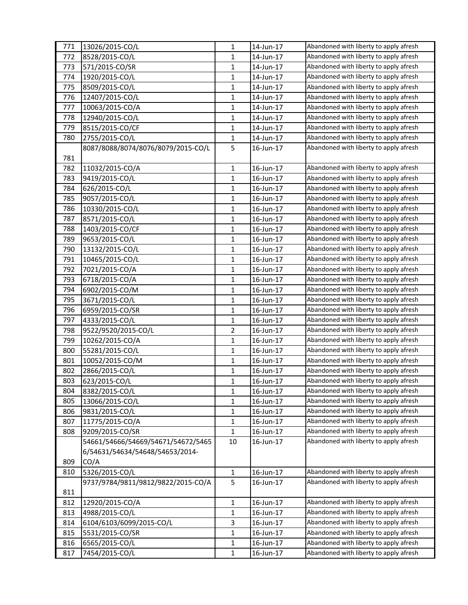| 771        | 13026/2015-CO/L                        | $\mathbf{1}$ | 14-Jun-17 | Abandoned with liberty to apply afresh |
|------------|----------------------------------------|--------------|-----------|----------------------------------------|
| 772        | 8528/2015-CO/L                         | 1            | 14-Jun-17 | Abandoned with liberty to apply afresh |
| 773        | 571/2015-CO/SR                         | $\mathbf{1}$ | 14-Jun-17 | Abandoned with liberty to apply afresh |
| 774        | 1920/2015-CO/L                         | $\mathbf{1}$ | 14-Jun-17 | Abandoned with liberty to apply afresh |
| 775        | 8509/2015-CO/L                         | $\mathbf{1}$ | 14-Jun-17 | Abandoned with liberty to apply afresh |
| 776        | 12407/2015-CO/L                        | 1            | 14-Jun-17 | Abandoned with liberty to apply afresh |
| 777        | 10063/2015-CO/A                        | 1            | 14-Jun-17 | Abandoned with liberty to apply afresh |
| 778        | 12940/2015-CO/L                        | $\mathbf{1}$ | 14-Jun-17 | Abandoned with liberty to apply afresh |
| 779        | 8515/2015-CO/CF                        | $\mathbf{1}$ | 14-Jun-17 | Abandoned with liberty to apply afresh |
| 780        | 2755/2015-CO/L                         | $\mathbf{1}$ | 14-Jun-17 | Abandoned with liberty to apply afresh |
|            | 8087/8088/8074/8076/8079/2015-CO/L     | 5            | 16-Jun-17 | Abandoned with liberty to apply afresh |
| 781        |                                        |              |           |                                        |
| 782        | 11032/2015-CO/A                        | $\mathbf{1}$ | 16-Jun-17 | Abandoned with liberty to apply afresh |
| 783        | 9419/2015-CO/L                         | $\mathbf{1}$ | 16-Jun-17 | Abandoned with liberty to apply afresh |
| 784        | 626/2015-CO/L                          | $\mathbf{1}$ | 16-Jun-17 | Abandoned with liberty to apply afresh |
| 785        | 9057/2015-CO/L                         | 1            | 16-Jun-17 | Abandoned with liberty to apply afresh |
| 786        | 10330/2015-CO/L                        | $\mathbf{1}$ | 16-Jun-17 | Abandoned with liberty to apply afresh |
| 787        | 8571/2015-CO/L                         | 1            | 16-Jun-17 | Abandoned with liberty to apply afresh |
| 788        | 1403/2015-CO/CF                        | $\mathbf{1}$ | 16-Jun-17 | Abandoned with liberty to apply afresh |
| 789        | 9653/2015-CO/L                         | 1            | 16-Jun-17 | Abandoned with liberty to apply afresh |
| 790        | 13132/2015-CO/L                        | 1            | 16-Jun-17 | Abandoned with liberty to apply afresh |
| 791        | 10465/2015-CO/L                        | 1            | 16-Jun-17 | Abandoned with liberty to apply afresh |
| 792        | 7021/2015-CO/A                         | $\mathbf{1}$ | 16-Jun-17 | Abandoned with liberty to apply afresh |
| 793        | 6718/2015-CO/A                         | $\mathbf{1}$ | 16-Jun-17 | Abandoned with liberty to apply afresh |
| 794        | 6902/2015-CO/M                         | $\mathbf{1}$ | 16-Jun-17 | Abandoned with liberty to apply afresh |
| 795        | 3671/2015-CO/L                         | $\mathbf{1}$ | 16-Jun-17 | Abandoned with liberty to apply afresh |
| 796        | 6959/2015-CO/SR                        |              | 16-Jun-17 | Abandoned with liberty to apply afresh |
| 797        |                                        | 1            |           | Abandoned with liberty to apply afresh |
|            | 4333/2015-CO/L                         | $\mathbf{1}$ | 16-Jun-17 | Abandoned with liberty to apply afresh |
| 798<br>799 | 9522/9520/2015-CO/L<br>10262/2015-CO/A | 2            | 16-Jun-17 | Abandoned with liberty to apply afresh |
|            |                                        | 1            | 16-Jun-17 | Abandoned with liberty to apply afresh |
| 800        | 55281/2015-CO/L<br>10052/2015-CO/M     | 1            | 16-Jun-17 | Abandoned with liberty to apply afresh |
| 801        |                                        | $\mathbf{1}$ | 16-Jun-17 | Abandoned with liberty to apply afresh |
| 802        | 2866/2015-CO/L                         | $\mathbf{1}$ | 16-Jun-17 |                                        |
| 803        | 623/2015-CO/L                          | 1            | 16-Jun-17 | Abandoned with liberty to apply afresh |
| 804        | 8382/2015-CO/L                         | 1            | 16-Jun-17 | Abandoned with liberty to apply afresh |
| 805        | 13066/2015-CO/L                        | 1            | 16-Jun-17 | Abandoned with liberty to apply afresh |
| 806        | 9831/2015-CO/L                         | 1            | 16-Jun-17 | Abandoned with liberty to apply afresh |
| 807        | 11775/2015-CO/A                        | 1            | 16-Jun-17 | Abandoned with liberty to apply afresh |
| 808        | 9209/2015-CO/SR                        | 1            | 16-Jun-17 | Abandoned with liberty to apply afresh |
|            | 54661/54666/54669/54671/54672/5465     | 10           | 16-Jun-17 | Abandoned with liberty to apply afresh |
|            | 6/54631/54634/54648/54653/2014-        |              |           |                                        |
| 809        | CO/A                                   |              |           |                                        |
| 810        | 5326/2015-CO/L                         | $\mathbf{1}$ | 16-Jun-17 | Abandoned with liberty to apply afresh |
|            | 9737/9784/9811/9812/9822/2015-CO/A     | 5            | 16-Jun-17 | Abandoned with liberty to apply afresh |
| 811        |                                        |              |           |                                        |
| 812        | 12920/2015-CO/A                        | $\mathbf{1}$ | 16-Jun-17 | Abandoned with liberty to apply afresh |
| 813        | 4988/2015-CO/L                         | 1            | 16-Jun-17 | Abandoned with liberty to apply afresh |
| 814        | 6104/6103/6099/2015-CO/L               | 3            | 16-Jun-17 | Abandoned with liberty to apply afresh |
| 815        | 5531/2015-CO/SR                        | 1            | 16-Jun-17 | Abandoned with liberty to apply afresh |
| 816        | 6565/2015-CO/L                         | 1            | 16-Jun-17 | Abandoned with liberty to apply afresh |
| 817        | 7454/2015-CO/L                         | $\mathbf{1}$ | 16-Jun-17 | Abandoned with liberty to apply afresh |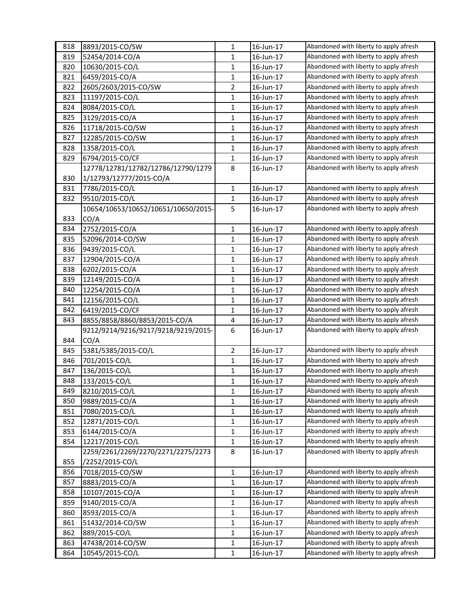| 818 | 8893/2015-CO/SW                             | $\mathbf{1}$   | 16-Jun-17 | Abandoned with liberty to apply afresh                                           |
|-----|---------------------------------------------|----------------|-----------|----------------------------------------------------------------------------------|
| 819 | 52454/2014-CO/A                             | $\mathbf{1}$   | 16-Jun-17 | Abandoned with liberty to apply afresh                                           |
| 820 | 10630/2015-CO/L                             | $\mathbf{1}$   | 16-Jun-17 | Abandoned with liberty to apply afresh                                           |
| 821 | 6459/2015-CO/A                              | $\mathbf{1}$   | 16-Jun-17 | Abandoned with liberty to apply afresh                                           |
| 822 | 2605/2603/2015-CO/SW                        | $\overline{2}$ | 16-Jun-17 | Abandoned with liberty to apply afresh                                           |
| 823 | 11197/2015-CO/L                             | $\mathbf{1}$   | 16-Jun-17 | Abandoned with liberty to apply afresh                                           |
| 824 | 8084/2015-CO/L                              | $\mathbf{1}$   | 16-Jun-17 | Abandoned with liberty to apply afresh                                           |
| 825 | 3129/2015-CO/A                              | $\mathbf{1}$   | 16-Jun-17 | Abandoned with liberty to apply afresh                                           |
| 826 | 11718/2015-CO/SW                            | $\mathbf{1}$   | 16-Jun-17 | Abandoned with liberty to apply afresh                                           |
| 827 | 12285/2015-CO/SW                            | $\mathbf{1}$   | 16-Jun-17 | Abandoned with liberty to apply afresh                                           |
| 828 | 1358/2015-CO/L                              | 1              | 16-Jun-17 | Abandoned with liberty to apply afresh                                           |
| 829 | 6794/2015-CO/CF                             | $\mathbf{1}$   | 16-Jun-17 | Abandoned with liberty to apply afresh                                           |
|     | 12778/12781/12782/12786/12790/1279          | 8              | 16-Jun-17 | Abandoned with liberty to apply afresh                                           |
| 830 | 1/12793/12777/2015-CO/A                     |                |           |                                                                                  |
| 831 | 7786/2015-CO/L                              | $\mathbf{1}$   | 16-Jun-17 | Abandoned with liberty to apply afresh                                           |
| 832 | 9510/2015-CO/L                              | 1              | 16-Jun-17 | Abandoned with liberty to apply afresh                                           |
|     | 10654/10653/10652/10651/10650/2015-         | 5              | 16-Jun-17 | Abandoned with liberty to apply afresh                                           |
| 833 | CO/A                                        |                |           |                                                                                  |
| 834 | 2752/2015-CO/A                              | $\mathbf{1}$   | 16-Jun-17 | Abandoned with liberty to apply afresh                                           |
| 835 | 52096/2014-CO/SW                            | $\mathbf{1}$   | 16-Jun-17 | Abandoned with liberty to apply afresh                                           |
| 836 | 9439/2015-CO/L                              | $\mathbf{1}$   | 16-Jun-17 | Abandoned with liberty to apply afresh                                           |
| 837 | 12904/2015-CO/A                             | $\mathbf{1}$   | 16-Jun-17 | Abandoned with liberty to apply afresh                                           |
| 838 | 6202/2015-CO/A                              | $\mathbf{1}$   | 16-Jun-17 | Abandoned with liberty to apply afresh                                           |
| 839 | 12149/2015-CO/A                             | $\mathbf{1}$   | 16-Jun-17 | Abandoned with liberty to apply afresh                                           |
| 840 | 12254/2015-CO/A                             | $\mathbf{1}$   | 16-Jun-17 | Abandoned with liberty to apply afresh                                           |
| 841 | 12156/2015-CO/L                             | $\mathbf{1}$   | 16-Jun-17 | Abandoned with liberty to apply afresh                                           |
| 842 | 6419/2015-CO/CF                             | $\mathbf{1}$   | 16-Jun-17 | Abandoned with liberty to apply afresh                                           |
| 843 | 8855/8858/8860/8853/2015-CO/A               | 4              | 16-Jun-17 | Abandoned with liberty to apply afresh                                           |
|     |                                             | 6              | 16-Jun-17 | Abandoned with liberty to apply afresh                                           |
| 844 | 9212/9214/9216/9217/9218/9219/2015-<br>CO/A |                |           |                                                                                  |
| 845 | 5381/5385/2015-CO/L                         | $\overline{2}$ | 16-Jun-17 | Abandoned with liberty to apply afresh                                           |
| 846 | 701/2015-CO/L                               | $\mathbf{1}$   | 16-Jun-17 | Abandoned with liberty to apply afresh                                           |
| 847 |                                             |                |           | Abandoned with liberty to apply afresh                                           |
|     | 136/2015-CO/L                               | $\mathbf{1}$   | 16-Jun-17 | Abandoned with liberty to apply afresh                                           |
| 848 | 133/2015-CO/L                               | $\mathbf{1}$   | 16-Jun-17 | Abandoned with liberty to apply afresh                                           |
| 849 | 8210/2015-CO/L                              | 1              | 16-Jun-17 |                                                                                  |
| 850 | 9889/2015-CO/A                              | $\mathbf{1}$   | 16-Jun-17 | Abandoned with liberty to apply afresh<br>Abandoned with liberty to apply afresh |
| 851 | 7080/2015-CO/L                              | $\mathbf{1}$   | 16-Jun-17 | Abandoned with liberty to apply afresh                                           |
| 852 | 12871/2015-CO/L                             | $\mathbf{1}$   | 16-Jun-17 |                                                                                  |
| 853 | 6144/2015-CO/A                              | 1              | 16-Jun-17 | Abandoned with liberty to apply afresh                                           |
| 854 | 12217/2015-CO/L                             | $\mathbf{1}$   | 16-Jun-17 | Abandoned with liberty to apply afresh                                           |
|     | 2259/2261/2269/2270/2271/2275/2273          | 8              | 16-Jun-17 | Abandoned with liberty to apply afresh                                           |
| 855 | /2252/2015-CO/L                             |                |           |                                                                                  |
| 856 | 7018/2015-CO/SW                             | $\mathbf{1}$   | 16-Jun-17 | Abandoned with liberty to apply afresh                                           |
| 857 | 8883/2015-CO/A                              | $\mathbf{1}$   | 16-Jun-17 | Abandoned with liberty to apply afresh                                           |
| 858 | 10107/2015-CO/A                             | $\mathbf{1}$   | 16-Jun-17 | Abandoned with liberty to apply afresh                                           |
| 859 | 9140/2015-CO/A                              | $\mathbf{1}$   | 16-Jun-17 | Abandoned with liberty to apply afresh                                           |
| 860 | 8593/2015-CO/A                              | $\mathbf{1}$   | 16-Jun-17 | Abandoned with liberty to apply afresh                                           |
| 861 | 51432/2014-CO/SW                            | $\mathbf{1}$   | 16-Jun-17 | Abandoned with liberty to apply afresh                                           |
| 862 | 889/2015-CO/L                               | $\mathbf{1}$   | 16-Jun-17 | Abandoned with liberty to apply afresh                                           |
| 863 | 47438/2014-CO/SW                            | $\mathbf{1}$   | 16-Jun-17 | Abandoned with liberty to apply afresh                                           |
| 864 | 10545/2015-CO/L                             | $\mathbf{1}$   | 16-Jun-17 | Abandoned with liberty to apply afresh                                           |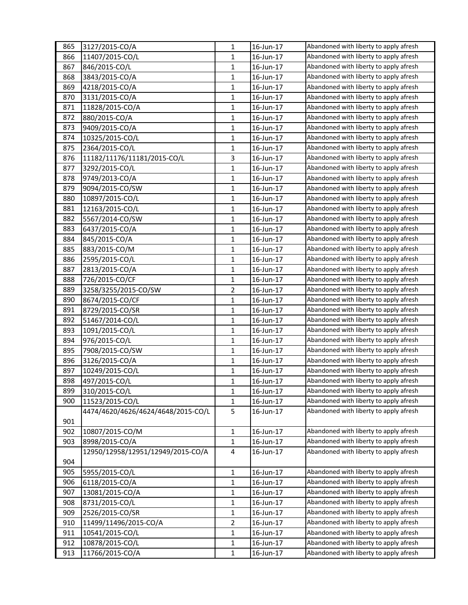| 865 | 3127/2015-CO/A                     | 1              | 16-Jun-17 | Abandoned with liberty to apply afresh |
|-----|------------------------------------|----------------|-----------|----------------------------------------|
| 866 | 11407/2015-CO/L                    | $\mathbf{1}$   | 16-Jun-17 | Abandoned with liberty to apply afresh |
| 867 | 846/2015-CO/L                      | $\mathbf{1}$   | 16-Jun-17 | Abandoned with liberty to apply afresh |
| 868 | 3843/2015-CO/A                     | $\mathbf{1}$   | 16-Jun-17 | Abandoned with liberty to apply afresh |
| 869 | 4218/2015-CO/A                     | $\mathbf{1}$   | 16-Jun-17 | Abandoned with liberty to apply afresh |
| 870 | 3131/2015-CO/A                     | 1              | 16-Jun-17 | Abandoned with liberty to apply afresh |
| 871 | 11828/2015-CO/A                    | $\mathbf{1}$   | 16-Jun-17 | Abandoned with liberty to apply afresh |
| 872 | 880/2015-CO/A                      | $\mathbf{1}$   | 16-Jun-17 | Abandoned with liberty to apply afresh |
| 873 | 9409/2015-CO/A                     | $\mathbf{1}$   | 16-Jun-17 | Abandoned with liberty to apply afresh |
| 874 | 10325/2015-CO/L                    | $\mathbf{1}$   | 16-Jun-17 | Abandoned with liberty to apply afresh |
| 875 | 2364/2015-CO/L                     | 1              | 16-Jun-17 | Abandoned with liberty to apply afresh |
| 876 | 11182/11176/11181/2015-CO/L        | 3              | 16-Jun-17 | Abandoned with liberty to apply afresh |
| 877 | 3292/2015-CO/L                     | $\mathbf{1}$   | 16-Jun-17 | Abandoned with liberty to apply afresh |
| 878 | 9749/2013-CO/A                     | $\mathbf{1}$   | 16-Jun-17 | Abandoned with liberty to apply afresh |
| 879 | 9094/2015-CO/SW                    | $\mathbf{1}$   | 16-Jun-17 | Abandoned with liberty to apply afresh |
| 880 | 10897/2015-CO/L                    | 1              | 16-Jun-17 | Abandoned with liberty to apply afresh |
| 881 | 12163/2015-CO/L                    | $\mathbf{1}$   | 16-Jun-17 | Abandoned with liberty to apply afresh |
| 882 | 5567/2014-CO/SW                    | $\mathbf{1}$   | 16-Jun-17 | Abandoned with liberty to apply afresh |
| 883 | 6437/2015-CO/A                     | $\mathbf{1}$   | 16-Jun-17 | Abandoned with liberty to apply afresh |
| 884 | 845/2015-CO/A                      | $\mathbf{1}$   | 16-Jun-17 | Abandoned with liberty to apply afresh |
| 885 | 883/2015-CO/M                      | 1              | 16-Jun-17 | Abandoned with liberty to apply afresh |
| 886 | 2595/2015-CO/L                     | $\mathbf{1}$   | 16-Jun-17 | Abandoned with liberty to apply afresh |
| 887 | 2813/2015-CO/A                     | $\mathbf{1}$   | 16-Jun-17 | Abandoned with liberty to apply afresh |
| 888 | 726/2015-CO/CF                     | $\mathbf{1}$   | 16-Jun-17 | Abandoned with liberty to apply afresh |
| 889 | 3258/3255/2015-CO/SW               | $\overline{2}$ | 16-Jun-17 | Abandoned with liberty to apply afresh |
| 890 | 8674/2015-CO/CF                    | 1              | 16-Jun-17 | Abandoned with liberty to apply afresh |
| 891 | 8729/2015-CO/SR                    | $\mathbf{1}$   | 16-Jun-17 | Abandoned with liberty to apply afresh |
| 892 | 51467/2014-CO/L                    | $\mathbf{1}$   | 16-Jun-17 | Abandoned with liberty to apply afresh |
| 893 | 1091/2015-CO/L                     | $\mathbf{1}$   | 16-Jun-17 | Abandoned with liberty to apply afresh |
| 894 | 976/2015-CO/L                      | $\mathbf{1}$   | 16-Jun-17 | Abandoned with liberty to apply afresh |
| 895 | 7908/2015-CO/SW                    | 1              | 16-Jun-17 | Abandoned with liberty to apply afresh |
| 896 | 3126/2015-CO/A                     | $\mathbf{1}$   | 16-Jun-17 | Abandoned with liberty to apply afresh |
| 897 | 10249/2015-CO/L                    | 1              | 16-Jun-17 | Abandoned with liberty to apply afresh |
| 898 | 497/2015-CO/L                      | $\mathbf{1}$   | 16-Jun-17 | Abandoned with liberty to apply afresh |
| 899 | 310/2015-CO/L                      | 1              | 16-Jun-17 | Abandoned with liberty to apply afresh |
| 900 | 11523/2015-CO/L                    | 1              | 16-Jun-17 | Abandoned with liberty to apply afresh |
|     | 4474/4620/4626/4624/4648/2015-CO/L | 5              | 16-Jun-17 | Abandoned with liberty to apply afresh |
| 901 |                                    |                |           |                                        |
| 902 | 10807/2015-CO/M                    | $\mathbf{1}$   | 16-Jun-17 | Abandoned with liberty to apply afresh |
| 903 | 8998/2015-CO/A                     | $\mathbf{1}$   | 16-Jun-17 | Abandoned with liberty to apply afresh |
|     | 12950/12958/12951/12949/2015-CO/A  | 4              | 16-Jun-17 | Abandoned with liberty to apply afresh |
| 904 |                                    |                |           |                                        |
| 905 | 5955/2015-CO/L                     | $\mathbf{1}$   | 16-Jun-17 | Abandoned with liberty to apply afresh |
| 906 | 6118/2015-CO/A                     | $\mathbf{1}$   | 16-Jun-17 | Abandoned with liberty to apply afresh |
| 907 | 13081/2015-CO/A                    | 1              | 16-Jun-17 | Abandoned with liberty to apply afresh |
| 908 | 8731/2015-CO/L                     | $\mathbf{1}$   | 16-Jun-17 | Abandoned with liberty to apply afresh |
| 909 | 2526/2015-CO/SR                    | $\mathbf{1}$   | 16-Jun-17 | Abandoned with liberty to apply afresh |
| 910 | 11499/11496/2015-CO/A              | $\overline{2}$ | 16-Jun-17 | Abandoned with liberty to apply afresh |
| 911 | 10541/2015-CO/L                    | $\mathbf{1}$   | 16-Jun-17 | Abandoned with liberty to apply afresh |
| 912 | 10878/2015-CO/L                    | $\mathbf{1}$   | 16-Jun-17 | Abandoned with liberty to apply afresh |
| 913 | 11766/2015-CO/A                    | $\mathbf{1}$   | 16-Jun-17 | Abandoned with liberty to apply afresh |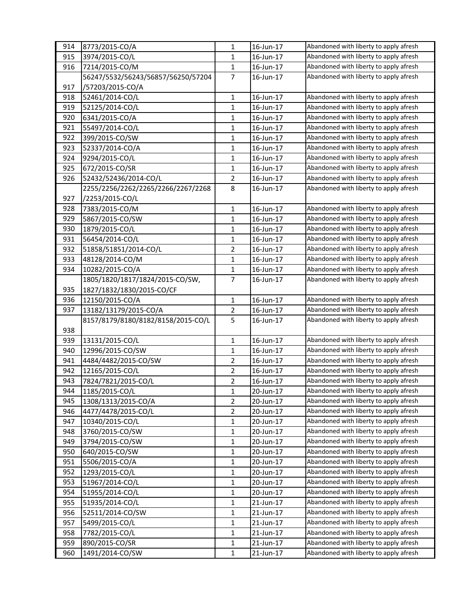| 914 | 8773/2015-CO/A                     | 1              | 16-Jun-17              | Abandoned with liberty to apply afresh |
|-----|------------------------------------|----------------|------------------------|----------------------------------------|
| 915 | 3974/2015-CO/L                     | 1              | 16-Jun-17              | Abandoned with liberty to apply afresh |
| 916 | 7214/2015-CO/M                     | $\mathbf{1}$   | 16-Jun-17              | Abandoned with liberty to apply afresh |
|     | 56247/5532/56243/56857/56250/57204 | $\overline{7}$ | 16-Jun-17              | Abandoned with liberty to apply afresh |
| 917 | /57203/2015-CO/A                   |                |                        |                                        |
| 918 | 52461/2014-CO/L                    | 1              | 16-Jun-17              | Abandoned with liberty to apply afresh |
| 919 | 52125/2014-CO/L                    | $\mathbf{1}$   | 16-Jun-17              | Abandoned with liberty to apply afresh |
| 920 | 6341/2015-CO/A                     | $\mathbf{1}$   | 16-Jun-17              | Abandoned with liberty to apply afresh |
| 921 | 55497/2014-CO/L                    | $\mathbf{1}$   | 16-Jun-17              | Abandoned with liberty to apply afresh |
| 922 | 399/2015-CO/SW                     | $\mathbf{1}$   | 16-Jun-17              | Abandoned with liberty to apply afresh |
| 923 | 52337/2014-CO/A                    | 1              | 16-Jun-17              | Abandoned with liberty to apply afresh |
| 924 | 9294/2015-CO/L                     | $\mathbf{1}$   | 16-Jun-17              | Abandoned with liberty to apply afresh |
| 925 | 672/2015-CO/SR                     | 1              | 16-Jun-17              | Abandoned with liberty to apply afresh |
| 926 | 52432/52436/2014-CO/L              | $\overline{2}$ | 16-Jun-17              | Abandoned with liberty to apply afresh |
|     | 2255/2256/2262/2265/2266/2267/2268 | 8              | 16-Jun-17              | Abandoned with liberty to apply afresh |
| 927 | /2253/2015-CO/L                    |                |                        |                                        |
| 928 | 7383/2015-CO/M                     | $\mathbf 1$    | 16-Jun-17              | Abandoned with liberty to apply afresh |
| 929 | 5867/2015-CO/SW                    | $\mathbf{1}$   | 16-Jun-17              | Abandoned with liberty to apply afresh |
| 930 | 1879/2015-CO/L                     | $\mathbf{1}$   | 16-Jun-17              | Abandoned with liberty to apply afresh |
| 931 | 56454/2014-CO/L                    | 1              | 16-Jun-17              | Abandoned with liberty to apply afresh |
| 932 | 51858/51851/2014-CO/L              | $\overline{2}$ | 16-Jun-17              | Abandoned with liberty to apply afresh |
| 933 | 48128/2014-CO/M                    | $\mathbf{1}$   | 16-Jun-17              | Abandoned with liberty to apply afresh |
| 934 | 10282/2015-CO/A                    | $\mathbf{1}$   | 16-Jun-17              | Abandoned with liberty to apply afresh |
|     | 1805/1820/1817/1824/2015-CO/SW,    | $\overline{7}$ | 16-Jun-17              | Abandoned with liberty to apply afresh |
| 935 | 1827/1832/1830/2015-CO/CF          |                |                        |                                        |
|     |                                    | $\mathbf{1}$   |                        | Abandoned with liberty to apply afresh |
| 936 | 12150/2015-CO/A                    |                | 16-Jun-17<br>16-Jun-17 | Abandoned with liberty to apply afresh |
| 937 | 13182/13179/2015-CO/A              | $\overline{2}$ |                        | Abandoned with liberty to apply afresh |
|     | 8157/8179/8180/8182/8158/2015-CO/L | 5              | 16-Jun-17              |                                        |
| 938 |                                    |                |                        |                                        |
| 939 | 13131/2015-CO/L                    | 1              | 16-Jun-17              | Abandoned with liberty to apply afresh |
| 940 | 12996/2015-CO/SW                   | $\mathbf 1$    | 16-Jun-17              | Abandoned with liberty to apply afresh |
| 941 | 4484/4482/2015-CO/SW               | 2              | 16-Jun-17              | Abandoned with liberty to apply afresh |
| 942 | 12165/2015-CO/L                    | $\overline{2}$ | 16-Jun-17              | Abandoned with liberty to apply afresh |
| 943 | 7824/7821/2015-CO/L                | $\overline{2}$ | 16-Jun-17              | Abandoned with liberty to apply afresh |
| 944 | 1185/2015-CO/L                     | 1              | 20-Jun-17              | Abandoned with liberty to apply afresh |
| 945 | 1308/1313/2015-CO/A                | $\overline{2}$ | 20-Jun-17              | Abandoned with liberty to apply afresh |
| 946 | 4477/4478/2015-CO/L                | $\overline{2}$ | 20-Jun-17              | Abandoned with liberty to apply afresh |
| 947 | 10340/2015-CO/L                    | $\mathbf{1}$   | 20-Jun-17              | Abandoned with liberty to apply afresh |
| 948 | 3760/2015-CO/SW                    | $\mathbf{1}$   | 20-Jun-17              | Abandoned with liberty to apply afresh |
| 949 | 3794/2015-CO/SW                    | $\mathbf{1}$   | 20-Jun-17              | Abandoned with liberty to apply afresh |
| 950 | 640/2015-CO/SW                     | $\mathbf{1}$   | 20-Jun-17              | Abandoned with liberty to apply afresh |
| 951 | 5506/2015-CO/A                     | $\mathbf{1}$   | 20-Jun-17              | Abandoned with liberty to apply afresh |
| 952 | 1293/2015-CO/L                     | $\mathbf{1}$   | 20-Jun-17              | Abandoned with liberty to apply afresh |
| 953 | 51967/2014-CO/L                    | 1              | 20-Jun-17              | Abandoned with liberty to apply afresh |
| 954 | 51955/2014-CO/L                    | $\mathbf{1}$   | 20-Jun-17              | Abandoned with liberty to apply afresh |
| 955 | 51935/2014-CO/L                    | $\mathbf{1}$   | 21-Jun-17              | Abandoned with liberty to apply afresh |
| 956 | 52511/2014-CO/SW                   | $\mathbf{1}$   | 21-Jun-17              | Abandoned with liberty to apply afresh |
| 957 | 5499/2015-CO/L                     | $\mathbf{1}$   | 21-Jun-17              | Abandoned with liberty to apply afresh |
| 958 | 7782/2015-CO/L                     | 1              | 21-Jun-17              | Abandoned with liberty to apply afresh |
| 959 | 890/2015-CO/SR                     | $\mathbf{1}$   | 21-Jun-17              | Abandoned with liberty to apply afresh |
| 960 | 1491/2014-CO/SW                    | $\mathbf{1}$   | 21-Jun-17              | Abandoned with liberty to apply afresh |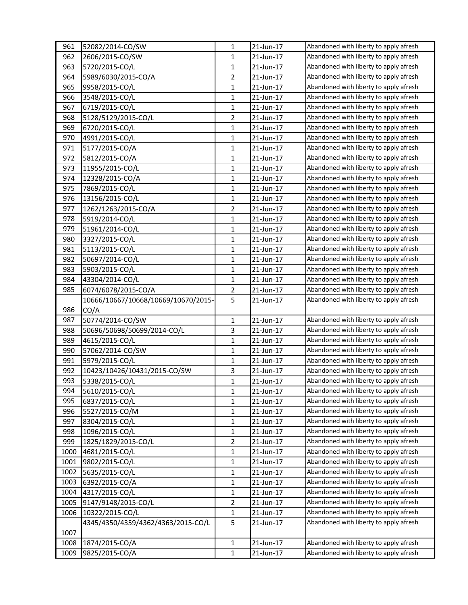| 961  | 52082/2014-CO/SW                    | $\mathbf{1}$   | 21-Jun-17 | Abandoned with liberty to apply afresh |
|------|-------------------------------------|----------------|-----------|----------------------------------------|
| 962  | 2606/2015-CO/SW                     | 1              | 21-Jun-17 | Abandoned with liberty to apply afresh |
| 963  | 5720/2015-CO/L                      | $\mathbf{1}$   | 21-Jun-17 | Abandoned with liberty to apply afresh |
| 964  | 5989/6030/2015-CO/A                 | $\overline{2}$ | 21-Jun-17 | Abandoned with liberty to apply afresh |
| 965  | 9958/2015-CO/L                      | $\mathbf{1}$   | 21-Jun-17 | Abandoned with liberty to apply afresh |
| 966  | 3548/2015-CO/L                      | 1              | 21-Jun-17 | Abandoned with liberty to apply afresh |
| 967  | 6719/2015-CO/L                      | $\mathbf{1}$   | 21-Jun-17 | Abandoned with liberty to apply afresh |
| 968  | 5128/5129/2015-CO/L                 | $\overline{2}$ | 21-Jun-17 | Abandoned with liberty to apply afresh |
| 969  | 6720/2015-CO/L                      | $\mathbf{1}$   | 21-Jun-17 | Abandoned with liberty to apply afresh |
| 970  | 4991/2015-CO/L                      | $\mathbf{1}$   | 21-Jun-17 | Abandoned with liberty to apply afresh |
| 971  | 5177/2015-CO/A                      | $\mathbf{1}$   | 21-Jun-17 | Abandoned with liberty to apply afresh |
| 972  | 5812/2015-CO/A                      | $\mathbf{1}$   | 21-Jun-17 | Abandoned with liberty to apply afresh |
| 973  | 11955/2015-CO/L                     | $\mathbf{1}$   | 21-Jun-17 | Abandoned with liberty to apply afresh |
| 974  | 12328/2015-CO/A                     | $\mathbf{1}$   | 21-Jun-17 | Abandoned with liberty to apply afresh |
| 975  | 7869/2015-CO/L                      | $\mathbf{1}$   | 21-Jun-17 | Abandoned with liberty to apply afresh |
| 976  | 13156/2015-CO/L                     | $\mathbf{1}$   | 21-Jun-17 | Abandoned with liberty to apply afresh |
| 977  | 1262/1263/2015-CO/A                 | $\overline{2}$ | 21-Jun-17 | Abandoned with liberty to apply afresh |
| 978  | 5919/2014-CO/L                      | $\mathbf{1}$   | 21-Jun-17 | Abandoned with liberty to apply afresh |
| 979  | 51961/2014-CO/L                     | $\mathbf{1}$   | 21-Jun-17 | Abandoned with liberty to apply afresh |
| 980  | 3327/2015-CO/L                      | $\mathbf{1}$   | 21-Jun-17 | Abandoned with liberty to apply afresh |
| 981  | 5113/2015-CO/L                      | $\mathbf{1}$   | 21-Jun-17 | Abandoned with liberty to apply afresh |
| 982  | 50697/2014-CO/L                     | $\mathbf{1}$   | 21-Jun-17 | Abandoned with liberty to apply afresh |
| 983  | 5903/2015-CO/L                      | $\mathbf{1}$   | 21-Jun-17 | Abandoned with liberty to apply afresh |
| 984  | 43304/2014-CO/L                     | $\mathbf{1}$   | 21-Jun-17 | Abandoned with liberty to apply afresh |
| 985  | 6074/6078/2015-CO/A                 | $\overline{2}$ | 21-Jun-17 | Abandoned with liberty to apply afresh |
|      | 10666/10667/10668/10669/10670/2015- | 5              | 21-Jun-17 | Abandoned with liberty to apply afresh |
| 986  | CO/A                                |                |           |                                        |
| 987  | 50774/2014-CO/SW                    | $\mathbf{1}$   | 21-Jun-17 | Abandoned with liberty to apply afresh |
| 988  | 50696/50698/50699/2014-CO/L         | 3              | 21-Jun-17 | Abandoned with liberty to apply afresh |
| 989  | 4615/2015-CO/L                      | $\mathbf{1}$   | 21-Jun-17 | Abandoned with liberty to apply afresh |
| 990  | 57062/2014-CO/SW                    | 1              | 21-Jun-17 | Abandoned with liberty to apply afresh |
| 991  | 5979/2015-CO/L                      | $\mathbf{1}$   | 21-Jun-17 | Abandoned with liberty to apply afresh |
| 992  | 10423/10426/10431/2015-CO/SW        | 3              | 21-Jun-17 | Abandoned with liberty to apply afresh |
| 993  | 5338/2015-CO/L                      | $\mathbf{1}$   | 21-Jun-17 | Abandoned with liberty to apply afresh |
| 994  | 5610/2015-CO/L                      | 1              | 21-Jun-17 | Abandoned with liberty to apply afresh |
| 995  | 6837/2015-CO/L                      | 1              | 21-Jun-17 | Abandoned with liberty to apply afresh |
| 996  | 5527/2015-CO/M                      | $\mathbf{1}$   | 21-Jun-17 | Abandoned with liberty to apply afresh |
| 997  | 8304/2015-CO/L                      | 1              | 21-Jun-17 | Abandoned with liberty to apply afresh |
| 998  | 1096/2015-CO/L                      | $\mathbf{1}$   | 21-Jun-17 | Abandoned with liberty to apply afresh |
| 999  | 1825/1829/2015-CO/L                 | $\overline{2}$ | 21-Jun-17 | Abandoned with liberty to apply afresh |
| 1000 | 4681/2015-CO/L                      | $\mathbf{1}$   | 21-Jun-17 | Abandoned with liberty to apply afresh |
| 1001 | 9802/2015-CO/L                      | $\mathbf{1}$   | 21-Jun-17 | Abandoned with liberty to apply afresh |
| 1002 | 5635/2015-CO/L                      | 1              | 21-Jun-17 | Abandoned with liberty to apply afresh |
| 1003 | 6392/2015-CO/A                      | $\mathbf{1}$   | 21-Jun-17 | Abandoned with liberty to apply afresh |
| 1004 | 4317/2015-CO/L                      | 1              | 21-Jun-17 | Abandoned with liberty to apply afresh |
| 1005 | 9147/9148/2015-CO/L                 | $\overline{2}$ | 21-Jun-17 | Abandoned with liberty to apply afresh |
| 1006 | 10322/2015-CO/L                     | $\mathbf{1}$   | 21-Jun-17 | Abandoned with liberty to apply afresh |
|      | 4345/4350/4359/4362/4363/2015-CO/L  | 5              | 21-Jun-17 | Abandoned with liberty to apply afresh |
| 1007 |                                     |                |           |                                        |
| 1008 | 1874/2015-CO/A                      | 1              | 21-Jun-17 | Abandoned with liberty to apply afresh |
| 1009 | 9825/2015-CO/A                      | $\mathbf{1}$   | 21-Jun-17 | Abandoned with liberty to apply afresh |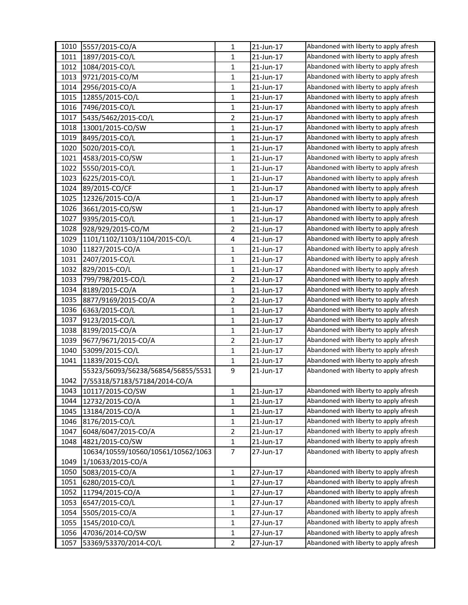| 1010 | 5557/2015-CO/A                     | $\mathbf{1}$            | 21-Jun-17 | Abandoned with liberty to apply afresh |
|------|------------------------------------|-------------------------|-----------|----------------------------------------|
| 1011 | 1897/2015-CO/L                     | 1                       | 21-Jun-17 | Abandoned with liberty to apply afresh |
| 1012 | 1084/2015-CO/L                     | $\mathbf{1}$            | 21-Jun-17 | Abandoned with liberty to apply afresh |
| 1013 | 9721/2015-CO/M                     | 1                       | 21-Jun-17 | Abandoned with liberty to apply afresh |
| 1014 | 2956/2015-CO/A                     | $\mathbf{1}$            | 21-Jun-17 | Abandoned with liberty to apply afresh |
| 1015 | 12855/2015-CO/L                    | 1                       | 21-Jun-17 | Abandoned with liberty to apply afresh |
| 1016 | 7496/2015-CO/L                     | $\mathbf{1}$            | 21-Jun-17 | Abandoned with liberty to apply afresh |
| 1017 | 5435/5462/2015-CO/L                | $\overline{2}$          | 21-Jun-17 | Abandoned with liberty to apply afresh |
| 1018 | 13001/2015-CO/SW                   | $\mathbf{1}$            | 21-Jun-17 | Abandoned with liberty to apply afresh |
| 1019 | 8495/2015-CO/L                     | $\mathbf{1}$            | 21-Jun-17 | Abandoned with liberty to apply afresh |
| 1020 | 5020/2015-CO/L                     | $\mathbf{1}$            | 21-Jun-17 | Abandoned with liberty to apply afresh |
| 1021 | 4583/2015-CO/SW                    | $\mathbf{1}$            | 21-Jun-17 | Abandoned with liberty to apply afresh |
| 1022 | 5550/2015-CO/L                     | $\mathbf{1}$            | 21-Jun-17 | Abandoned with liberty to apply afresh |
| 1023 | 6225/2015-CO/L                     | $\mathbf{1}$            | 21-Jun-17 | Abandoned with liberty to apply afresh |
| 1024 | 89/2015-CO/CF                      | $\mathbf{1}$            | 21-Jun-17 | Abandoned with liberty to apply afresh |
| 1025 | 12326/2015-CO/A                    | $\mathbf{1}$            | 21-Jun-17 | Abandoned with liberty to apply afresh |
| 1026 | 3661/2015-CO/SW                    | $\mathbf{1}$            | 21-Jun-17 | Abandoned with liberty to apply afresh |
| 1027 | 9395/2015-CO/L                     | $\mathbf{1}$            | 21-Jun-17 | Abandoned with liberty to apply afresh |
| 1028 | 928/929/2015-CO/M                  | $\overline{2}$          | 21-Jun-17 | Abandoned with liberty to apply afresh |
| 1029 | 1101/1102/1103/1104/2015-CO/L      | $\overline{\mathbf{4}}$ | 21-Jun-17 | Abandoned with liberty to apply afresh |
| 1030 | 11827/2015-CO/A                    | 1                       | 21-Jun-17 | Abandoned with liberty to apply afresh |
| 1031 | 2407/2015-CO/L                     | $\mathbf{1}$            | 21-Jun-17 | Abandoned with liberty to apply afresh |
| 1032 | 829/2015-CO/L                      | $\mathbf{1}$            | 21-Jun-17 | Abandoned with liberty to apply afresh |
| 1033 | 799/798/2015-CO/L                  | $\overline{2}$          | 21-Jun-17 | Abandoned with liberty to apply afresh |
| 1034 | 8189/2015-CO/A                     | $\mathbf{1}$            | 21-Jun-17 | Abandoned with liberty to apply afresh |
| 1035 | 8877/9169/2015-CO/A                | $\overline{2}$          | 21-Jun-17 | Abandoned with liberty to apply afresh |
| 1036 | 6363/2015-CO/L                     | 1                       | 21-Jun-17 | Abandoned with liberty to apply afresh |
| 1037 | 9123/2015-CO/L                     | $\mathbf{1}$            | 21-Jun-17 | Abandoned with liberty to apply afresh |
| 1038 | 8199/2015-CO/A                     | $\mathbf{1}$            | 21-Jun-17 | Abandoned with liberty to apply afresh |
| 1039 | 9677/9671/2015-CO/A                | $\overline{2}$          |           | Abandoned with liberty to apply afresh |
| 1040 | 53099/2015-CO/L                    |                         | 21-Jun-17 | Abandoned with liberty to apply afresh |
|      |                                    | $\mathbf{1}$            | 21-Jun-17 | Abandoned with liberty to apply afresh |
| 1041 | 11839/2015-CO/L                    | $\mathbf{1}$            | 21-Jun-17 |                                        |
|      | 55323/56093/56238/56854/56855/5531 | 9                       | 21-Jun-17 | Abandoned with liberty to apply afresh |
| 1042 | 7/55318/57183/57184/2014-CO/A      |                         |           |                                        |
| 1043 | 10117/2015-CO/SW                   | 1                       | 21-Jun-17 | Abandoned with liberty to apply afresh |
| 1044 | 12732/2015-CO/A                    | $\mathbf{1}$            | 21-Jun-17 | Abandoned with liberty to apply afresh |
| 1045 | 13184/2015-CO/A                    | $\mathbf{1}$            | 21-Jun-17 | Abandoned with liberty to apply afresh |
| 1046 | 8176/2015-CO/L                     | $\mathbf{1}$            | 21-Jun-17 | Abandoned with liberty to apply afresh |
| 1047 | 6048/6047/2015-CO/A                | $\overline{2}$          | 21-Jun-17 | Abandoned with liberty to apply afresh |
| 1048 | 4821/2015-CO/SW                    | $\mathbf{1}$            | 21-Jun-17 | Abandoned with liberty to apply afresh |
|      | 10634/10559/10560/10561/10562/1063 | $\overline{7}$          | 27-Jun-17 | Abandoned with liberty to apply afresh |
| 1049 | 1/10633/2015-CO/A                  |                         |           |                                        |
| 1050 | 5083/2015-CO/A                     | $\mathbf{1}$            | 27-Jun-17 | Abandoned with liberty to apply afresh |
| 1051 | 6280/2015-CO/L                     | $\mathbf{1}$            | 27-Jun-17 | Abandoned with liberty to apply afresh |
| 1052 | 11794/2015-CO/A                    | 1                       | 27-Jun-17 | Abandoned with liberty to apply afresh |
| 1053 | 6547/2015-CO/L                     | $\mathbf{1}$            | 27-Jun-17 | Abandoned with liberty to apply afresh |
| 1054 | 5505/2015-CO/A                     | $\mathbf{1}$            | 27-Jun-17 | Abandoned with liberty to apply afresh |
| 1055 | 1545/2010-CO/L                     | $\mathbf{1}$            | 27-Jun-17 | Abandoned with liberty to apply afresh |
| 1056 | 47036/2014-CO/SW                   | $\mathbf{1}$            | 27-Jun-17 | Abandoned with liberty to apply afresh |
| 1057 | 53369/53370/2014-CO/L              | $\overline{2}$          | 27-Jun-17 | Abandoned with liberty to apply afresh |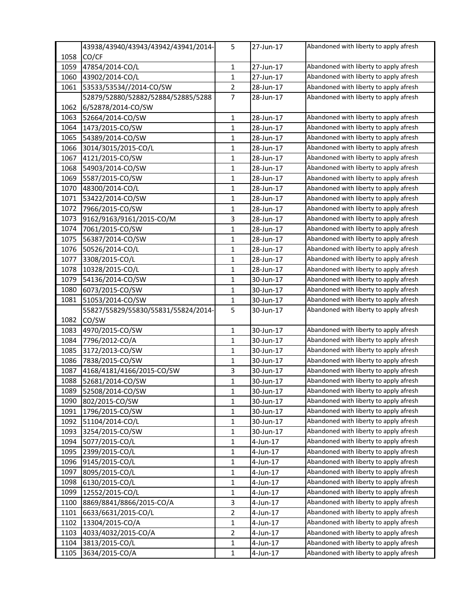|      | 43938/43940/43943/43942/43941/2014- | 5              | 27-Jun-17 | Abandoned with liberty to apply afresh |
|------|-------------------------------------|----------------|-----------|----------------------------------------|
| 1058 | CO/CF                               |                |           |                                        |
| 1059 | 47854/2014-CO/L                     | $\mathbf{1}$   | 27-Jun-17 | Abandoned with liberty to apply afresh |
| 1060 | 43902/2014-CO/L                     | $\mathbf{1}$   | 27-Jun-17 | Abandoned with liberty to apply afresh |
| 1061 | 53533/53534//2014-CO/SW             | $\overline{2}$ | 28-Jun-17 | Abandoned with liberty to apply afresh |
|      | 52879/52880/52882/52884/52885/5288  | 7              | 28-Jun-17 | Abandoned with liberty to apply afresh |
| 1062 | 6/52878/2014-CO/SW                  |                |           |                                        |
| 1063 | 52664/2014-CO/SW                    | $\mathbf{1}$   | 28-Jun-17 | Abandoned with liberty to apply afresh |
| 1064 | 1473/2015-CO/SW                     | 1              | 28-Jun-17 | Abandoned with liberty to apply afresh |
| 1065 | 54389/2014-CO/SW                    | $\mathbf{1}$   | 28-Jun-17 | Abandoned with liberty to apply afresh |
| 1066 | 3014/3015/2015-CO/L                 | 1              | 28-Jun-17 | Abandoned with liberty to apply afresh |
| 1067 | 4121/2015-CO/SW                     | $\mathbf{1}$   | 28-Jun-17 | Abandoned with liberty to apply afresh |
| 1068 | 54903/2014-CO/SW                    | 1              | 28-Jun-17 | Abandoned with liberty to apply afresh |
| 1069 | 5587/2015-CO/SW                     | $\mathbf{1}$   | 28-Jun-17 | Abandoned with liberty to apply afresh |
| 1070 | 48300/2014-CO/L                     | $\mathbf{1}$   | 28-Jun-17 | Abandoned with liberty to apply afresh |
| 1071 | 53422/2014-CO/SW                    | 1              | 28-Jun-17 | Abandoned with liberty to apply afresh |
| 1072 | 7966/2015-CO/SW                     | $\mathbf{1}$   | 28-Jun-17 | Abandoned with liberty to apply afresh |
| 1073 | 9162/9163/9161/2015-CO/M            | 3              | 28-Jun-17 | Abandoned with liberty to apply afresh |
| 1074 | 7061/2015-CO/SW                     | $\mathbf{1}$   | 28-Jun-17 | Abandoned with liberty to apply afresh |
| 1075 | 56387/2014-CO/SW                    | 1              | 28-Jun-17 | Abandoned with liberty to apply afresh |
| 1076 | 50526/2014-CO/L                     | 1              | 28-Jun-17 | Abandoned with liberty to apply afresh |
| 1077 | 3308/2015-CO/L                      | $\mathbf{1}$   | 28-Jun-17 | Abandoned with liberty to apply afresh |
| 1078 | 10328/2015-CO/L                     | 1              | 28-Jun-17 | Abandoned with liberty to apply afresh |
| 1079 | 54136/2014-CO/SW                    | $\mathbf{1}$   | 30-Jun-17 | Abandoned with liberty to apply afresh |
| 1080 | 6073/2015-CO/SW                     | 1              | 30-Jun-17 | Abandoned with liberty to apply afresh |
| 1081 | 51053/2014-CO/SW                    | 1              | 30-Jun-17 | Abandoned with liberty to apply afresh |
|      | 55827/55829/55830/55831/55824/2014- | 5              | 30-Jun-17 | Abandoned with liberty to apply afresh |
| 1082 | CO/SW                               |                |           |                                        |
| 1083 | 4970/2015-CO/SW                     | $\mathbf{1}$   | 30-Jun-17 | Abandoned with liberty to apply afresh |
| 1084 | 7796/2012-CO/A                      | 1              | 30-Jun-17 | Abandoned with liberty to apply afresh |
| 1085 | 3172/2013-CO/SW                     | $\mathbf{1}$   | 30-Jun-17 | Abandoned with liberty to apply afresh |
| 1086 | 7838/2015-CO/SW                     | 1              | 30-Jun-17 | Abandoned with liberty to apply afresh |
| 1087 | 4168/4181/4166/2015-CO/SW           | 3              | 30-Jun-17 | Abandoned with liberty to apply afresh |
| 1088 | 52681/2014-CO/SW                    | $\mathbf{1}$   | 30-Jun-17 | Abandoned with liberty to apply afresh |
| 1089 | 52508/2014-CO/SW                    | 1              | 30-Jun-17 | Abandoned with liberty to apply afresh |
| 1090 | 802/2015-CO/SW                      | $\mathbf{1}$   | 30-Jun-17 | Abandoned with liberty to apply afresh |
| 1091 | 1796/2015-CO/SW                     | 1              | 30-Jun-17 | Abandoned with liberty to apply afresh |
| 1092 | 51104/2014-CO/L                     | 1              | 30-Jun-17 | Abandoned with liberty to apply afresh |
| 1093 | 3254/2015-CO/SW                     | 1              | 30-Jun-17 | Abandoned with liberty to apply afresh |
| 1094 | 5077/2015-CO/L                      | $\mathbf{1}$   | 4-Jun-17  | Abandoned with liberty to apply afresh |
| 1095 | 2399/2015-CO/L                      | 1              | 4-Jun-17  | Abandoned with liberty to apply afresh |
| 1096 | 9145/2015-CO/L                      | $\mathbf{1}$   | 4-Jun-17  | Abandoned with liberty to apply afresh |
| 1097 | 8095/2015-CO/L                      | $\mathbf{1}$   | 4-Jun-17  | Abandoned with liberty to apply afresh |
| 1098 | 6130/2015-CO/L                      | 1              | 4-Jun-17  | Abandoned with liberty to apply afresh |
| 1099 | 12552/2015-CO/L                     | 1              | 4-Jun-17  | Abandoned with liberty to apply afresh |
| 1100 | 8869/8841/8866/2015-CO/A            | 3              | 4-Jun-17  | Abandoned with liberty to apply afresh |
| 1101 | 6633/6631/2015-CO/L                 | $\overline{2}$ | 4-Jun-17  | Abandoned with liberty to apply afresh |
| 1102 | 13304/2015-CO/A                     | $\mathbf{1}$   | 4-Jun-17  | Abandoned with liberty to apply afresh |
| 1103 | 4033/4032/2015-CO/A                 | 2              | 4-Jun-17  | Abandoned with liberty to apply afresh |
| 1104 | 3813/2015-CO/L                      | $\mathbf{1}$   | 4-Jun-17  | Abandoned with liberty to apply afresh |
| 1105 | 3634/2015-CO/A                      | $\mathbf{1}$   | 4-Jun-17  | Abandoned with liberty to apply afresh |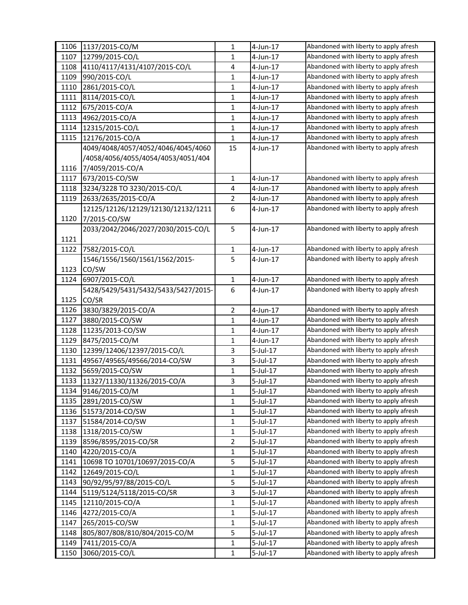| 1106 | 1137/2015-CO/M                      | 1              | 4-Jun-17    | Abandoned with liberty to apply afresh |
|------|-------------------------------------|----------------|-------------|----------------------------------------|
| 1107 | 12799/2015-CO/L                     | 1              | 4-Jun-17    | Abandoned with liberty to apply afresh |
| 1108 | 4110/4117/4131/4107/2015-CO/L       | 4              | 4-Jun-17    | Abandoned with liberty to apply afresh |
| 1109 | 990/2015-CO/L                       | 1              | 4-Jun-17    | Abandoned with liberty to apply afresh |
| 1110 | 2861/2015-CO/L                      | $\mathbf{1}$   | 4-Jun-17    | Abandoned with liberty to apply afresh |
| 1111 | 8114/2015-CO/L                      | 1              | 4-Jun-17    | Abandoned with liberty to apply afresh |
| 1112 | 675/2015-CO/A                       | 1              | 4-Jun-17    | Abandoned with liberty to apply afresh |
| 1113 | 4962/2015-CO/A                      | $\mathbf{1}$   | 4-Jun-17    | Abandoned with liberty to apply afresh |
| 1114 | 12315/2015-CO/L                     | $\mathbf{1}$   | 4-Jun-17    | Abandoned with liberty to apply afresh |
| 1115 | 12176/2015-CO/A                     | $\mathbf{1}$   | 4-Jun-17    | Abandoned with liberty to apply afresh |
|      | 4049/4048/4057/4052/4046/4045/4060  | 15             | 4-Jun-17    | Abandoned with liberty to apply afresh |
|      | /4058/4056/4055/4054/4053/4051/404  |                |             |                                        |
| 1116 | 7/4059/2015-CO/A                    |                |             |                                        |
| 1117 | 673/2015-CO/SW                      | $\mathbf{1}$   | 4-Jun-17    | Abandoned with liberty to apply afresh |
| 1118 | 3234/3228 TO 3230/2015-CO/L         | 4              | 4-Jun-17    | Abandoned with liberty to apply afresh |
| 1119 | 2633/2635/2015-CO/A                 | 2              | 4-Jun-17    | Abandoned with liberty to apply afresh |
|      | 12125/12126/12129/12130/12132/1211  | 6              | 4-Jun-17    | Abandoned with liberty to apply afresh |
| 1120 | 7/2015-CO/SW                        |                |             |                                        |
|      | 2033/2042/2046/2027/2030/2015-CO/L  | 5              | 4-Jun-17    | Abandoned with liberty to apply afresh |
| 1121 |                                     |                |             |                                        |
| 1122 | 7582/2015-CO/L                      | 1              | 4-Jun-17    | Abandoned with liberty to apply afresh |
|      | 1546/1556/1560/1561/1562/2015-      | 5              | 4-Jun-17    | Abandoned with liberty to apply afresh |
| 1123 | CO/SW                               |                |             |                                        |
| 1124 | 6907/2015-CO/L                      | $\mathbf{1}$   | 4-Jun-17    | Abandoned with liberty to apply afresh |
|      | 5428/5429/5431/5432/5433/5427/2015- | 6              | 4-Jun-17    | Abandoned with liberty to apply afresh |
| 1125 | CO/SR                               |                |             |                                        |
| 1126 | 3830/3829/2015-CO/A                 | $\overline{2}$ | 4-Jun-17    | Abandoned with liberty to apply afresh |
| 1127 | 3880/2015-CO/SW                     | $\mathbf{1}$   | 4-Jun-17    | Abandoned with liberty to apply afresh |
| 1128 | 11235/2013-CO/SW                    | $\mathbf{1}$   | 4-Jun-17    | Abandoned with liberty to apply afresh |
| 1129 | 8475/2015-CO/M                      | 1              | 4-Jun-17    | Abandoned with liberty to apply afresh |
| 1130 | 12399/12406/12397/2015-CO/L         | 3              | $5$ -Jul-17 | Abandoned with liberty to apply afresh |
| 1131 | 49567/49565/49566/2014-CO/SW        | 3              | 5-Jul-17    | Abandoned with liberty to apply afresh |
| 1132 | 5659/2015-CO/SW                     | $\mathbf{1}$   | 5-Jul-17    | Abandoned with liberty to apply afresh |
| 1133 | 11327/11330/11326/2015-CO/A         | 3              | 5-Jul-17    | Abandoned with liberty to apply afresh |
| 1134 | 9146/2015-CO/M                      | 1              | 5-Jul-17    | Abandoned with liberty to apply afresh |
| 1135 | 2891/2015-CO/SW                     | 1              | $5$ -Jul-17 | Abandoned with liberty to apply afresh |
| 1136 | 51573/2014-CO/SW                    | $\mathbf{1}$   | 5-Jul-17    | Abandoned with liberty to apply afresh |
| 1137 | 51584/2014-CO/SW                    | $\mathbf{1}$   | 5-Jul-17    | Abandoned with liberty to apply afresh |
| 1138 | 1318/2015-CO/SW                     | 1              | 5-Jul-17    | Abandoned with liberty to apply afresh |
| 1139 | 8596/8595/2015-CO/SR                | 2              | 5-Jul-17    | Abandoned with liberty to apply afresh |
| 1140 | 4220/2015-CO/A                      | $\mathbf{1}$   | 5-Jul-17    | Abandoned with liberty to apply afresh |
| 1141 | 10698 TO 10701/10697/2015-CO/A      | 5              | $5$ -Jul-17 | Abandoned with liberty to apply afresh |
| 1142 | 12649/2015-CO/L                     | $\mathbf{1}$   | 5-Jul-17    | Abandoned with liberty to apply afresh |
| 1143 | 90/92/95/97/88/2015-CO/L            | 5              | 5-Jul-17    | Abandoned with liberty to apply afresh |
| 1144 | 5119/5124/5118/2015-CO/SR           | 3              | $5$ -Jul-17 | Abandoned with liberty to apply afresh |
| 1145 | 12110/2015-CO/A                     | $\mathbf{1}$   | 5-Jul-17    | Abandoned with liberty to apply afresh |
| 1146 | 4272/2015-CO/A                      | 1              | $5$ -Jul-17 | Abandoned with liberty to apply afresh |
| 1147 | 265/2015-CO/SW                      | $\mathbf{1}$   | 5-Jul-17    | Abandoned with liberty to apply afresh |
| 1148 | 805/807/808/810/804/2015-CO/M       | 5              | 5-Jul-17    | Abandoned with liberty to apply afresh |
| 1149 | 7411/2015-CO/A                      | $\mathbf{1}$   | 5-Jul-17    | Abandoned with liberty to apply afresh |
| 1150 | 3060/2015-CO/L                      | $\mathbf{1}$   | 5-Jul-17    | Abandoned with liberty to apply afresh |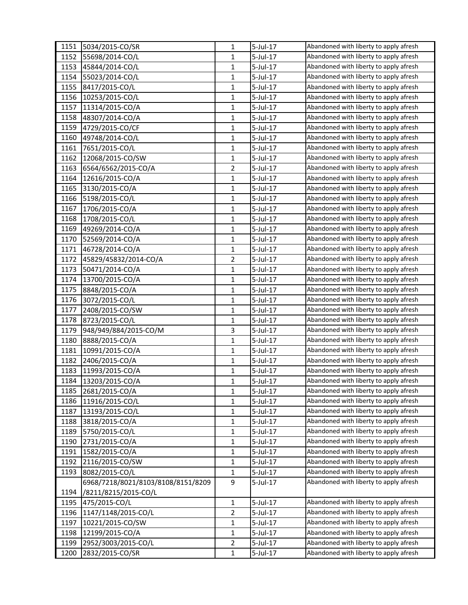| 1151 | 5034/2015-CO/SR                    | 1              | 5-Jul-17    | Abandoned with liberty to apply afresh |
|------|------------------------------------|----------------|-------------|----------------------------------------|
| 1152 | 55698/2014-CO/L                    | 1              | 5-Jul-17    | Abandoned with liberty to apply afresh |
| 1153 | 45844/2014-CO/L                    | $\mathbf{1}$   | 5-Jul-17    | Abandoned with liberty to apply afresh |
| 1154 | 55023/2014-CO/L                    | 1              | 5-Jul-17    | Abandoned with liberty to apply afresh |
| 1155 | 8417/2015-CO/L                     | $\mathbf{1}$   | 5-Jul-17    | Abandoned with liberty to apply afresh |
| 1156 | 10253/2015-CO/L                    | 1              | 5-Jul-17    | Abandoned with liberty to apply afresh |
| 1157 | 11314/2015-CO/A                    | 1              | 5-Jul-17    | Abandoned with liberty to apply afresh |
| 1158 | 48307/2014-CO/A                    | 1              | 5-Jul-17    | Abandoned with liberty to apply afresh |
| 1159 | 4729/2015-CO/CF                    | $\mathbf{1}$   | 5-Jul-17    | Abandoned with liberty to apply afresh |
| 1160 | 49748/2014-CO/L                    | $\mathbf{1}$   | 5-Jul-17    | Abandoned with liberty to apply afresh |
| 1161 | 7651/2015-CO/L                     | 1              | 5-Jul-17    | Abandoned with liberty to apply afresh |
| 1162 | 12068/2015-CO/SW                   | 1              | 5-Jul-17    | Abandoned with liberty to apply afresh |
| 1163 | 6564/6562/2015-CO/A                | $\overline{2}$ | 5-Jul-17    | Abandoned with liberty to apply afresh |
| 1164 | 12616/2015-CO/A                    | 1              | 5-Jul-17    | Abandoned with liberty to apply afresh |
| 1165 | 3130/2015-CO/A                     | $\mathbf{1}$   | 5-Jul-17    | Abandoned with liberty to apply afresh |
| 1166 | 5198/2015-CO/L                     | 1              | 5-Jul-17    | Abandoned with liberty to apply afresh |
| 1167 | 1706/2015-CO/A                     | 1              | 5-Jul-17    | Abandoned with liberty to apply afresh |
| 1168 | 1708/2015-CO/L                     | $\mathbf{1}$   | 5-Jul-17    | Abandoned with liberty to apply afresh |
| 1169 | 49269/2014-CO/A                    | $\mathbf{1}$   | 5-Jul-17    | Abandoned with liberty to apply afresh |
| 1170 | 52569/2014-CO/A                    | $\mathbf{1}$   | 5-Jul-17    | Abandoned with liberty to apply afresh |
| 1171 | 46728/2014-CO/A                    | 1              | 5-Jul-17    | Abandoned with liberty to apply afresh |
| 1172 | 45829/45832/2014-CO/A              | 2              | 5-Jul-17    | Abandoned with liberty to apply afresh |
| 1173 | 50471/2014-CO/A                    | 1              | 5-Jul-17    | Abandoned with liberty to apply afresh |
| 1174 | 13700/2015-CO/A                    | 1              | 5-Jul-17    | Abandoned with liberty to apply afresh |
| 1175 | 8848/2015-CO/A                     | 1              | 5-Jul-17    | Abandoned with liberty to apply afresh |
| 1176 | 3072/2015-CO/L                     | 1              | 5-Jul-17    | Abandoned with liberty to apply afresh |
| 1177 | 2408/2015-CO/SW                    | 1              | 5-Jul-17    | Abandoned with liberty to apply afresh |
| 1178 | 8723/2015-CO/L                     | $\mathbf{1}$   | 5-Jul-17    | Abandoned with liberty to apply afresh |
| 1179 | 948/949/884/2015-CO/M              | 3              | 5-Jul-17    | Abandoned with liberty to apply afresh |
| 1180 | 8888/2015-CO/A                     | $\mathbf{1}$   | 5-Jul-17    | Abandoned with liberty to apply afresh |
| 1181 | 10991/2015-CO/A                    | 1              | 5-Jul-17    | Abandoned with liberty to apply afresh |
| 1182 | 2406/2015-CO/A                     | 1              | 5-Jul-17    | Abandoned with liberty to apply afresh |
| 1183 | 11993/2015-CO/A                    | 1              | $5$ -Jul-17 | Abandoned with liberty to apply afresh |
| 1184 | 13203/2015-CO/A                    | 1              | 5-Jul-17    | Abandoned with liberty to apply afresh |
| 1185 | 2681/2015-CO/A                     | 1              | 5-Jul-17    | Abandoned with liberty to apply afresh |
| 1186 | 11916/2015-CO/L                    | 1              | 5-Jul-17    | Abandoned with liberty to apply afresh |
| 1187 | 13193/2015-CO/L                    | $\mathbf{1}$   | 5-Jul-17    | Abandoned with liberty to apply afresh |
| 1188 | 3818/2015-CO/A                     | 1              | 5-Jul-17    | Abandoned with liberty to apply afresh |
| 1189 | 5750/2015-CO/L                     | $\mathbf{1}$   | 5-Jul-17    | Abandoned with liberty to apply afresh |
| 1190 | 2731/2015-CO/A                     | 1              | 5-Jul-17    | Abandoned with liberty to apply afresh |
| 1191 | 1582/2015-CO/A                     | 1              | $5$ -Jul-17 | Abandoned with liberty to apply afresh |
| 1192 | 2116/2015-CO/SW                    | $\mathbf{1}$   | $5$ -Jul-17 | Abandoned with liberty to apply afresh |
| 1193 | 8082/2015-CO/L                     | 1              | 5-Jul-17    | Abandoned with liberty to apply afresh |
|      | 6968/7218/8021/8103/8108/8151/8209 | 9              | 5-Jul-17    | Abandoned with liberty to apply afresh |
| 1194 | /8211/8215/2015-CO/L               |                |             |                                        |
| 1195 | 475/2015-CO/L                      | 1              | 5-Jul-17    | Abandoned with liberty to apply afresh |
| 1196 | 1147/1148/2015-CO/L                | 2              | $5$ -Jul-17 | Abandoned with liberty to apply afresh |
| 1197 | 10221/2015-CO/SW                   | 1              | 5-Jul-17    | Abandoned with liberty to apply afresh |
| 1198 | 12199/2015-CO/A                    | 1              | 5-Jul-17    | Abandoned with liberty to apply afresh |
| 1199 | 2952/3003/2015-CO/L                | 2              | 5-Jul-17    | Abandoned with liberty to apply afresh |
| 1200 | 2832/2015-CO/SR                    | $\mathbf{1}$   | 5-Jul-17    | Abandoned with liberty to apply afresh |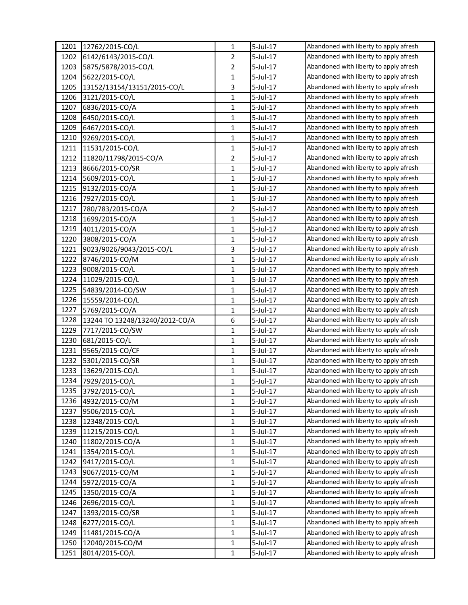| 1201 | 12762/2015-CO/L                | 1              | 5-Jul-17    | Abandoned with liberty to apply afresh |
|------|--------------------------------|----------------|-------------|----------------------------------------|
| 1202 | 6142/6143/2015-CO/L            | $\overline{2}$ | 5-Jul-17    | Abandoned with liberty to apply afresh |
| 1203 | 5875/5878/2015-CO/L            | $\overline{2}$ | 5-Jul-17    | Abandoned with liberty to apply afresh |
| 1204 | 5622/2015-CO/L                 | $\mathbf{1}$   | 5-Jul-17    | Abandoned with liberty to apply afresh |
| 1205 | 13152/13154/13151/2015-CO/L    | 3              | 5-Jul-17    | Abandoned with liberty to apply afresh |
| 1206 | 3121/2015-CO/L                 | $\mathbf{1}$   | 5-Jul-17    | Abandoned with liberty to apply afresh |
| 1207 | 6836/2015-CO/A                 | $\mathbf{1}$   | 5-Jul-17    | Abandoned with liberty to apply afresh |
| 1208 | 6450/2015-CO/L                 | $\mathbf 1$    | 5-Jul-17    | Abandoned with liberty to apply afresh |
| 1209 | 6467/2015-CO/L                 | $\mathbf{1}$   | 5-Jul-17    | Abandoned with liberty to apply afresh |
| 1210 | 9269/2015-CO/L                 | $\mathbf{1}$   | 5-Jul-17    | Abandoned with liberty to apply afresh |
| 1211 | 11531/2015-CO/L                | $\mathbf{1}$   | 5-Jul-17    | Abandoned with liberty to apply afresh |
| 1212 | 11820/11798/2015-CO/A          | $\overline{2}$ | 5-Jul-17    | Abandoned with liberty to apply afresh |
| 1213 | 8666/2015-CO/SR                | 1              | 5-Jul-17    | Abandoned with liberty to apply afresh |
| 1214 | 5609/2015-CO/L                 | $\mathbf{1}$   | 5-Jul-17    | Abandoned with liberty to apply afresh |
| 1215 | 9132/2015-CO/A                 | $\mathbf{1}$   | 5-Jul-17    | Abandoned with liberty to apply afresh |
| 1216 | 7927/2015-CO/L                 | $\mathbf{1}$   | 5-Jul-17    | Abandoned with liberty to apply afresh |
| 1217 | 780/783/2015-CO/A              | $\overline{2}$ | 5-Jul-17    | Abandoned with liberty to apply afresh |
| 1218 | 1699/2015-CO/A                 | $\mathbf{1}$   | 5-Jul-17    | Abandoned with liberty to apply afresh |
| 1219 | 4011/2015-CO/A                 | $\mathbf{1}$   | 5-Jul-17    | Abandoned with liberty to apply afresh |
| 1220 | 3808/2015-CO/A                 | $\mathbf{1}$   | 5-Jul-17    | Abandoned with liberty to apply afresh |
| 1221 | 9023/9026/9043/2015-CO/L       | 3              | 5-Jul-17    | Abandoned with liberty to apply afresh |
| 1222 | 8746/2015-CO/M                 | $\mathbf{1}$   | 5-Jul-17    | Abandoned with liberty to apply afresh |
| 1223 | 9008/2015-CO/L                 | $\mathbf{1}$   | 5-Jul-17    | Abandoned with liberty to apply afresh |
| 1224 | 11029/2015-CO/L                | $\mathbf{1}$   | 5-Jul-17    | Abandoned with liberty to apply afresh |
| 1225 | 54839/2014-CO/SW               | $\mathbf{1}$   | 5-Jul-17    | Abandoned with liberty to apply afresh |
| 1226 | 15559/2014-CO/L                | $\mathbf{1}$   | 5-Jul-17    | Abandoned with liberty to apply afresh |
| 1227 | 5769/2015-CO/A                 | $\mathbf{1}$   | 5-Jul-17    | Abandoned with liberty to apply afresh |
| 1228 | 13244 TO 13248/13240/2012-CO/A | 6              | 5-Jul-17    | Abandoned with liberty to apply afresh |
| 1229 | 7717/2015-CO/SW                | $\mathbf{1}$   | 5-Jul-17    | Abandoned with liberty to apply afresh |
| 1230 | 681/2015-CO/L                  | $\mathbf{1}$   | 5-Jul-17    | Abandoned with liberty to apply afresh |
| 1231 | 9565/2015-CO/CF                | 1              | 5-Jul-17    | Abandoned with liberty to apply afresh |
| 1232 | 5301/2015-CO/SR                | $\mathbf{1}$   | 5-Jul-17    | Abandoned with liberty to apply afresh |
| 1233 | 13629/2015-CO/L                | 1              | 5-Jul-17    | Abandoned with liberty to apply afresh |
| 1234 | 7929/2015-CO/L                 | $\mathbf{1}$   | $5$ -Jul-17 | Abandoned with liberty to apply afresh |
| 1235 | 3792/2015-CO/L                 | $\mathbf{1}$   | 5-Jul-17    | Abandoned with liberty to apply afresh |
| 1236 | 4932/2015-CO/M                 | 1              | 5-Jul-17    | Abandoned with liberty to apply afresh |
| 1237 | 9506/2015-CO/L                 | $\mathbf{1}$   | $5$ -Jul-17 | Abandoned with liberty to apply afresh |
| 1238 | 12348/2015-CO/L                | $\mathbf{1}$   | 5-Jul-17    | Abandoned with liberty to apply afresh |
| 1239 | 11215/2015-CO/L                | $\mathbf{1}$   | 5-Jul-17    | Abandoned with liberty to apply afresh |
| 1240 | 11802/2015-CO/A                | 1              | 5-Jul-17    | Abandoned with liberty to apply afresh |
| 1241 | 1354/2015-CO/L                 | $\mathbf{1}$   | 5-Jul-17    | Abandoned with liberty to apply afresh |
| 1242 | 9417/2015-CO/L                 | $\mathbf{1}$   | 5-Jul-17    | Abandoned with liberty to apply afresh |
| 1243 | 9067/2015-CO/M                 | $\mathbf{1}$   | 5-Jul-17    | Abandoned with liberty to apply afresh |
| 1244 | 5972/2015-CO/A                 | $\mathbf{1}$   | 5-Jul-17    | Abandoned with liberty to apply afresh |
| 1245 | 1350/2015-CO/A                 | 1              | 5-Jul-17    | Abandoned with liberty to apply afresh |
| 1246 | 2696/2015-CO/L                 | $\mathbf{1}$   | 5-Jul-17    | Abandoned with liberty to apply afresh |
| 1247 | 1393/2015-CO/SR                | $\mathbf{1}$   | 5-Jul-17    | Abandoned with liberty to apply afresh |
| 1248 | 6277/2015-CO/L                 | $\mathbf{1}$   | 5-Jul-17    | Abandoned with liberty to apply afresh |
| 1249 | 11481/2015-CO/A                | $\mathbf{1}$   | 5-Jul-17    | Abandoned with liberty to apply afresh |
| 1250 | 12040/2015-CO/M                | $\mathbf{1}$   | 5-Jul-17    | Abandoned with liberty to apply afresh |
| 1251 | 8014/2015-CO/L                 | $\mathbf{1}$   | 5-Jul-17    | Abandoned with liberty to apply afresh |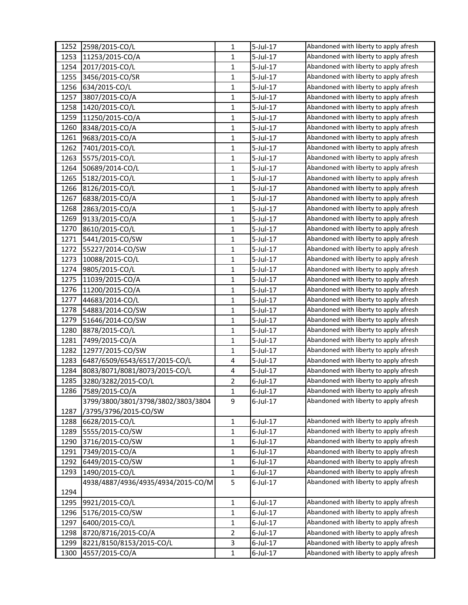| 1252 | 2598/2015-CO/L                     | 1              | 5-Jul-17    | Abandoned with liberty to apply afresh |
|------|------------------------------------|----------------|-------------|----------------------------------------|
| 1253 | 11253/2015-CO/A                    | 1              | 5-Jul-17    | Abandoned with liberty to apply afresh |
| 1254 | 2017/2015-CO/L                     | 1              | 5-Jul-17    | Abandoned with liberty to apply afresh |
| 1255 | 3456/2015-CO/SR                    | 1              | 5-Jul-17    | Abandoned with liberty to apply afresh |
| 1256 | 634/2015-CO/L                      | $\mathbf{1}$   | 5-Jul-17    | Abandoned with liberty to apply afresh |
| 1257 | 3807/2015-CO/A                     | 1              | 5-Jul-17    | Abandoned with liberty to apply afresh |
| 1258 | 1420/2015-CO/L                     | 1              | 5-Jul-17    | Abandoned with liberty to apply afresh |
| 1259 | 11250/2015-CO/A                    | 1              | 5-Jul-17    | Abandoned with liberty to apply afresh |
| 1260 | 8348/2015-CO/A                     | $\mathbf{1}$   | $5$ -Jul-17 | Abandoned with liberty to apply afresh |
| 1261 | 9683/2015-CO/A                     | $\mathbf{1}$   | 5-Jul-17    | Abandoned with liberty to apply afresh |
| 1262 | 7401/2015-CO/L                     | 1              | 5-Jul-17    | Abandoned with liberty to apply afresh |
| 1263 | 5575/2015-CO/L                     | 1              | 5-Jul-17    | Abandoned with liberty to apply afresh |
| 1264 | 50689/2014-CO/L                    | 1              | 5-Jul-17    | Abandoned with liberty to apply afresh |
| 1265 | 5182/2015-CO/L                     | 1              | 5-Jul-17    | Abandoned with liberty to apply afresh |
| 1266 | 8126/2015-CO/L                     | $\mathbf{1}$   | 5-Jul-17    | Abandoned with liberty to apply afresh |
| 1267 | 6838/2015-CO/A                     | 1              | 5-Jul-17    | Abandoned with liberty to apply afresh |
| 1268 | 2863/2015-CO/A                     | 1              | 5-Jul-17    | Abandoned with liberty to apply afresh |
| 1269 | 9133/2015-CO/A                     | $\mathbf{1}$   | 5-Jul-17    | Abandoned with liberty to apply afresh |
| 1270 | 8610/2015-CO/L                     | $\mathbf{1}$   | $5$ -Jul-17 | Abandoned with liberty to apply afresh |
| 1271 | 5441/2015-CO/SW                    | 1              | 5-Jul-17    | Abandoned with liberty to apply afresh |
| 1272 | 55227/2014-CO/SW                   | 1              | 5-Jul-17    | Abandoned with liberty to apply afresh |
| 1273 | 10088/2015-CO/L                    | 1              | 5-Jul-17    | Abandoned with liberty to apply afresh |
| 1274 | 9805/2015-CO/L                     | 1              | 5-Jul-17    | Abandoned with liberty to apply afresh |
| 1275 | 11039/2015-CO/A                    | 1              | 5-Jul-17    | Abandoned with liberty to apply afresh |
| 1276 | 11200/2015-CO/A                    | 1              | 5-Jul-17    | Abandoned with liberty to apply afresh |
| 1277 | 44683/2014-CO/L                    | 1              | 5-Jul-17    | Abandoned with liberty to apply afresh |
| 1278 | 54883/2014-CO/SW                   | 1              | 5-Jul-17    | Abandoned with liberty to apply afresh |
| 1279 | 51646/2014-CO/SW                   | $\mathbf{1}$   | $5$ -Jul-17 | Abandoned with liberty to apply afresh |
| 1280 | 8878/2015-CO/L                     | 1              | 5-Jul-17    | Abandoned with liberty to apply afresh |
| 1281 | 7499/2015-CO/A                     | $\mathbf{1}$   | 5-Jul-17    | Abandoned with liberty to apply afresh |
| 1282 | 12977/2015-CO/SW                   | 1              | 5-Jul-17    | Abandoned with liberty to apply afresh |
| 1283 | 6487/6509/6543/6517/2015-CO/L      | 4              | 5-Jul-17    | Abandoned with liberty to apply afresh |
| 1284 | 8083/8071/8081/8073/2015-CO/L      | 4              | $5$ -Jul-17 | Abandoned with liberty to apply afresh |
| 1285 | 3280/3282/2015-CO/L                | 2              | $6$ -Jul-17 | Abandoned with liberty to apply afresh |
| 1286 | 7589/2015-CO/A                     | 1              | 6-Jul-17    | Abandoned with liberty to apply afresh |
|      | 3799/3800/3801/3798/3802/3803/3804 | 9              | $6$ -Jul-17 | Abandoned with liberty to apply afresh |
| 1287 | /3795/3796/2015-CO/SW              |                |             |                                        |
| 1288 | 6628/2015-CO/L                     | 1              | 6-Jul-17    | Abandoned with liberty to apply afresh |
| 1289 | 5555/2015-CO/SW                    | $\mathbf{1}$   | 6-Jul-17    | Abandoned with liberty to apply afresh |
| 1290 | 3716/2015-CO/SW                    | 1              | $6$ -Jul-17 | Abandoned with liberty to apply afresh |
| 1291 | 7349/2015-CO/A                     | 1              | $6$ -Jul-17 | Abandoned with liberty to apply afresh |
| 1292 | 6449/2015-CO/SW                    | $\mathbf{1}$   | $6$ -Jul-17 | Abandoned with liberty to apply afresh |
| 1293 | 1490/2015-CO/L                     | 1              | 6-Jul-17    | Abandoned with liberty to apply afresh |
|      | 4938/4887/4936/4935/4934/2015-CO/M | 5              | 6-Jul-17    | Abandoned with liberty to apply afresh |
| 1294 |                                    |                |             |                                        |
| 1295 | 9921/2015-CO/L                     | 1              | $6$ -Jul-17 | Abandoned with liberty to apply afresh |
| 1296 | 5176/2015-CO/SW                    | 1              | 6-Jul-17    | Abandoned with liberty to apply afresh |
| 1297 | 6400/2015-CO/L                     | 1              | 6-Jul-17    | Abandoned with liberty to apply afresh |
| 1298 | 8720/8716/2015-CO/A                | $\overline{2}$ | 6-Jul-17    | Abandoned with liberty to apply afresh |
| 1299 | 8221/8150/8153/2015-CO/L           | 3              | 6-Jul-17    | Abandoned with liberty to apply afresh |
| 1300 | 4557/2015-CO/A                     | $\mathbf{1}$   | $6$ -Jul-17 | Abandoned with liberty to apply afresh |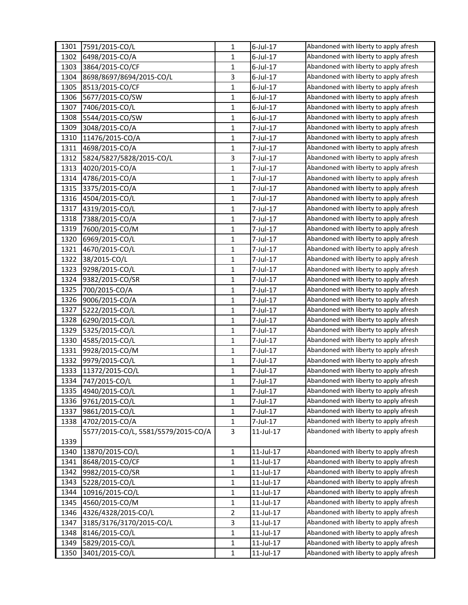| 1301 | 7591/2015-CO/L                      | 1            | 6-Jul-17        | Abandoned with liberty to apply afresh |
|------|-------------------------------------|--------------|-----------------|----------------------------------------|
| 1302 | 6498/2015-CO/A                      | 1            | 6-Jul-17        | Abandoned with liberty to apply afresh |
| 1303 | 3864/2015-CO/CF                     | $\mathbf{1}$ | $6$ -Jul-17     | Abandoned with liberty to apply afresh |
| 1304 | 8698/8697/8694/2015-CO/L            | 3            | 6-Jul-17        | Abandoned with liberty to apply afresh |
| 1305 | 8513/2015-CO/CF                     | $\mathbf{1}$ | 6-Jul-17        | Abandoned with liberty to apply afresh |
| 1306 | 5677/2015-CO/SW                     | 1            | 6-Jul-17        | Abandoned with liberty to apply afresh |
| 1307 | 7406/2015-CO/L                      | 1            | 6-Jul-17        | Abandoned with liberty to apply afresh |
| 1308 | 5544/2015-CO/SW                     | $\mathbf{1}$ | 6-Jul-17        | Abandoned with liberty to apply afresh |
| 1309 | 3048/2015-CO/A                      | $\mathbf{1}$ | 7-Jul-17        | Abandoned with liberty to apply afresh |
| 1310 | 11476/2015-CO/A                     | $\mathbf{1}$ | 7-Jul-17        | Abandoned with liberty to apply afresh |
| 1311 | 4698/2015-CO/A                      | $\mathbf{1}$ | 7-Jul-17        | Abandoned with liberty to apply afresh |
| 1312 | 5824/5827/5828/2015-CO/L            | 3            | 7-Jul-17        | Abandoned with liberty to apply afresh |
| 1313 | 4020/2015-CO/A                      | 1            | 7-Jul-17        | Abandoned with liberty to apply afresh |
| 1314 | 4786/2015-CO/A                      | 1            | 7-Jul-17        | Abandoned with liberty to apply afresh |
| 1315 | 3375/2015-CO/A                      | $\mathbf{1}$ | 7-Jul-17        | Abandoned with liberty to apply afresh |
| 1316 | 4504/2015-CO/L                      | 1            | 7-Jul-17        | Abandoned with liberty to apply afresh |
| 1317 | 4319/2015-CO/L                      | 1            | 7-Jul-17        | Abandoned with liberty to apply afresh |
| 1318 | 7388/2015-CO/A                      | $\mathbf{1}$ | 7-Jul-17        | Abandoned with liberty to apply afresh |
| 1319 | 7600/2015-CO/M                      | $\mathbf{1}$ | 7-Jul-17        | Abandoned with liberty to apply afresh |
| 1320 | 6969/2015-CO/L                      | $\mathbf{1}$ | 7-Jul-17        | Abandoned with liberty to apply afresh |
| 1321 | 4670/2015-CO/L                      | 1            | 7-Jul-17        | Abandoned with liberty to apply afresh |
| 1322 | 38/2015-CO/L                        | 1            | 7-Jul-17        | Abandoned with liberty to apply afresh |
| 1323 | 9298/2015-CO/L                      | 1            | 7-Jul-17        | Abandoned with liberty to apply afresh |
| 1324 | 9382/2015-CO/SR                     | 1            | 7-Jul-17        | Abandoned with liberty to apply afresh |
| 1325 | 700/2015-CO/A                       | 1            | 7-Jul-17        | Abandoned with liberty to apply afresh |
| 1326 | 9006/2015-CO/A                      | 1            | 7-Jul-17        | Abandoned with liberty to apply afresh |
| 1327 | 5222/2015-CO/L                      | 1            | 7-Jul-17        | Abandoned with liberty to apply afresh |
| 1328 | 6290/2015-CO/L                      | $\mathbf{1}$ | 7-Jul-17        | Abandoned with liberty to apply afresh |
| 1329 | 5325/2015-CO/L                      | 1            | 7-Jul-17        | Abandoned with liberty to apply afresh |
| 1330 | 4585/2015-CO/L                      | $\mathbf{1}$ | 7-Jul-17        | Abandoned with liberty to apply afresh |
| 1331 | 9928/2015-CO/M                      | 1            | 7-Jul-17        | Abandoned with liberty to apply afresh |
| 1332 | 9979/2015-CO/L                      | 1            | 7-Jul-17        | Abandoned with liberty to apply afresh |
| 1333 | 11372/2015-CO/L                     | 1            | 7-Jul-17        | Abandoned with liberty to apply afresh |
| 1334 | 747/2015-CO/L                       | 1            | 7-Jul-17        | Abandoned with liberty to apply afresh |
| 1335 | 4940/2015-CO/L                      | 1            | 7-Jul-17        | Abandoned with liberty to apply afresh |
| 1336 | 9761/2015-CO/L                      | 1            | 7-Jul-17        | Abandoned with liberty to apply afresh |
| 1337 | 9861/2015-CO/L                      | $\mathbf{1}$ | 7-Jul-17        | Abandoned with liberty to apply afresh |
| 1338 | 4702/2015-CO/A                      | 1            | 7-Jul-17        | Abandoned with liberty to apply afresh |
|      | 5577/2015-CO/L, 5581/5579/2015-CO/A | 3            | 11-Jul-17       | Abandoned with liberty to apply afresh |
| 1339 |                                     |              |                 |                                        |
| 1340 | 13870/2015-CO/L                     | 1            | 11-Jul-17       | Abandoned with liberty to apply afresh |
| 1341 | 8648/2015-CO/CF                     | $\mathbf{1}$ | 11-Jul-17       | Abandoned with liberty to apply afresh |
| 1342 | 9982/2015-CO/SR                     | 1            | $11$ -Jul- $17$ | Abandoned with liberty to apply afresh |
| 1343 | 5228/2015-CO/L                      | 1            | 11-Jul-17       | Abandoned with liberty to apply afresh |
| 1344 | 10916/2015-CO/L                     | 1            | 11-Jul-17       | Abandoned with liberty to apply afresh |
| 1345 | 4560/2015-CO/M                      | $\mathbf{1}$ | 11-Jul-17       | Abandoned with liberty to apply afresh |
| 1346 | 4326/4328/2015-CO/L                 | 2            | 11-Jul-17       | Abandoned with liberty to apply afresh |
| 1347 | 3185/3176/3170/2015-CO/L            | 3            | 11-Jul-17       | Abandoned with liberty to apply afresh |
| 1348 | 8146/2015-CO/L                      | $\mathbf{1}$ | 11-Jul-17       | Abandoned with liberty to apply afresh |
| 1349 | 5829/2015-CO/L                      | 1            | 11-Jul-17       | Abandoned with liberty to apply afresh |
| 1350 | 3401/2015-CO/L                      | $\mathbf{1}$ | $11$ -Jul- $17$ | Abandoned with liberty to apply afresh |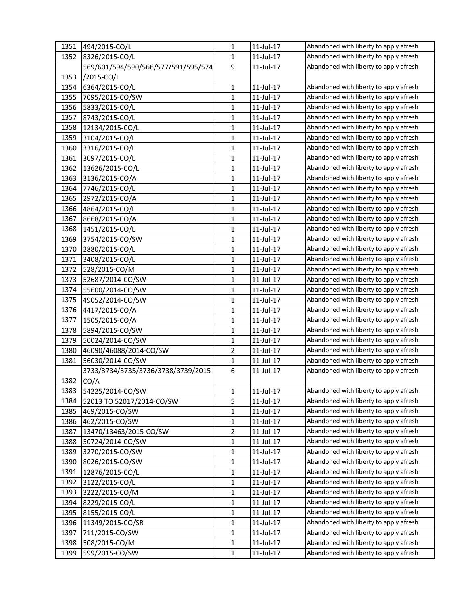| 1351 | 494/2015-CO/L                       | $\mathbf{1}$   | 11-Jul-17       | Abandoned with liberty to apply afresh |
|------|-------------------------------------|----------------|-----------------|----------------------------------------|
| 1352 | 8326/2015-CO/L                      | 1              | 11-Jul-17       | Abandoned with liberty to apply afresh |
|      | 569/601/594/590/566/577/591/595/574 | 9              | $11$ -Jul-17    | Abandoned with liberty to apply afresh |
| 1353 | /2015-CO/L                          |                |                 |                                        |
| 1354 | 6364/2015-CO/L                      | $\mathbf{1}$   | 11-Jul-17       | Abandoned with liberty to apply afresh |
| 1355 | 7095/2015-CO/SW                     | 1              | 11-Jul-17       | Abandoned with liberty to apply afresh |
| 1356 | 5833/2015-CO/L                      | 1              | 11-Jul-17       | Abandoned with liberty to apply afresh |
| 1357 | 8743/2015-CO/L                      | $\mathbf{1}$   | $11$ -Jul- $17$ | Abandoned with liberty to apply afresh |
| 1358 | 12134/2015-CO/L                     | 1              | 11-Jul-17       | Abandoned with liberty to apply afresh |
| 1359 | 3104/2015-CO/L                      | $\mathbf{1}$   | 11-Jul-17       | Abandoned with liberty to apply afresh |
| 1360 | 3316/2015-CO/L                      | 1              | 11-Jul-17       | Abandoned with liberty to apply afresh |
| 1361 | 3097/2015-CO/L                      | $\mathbf{1}$   | 11-Jul-17       | Abandoned with liberty to apply afresh |
| 1362 | 13626/2015-CO/L                     | $\mathbf{1}$   | 11-Jul-17       | Abandoned with liberty to apply afresh |
| 1363 | 3136/2015-CO/A                      | $\mathbf{1}$   | 11-Jul-17       | Abandoned with liberty to apply afresh |
| 1364 | 7746/2015-CO/L                      | $\mathbf{1}$   | 11-Jul-17       | Abandoned with liberty to apply afresh |
| 1365 | 2972/2015-CO/A                      | 1              | 11-Jul-17       | Abandoned with liberty to apply afresh |
| 1366 | 4864/2015-CO/L                      | $\mathbf{1}$   | 11-Jul-17       | Abandoned with liberty to apply afresh |
| 1367 | 8668/2015-CO/A                      | 1              | $11$ -Jul-17    | Abandoned with liberty to apply afresh |
| 1368 | 1451/2015-CO/L                      | $\mathbf{1}$   | 11-Jul-17       | Abandoned with liberty to apply afresh |
| 1369 | 3754/2015-CO/SW                     | 1              | 11-Jul-17       | Abandoned with liberty to apply afresh |
| 1370 | 2880/2015-CO/L                      | 1              | 11-Jul-17       | Abandoned with liberty to apply afresh |
| 1371 | 3408/2015-CO/L                      | $\mathbf{1}$   | $11$ -Jul- $17$ | Abandoned with liberty to apply afresh |
| 1372 | 528/2015-CO/M                       | $\mathbf{1}$   | $11$ -Jul- $17$ | Abandoned with liberty to apply afresh |
| 1373 | 52687/2014-CO/SW                    | $\mathbf{1}$   | 11-Jul-17       | Abandoned with liberty to apply afresh |
| 1374 | 55600/2014-CO/SW                    | 1              | 11-Jul-17       | Abandoned with liberty to apply afresh |
| 1375 | 49052/2014-CO/SW                    | 1              | 11-Jul-17       | Abandoned with liberty to apply afresh |
| 1376 | 4417/2015-CO/A                      | 1              | $11$ -Jul- $17$ | Abandoned with liberty to apply afresh |
| 1377 | 1505/2015-CO/A                      | $\mathbf{1}$   | 11-Jul-17       | Abandoned with liberty to apply afresh |
| 1378 | 5894/2015-CO/SW                     | $\mathbf{1}$   | 11-Jul-17       | Abandoned with liberty to apply afresh |
| 1379 | 50024/2014-CO/SW                    | 1              | 11-Jul-17       | Abandoned with liberty to apply afresh |
| 1380 | 46090/46088/2014-CO/SW              | $\overline{2}$ | 11-Jul-17       | Abandoned with liberty to apply afresh |
| 1381 | 56030/2014-CO/SW                    | $\mathbf{1}$   | $11$ -Jul- $17$ | Abandoned with liberty to apply afresh |
|      | 3733/3734/3735/3736/3738/3739/2015- | 6              | 11-Jul-17       | Abandoned with liberty to apply afresh |
| 1382 | CO/A                                |                |                 |                                        |
| 1383 | 54225/2014-CO/SW                    | 1              | 11-Jul-17       | Abandoned with liberty to apply afresh |
| 1384 | 52013 TO 52017/2014-CO/SW           | 5              | 11-Jul-17       | Abandoned with liberty to apply afresh |
| 1385 | 469/2015-CO/SW                      | 1              | $11$ -Jul- $17$ | Abandoned with liberty to apply afresh |
| 1386 | 462/2015-CO/SW                      | 1              | $11$ -Jul- $17$ | Abandoned with liberty to apply afresh |
| 1387 | 13470/13463/2015-CO/SW              | 2              | 11-Jul-17       | Abandoned with liberty to apply afresh |
| 1388 | 50724/2014-CO/SW                    | 1              | 11-Jul-17       | Abandoned with liberty to apply afresh |
| 1389 | 3270/2015-CO/SW                     | $\mathbf{1}$   | 11-Jul-17       | Abandoned with liberty to apply afresh |
| 1390 | 8026/2015-CO/SW                     | 1              | 11-Jul-17       | Abandoned with liberty to apply afresh |
| 1391 | 12876/2015-CO/L                     | 1              | 11-Jul-17       | Abandoned with liberty to apply afresh |
| 1392 | 3122/2015-CO/L                      | 1              | 11-Jul-17       | Abandoned with liberty to apply afresh |
| 1393 | 3222/2015-CO/M                      | 1              | 11-Jul-17       | Abandoned with liberty to apply afresh |
| 1394 | 8229/2015-CO/L                      | $\mathbf{1}$   | 11-Jul-17       | Abandoned with liberty to apply afresh |
| 1395 | 8155/2015-CO/L                      | $\mathbf{1}$   | 11-Jul-17       | Abandoned with liberty to apply afresh |
| 1396 | 11349/2015-CO/SR                    | 1              | 11-Jul-17       | Abandoned with liberty to apply afresh |
| 1397 | 711/2015-CO/SW                      | 1              | 11-Jul-17       | Abandoned with liberty to apply afresh |
| 1398 | 508/2015-CO/M                       | 1              | 11-Jul-17       | Abandoned with liberty to apply afresh |
| 1399 | 599/2015-CO/SW                      | $\mathbf{1}$   | $11$ -Jul- $17$ | Abandoned with liberty to apply afresh |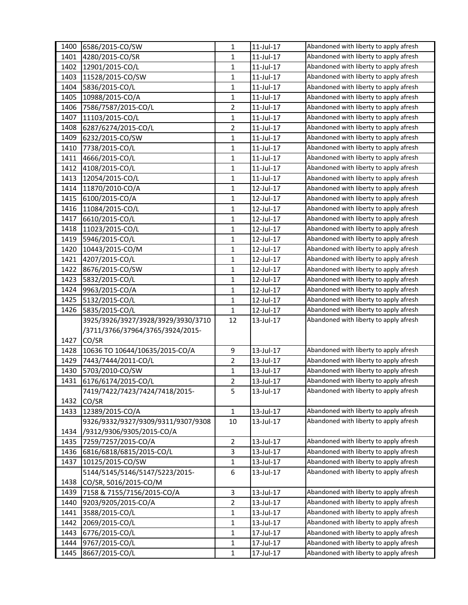| 1400 | 6586/2015-CO/SW                    | $\mathbf{1}$   | 11-Jul-17 | Abandoned with liberty to apply afresh |
|------|------------------------------------|----------------|-----------|----------------------------------------|
| 1401 | 4280/2015-CO/SR                    | $\mathbf{1}$   | 11-Jul-17 | Abandoned with liberty to apply afresh |
| 1402 | 12901/2015-CO/L                    | $\mathbf{1}$   | 11-Jul-17 | Abandoned with liberty to apply afresh |
| 1403 | 11528/2015-CO/SW                   | $\mathbf{1}$   | 11-Jul-17 | Abandoned with liberty to apply afresh |
| 1404 | 5836/2015-CO/L                     | $\mathbf{1}$   | 11-Jul-17 | Abandoned with liberty to apply afresh |
| 1405 | 10988/2015-CO/A                    | $\mathbf{1}$   | 11-Jul-17 | Abandoned with liberty to apply afresh |
| 1406 | 7586/7587/2015-CO/L                | $\overline{2}$ | 11-Jul-17 | Abandoned with liberty to apply afresh |
| 1407 | 11103/2015-CO/L                    | $\mathbf{1}$   | 11-Jul-17 | Abandoned with liberty to apply afresh |
| 1408 | 6287/6274/2015-CO/L                | $\overline{2}$ | 11-Jul-17 | Abandoned with liberty to apply afresh |
| 1409 | 6232/2015-CO/SW                    | $\mathbf{1}$   | 11-Jul-17 | Abandoned with liberty to apply afresh |
| 1410 | 7738/2015-CO/L                     | 1              | 11-Jul-17 | Abandoned with liberty to apply afresh |
| 1411 | 4666/2015-CO/L                     | $\mathbf{1}$   | 11-Jul-17 | Abandoned with liberty to apply afresh |
| 1412 | 4108/2015-CO/L                     | $\mathbf{1}$   | 11-Jul-17 | Abandoned with liberty to apply afresh |
| 1413 | 12054/2015-CO/L                    | $\mathbf{1}$   | 11-Jul-17 | Abandoned with liberty to apply afresh |
| 1414 | 11870/2010-CO/A                    | $\mathbf{1}$   | 12-Jul-17 | Abandoned with liberty to apply afresh |
| 1415 | 6100/2015-CO/A                     | 1              | 12-Jul-17 | Abandoned with liberty to apply afresh |
| 1416 | 11084/2015-CO/L                    | $\mathbf{1}$   | 12-Jul-17 | Abandoned with liberty to apply afresh |
| 1417 | 6610/2015-CO/L                     | $\mathbf{1}$   | 12-Jul-17 | Abandoned with liberty to apply afresh |
| 1418 | 11023/2015-CO/L                    | $\mathbf{1}$   | 12-Jul-17 | Abandoned with liberty to apply afresh |
| 1419 | 5946/2015-CO/L                     | $\mathbf{1}$   | 12-Jul-17 | Abandoned with liberty to apply afresh |
| 1420 | 10443/2015-CO/M                    | $\mathbf{1}$   | 12-Jul-17 | Abandoned with liberty to apply afresh |
| 1421 | 4207/2015-CO/L                     | $\mathbf{1}$   | 12-Jul-17 | Abandoned with liberty to apply afresh |
| 1422 | 8676/2015-CO/SW                    | $\mathbf{1}$   | 12-Jul-17 | Abandoned with liberty to apply afresh |
| 1423 | 5832/2015-CO/L                     | $\mathbf{1}$   | 12-Jul-17 | Abandoned with liberty to apply afresh |
| 1424 | 9963/2015-CO/A                     | $\mathbf{1}$   | 12-Jul-17 | Abandoned with liberty to apply afresh |
| 1425 | 5132/2015-CO/L                     | $\mathbf{1}$   | 12-Jul-17 | Abandoned with liberty to apply afresh |
| 1426 | 5835/2015-CO/L                     | $\mathbf{1}$   | 12-Jul-17 | Abandoned with liberty to apply afresh |
|      | 3925/3926/3927/3928/3929/3930/3710 | 12             | 13-Jul-17 | Abandoned with liberty to apply afresh |
|      | /3711/3766/37964/3765/3924/2015-   |                |           |                                        |
| 1427 | CO/SR                              |                |           |                                        |
| 1428 | 10636 TO 10644/10635/2015-CO/A     | 9              | 13-Jul-17 | Abandoned with liberty to apply afresh |
| 1429 | 7443/7444/2011-CO/L                | $\overline{2}$ | 13-Jul-17 | Abandoned with liberty to apply afresh |
| 1430 | 5703/2010-CO/SW                    | $\mathbf{1}$   | 13-Jul-17 | Abandoned with liberty to apply afresh |
| 1431 | 6176/6174/2015-CO/L                | $\overline{2}$ | 13-Jul-17 | Abandoned with liberty to apply afresh |
|      | 7419/7422/7423/7424/7418/2015-     | 5              | 13-Jul-17 | Abandoned with liberty to apply afresh |
| 1432 | CO/SR                              |                |           |                                        |
| 1433 | 12389/2015-CO/A                    | $\mathbf{1}$   | 13-Jul-17 | Abandoned with liberty to apply afresh |
|      | 9326/9332/9327/9309/9311/9307/9308 | $10\,$         | 13-Jul-17 | Abandoned with liberty to apply afresh |
| 1434 | /9312/9306/9305/2015-CO/A          |                |           |                                        |
| 1435 | 7259/7257/2015-CO/A                | $\overline{2}$ | 13-Jul-17 | Abandoned with liberty to apply afresh |
| 1436 | 6816/6818/6815/2015-CO/L           | 3              | 13-Jul-17 | Abandoned with liberty to apply afresh |
| 1437 | 10125/2015-CO/SW                   | $\mathbf{1}$   | 13-Jul-17 | Abandoned with liberty to apply afresh |
|      | 5144/5145/5146/5147/5223/2015-     | 6              | 13-Jul-17 | Abandoned with liberty to apply afresh |
| 1438 | CO/SR, 5016/2015-CO/M              |                |           |                                        |
| 1439 | 7158 & 7155/7156/2015-CO/A         | 3              | 13-Jul-17 | Abandoned with liberty to apply afresh |
| 1440 | 9203/9205/2015-CO/A                | $\overline{2}$ | 13-Jul-17 | Abandoned with liberty to apply afresh |
| 1441 | 3588/2015-CO/L                     | $\mathbf{1}$   | 13-Jul-17 | Abandoned with liberty to apply afresh |
| 1442 | 2069/2015-CO/L                     | $\mathbf{1}$   | 13-Jul-17 | Abandoned with liberty to apply afresh |
| 1443 | 6776/2015-CO/L                     | 1              | 17-Jul-17 | Abandoned with liberty to apply afresh |
| 1444 | 9767/2015-CO/L                     | $\mathbf{1}$   | 17-Jul-17 | Abandoned with liberty to apply afresh |
| 1445 | 8667/2015-CO/L                     | $\mathbf{1}$   | 17-Jul-17 | Abandoned with liberty to apply afresh |